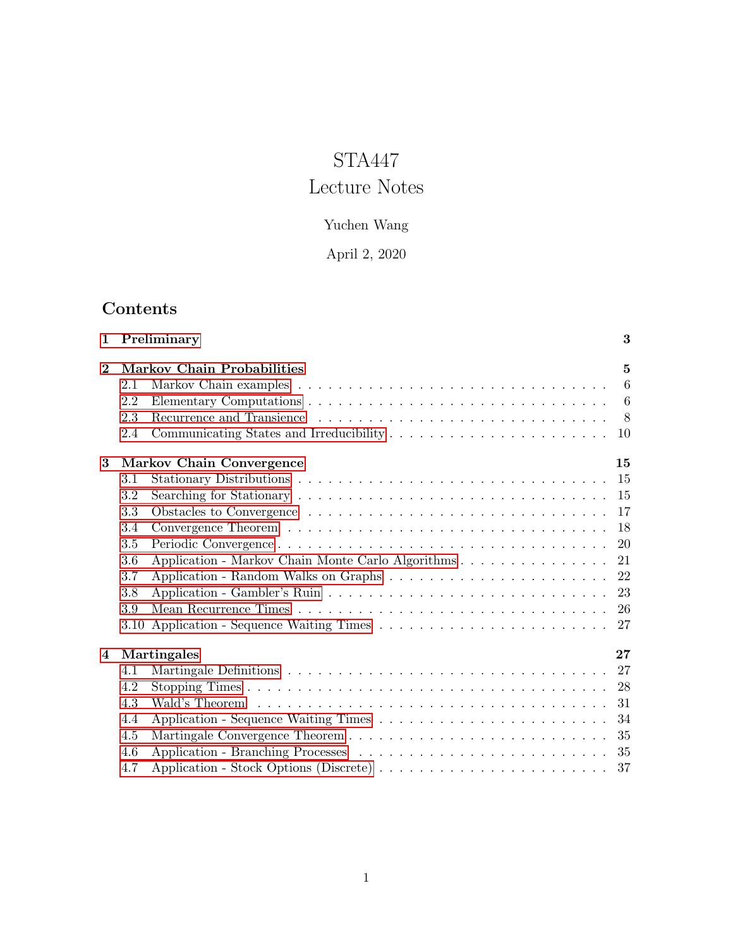# STA447

# Lecture Notes

## Yuchen Wang

## April 2, 2020

## Contents

| $\mathbf 1$ |                                   | Preliminary                                       | 3              |  |
|-------------|-----------------------------------|---------------------------------------------------|----------------|--|
| $\bf{2}$    | <b>Markov Chain Probabilities</b> |                                                   |                |  |
|             | 2.1                               |                                                   | 6              |  |
|             | 2.2                               |                                                   |                |  |
|             | 2.3                               |                                                   | 8 <sup>8</sup> |  |
|             | 2.4                               |                                                   | 10             |  |
| 3           |                                   | <b>Markov Chain Convergence</b>                   | 15             |  |
|             | 3.1                               |                                                   | -15            |  |
|             | 3.2                               |                                                   | -15            |  |
|             | 3.3                               |                                                   | -17            |  |
|             | 3.4                               |                                                   | 18             |  |
|             | 3.5                               |                                                   | 20             |  |
|             | 3.6                               | Application - Markov Chain Monte Carlo Algorithms | 21             |  |
|             | 3.7                               |                                                   | 22             |  |
|             | 3.8                               |                                                   | 23             |  |
|             | 3.9                               |                                                   | -26            |  |
|             |                                   |                                                   |                |  |
| 4           |                                   | Martingales                                       | 27             |  |
|             | 4.1                               |                                                   | 27             |  |
|             | 4.2                               |                                                   | 28             |  |
|             | 4.3                               |                                                   | 31             |  |
|             | 4.4                               |                                                   | 34             |  |
|             | 4.5                               |                                                   | 35             |  |
|             | 4.6                               |                                                   | 35             |  |
|             | 4.7                               |                                                   |                |  |
|             |                                   |                                                   |                |  |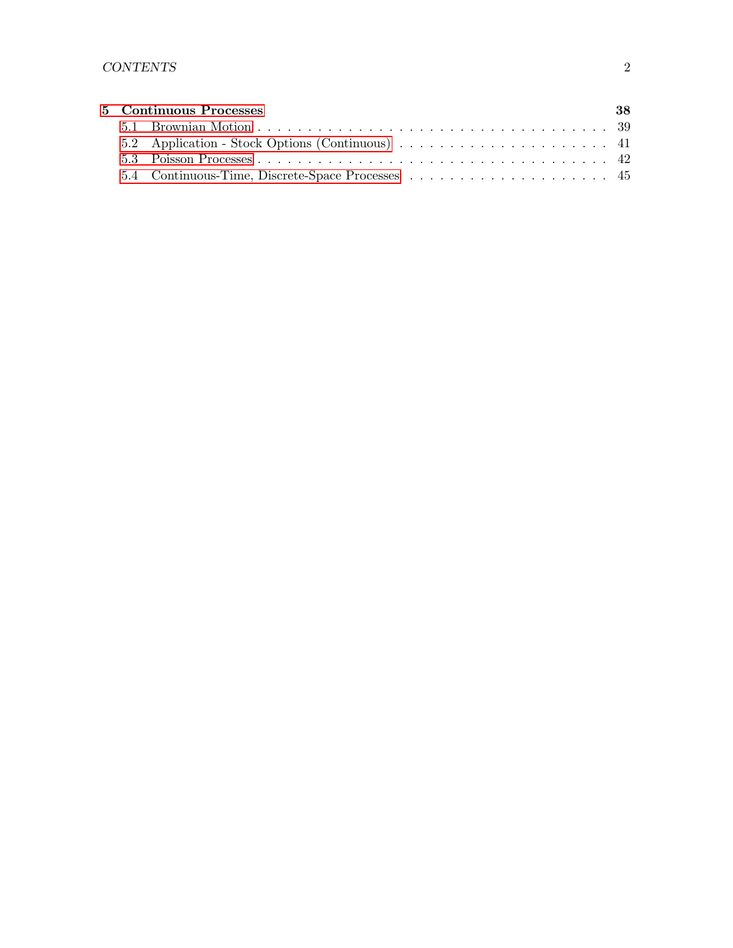|  | 5 Continuous Processes                           | -38 |
|--|--------------------------------------------------|-----|
|  |                                                  |     |
|  | 5.2 Application - Stock Options (Continuous)  41 |     |
|  |                                                  |     |
|  |                                                  |     |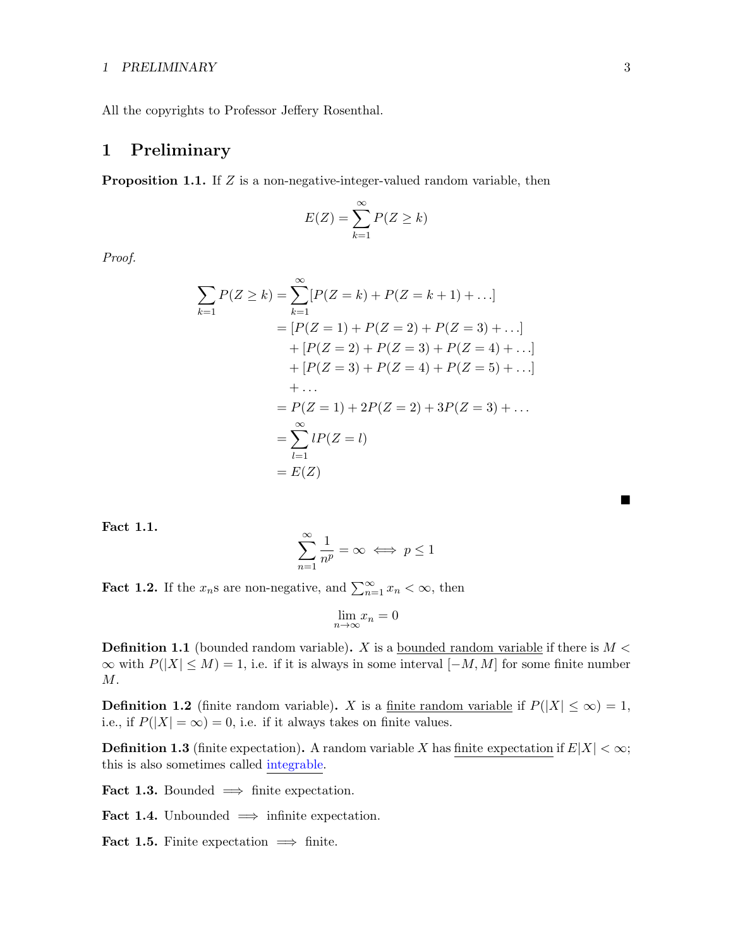## 1 PRELIMINARY 3

All the copyrights to Professor Jeffery Rosenthal.

## <span id="page-2-0"></span>1 Preliminary

**Proposition 1.1.** If  $Z$  is a non-negative-integer-valued random variable, then

$$
E(Z) = \sum_{k=1}^{\infty} P(Z \ge k)
$$

Proof.

$$
\sum_{k=1} P(Z \ge k) = \sum_{k=1}^{\infty} [P(Z = k) + P(Z = k + 1) + \dots] \n= [P(Z = 1) + P(Z = 2) + P(Z = 3) + \dots] \n+ [P(Z = 2) + P(Z = 3) + P(Z = 4) + \dots] \n+ [P(Z = 3) + P(Z = 4) + P(Z = 5) + \dots] \n+ \dots \n= P(Z = 1) + 2P(Z = 2) + 3P(Z = 3) + \dots \n= \sum_{l=1}^{\infty} lP(Z = l) \n= E(Z)
$$

Fact 1.1.

$$
\sum_{n=1}^{\infty} \frac{1}{n^p} = \infty \iff p \le 1
$$

**Fact 1.2.** If the  $x_n$ s are non-negative, and  $\sum_{n=1}^{\infty} x_n < \infty$ , then

$$
\lim_{n \to \infty} x_n = 0
$$

**Definition 1.1** (bounded random variable). X is a bounded random variable if there is  $M <$  $\infty$  with  $P(|X| \leq M) = 1$ , i.e. if it is always in some interval  $[-M, M]$  for some finite number M.

**Definition 1.2** (finite random variable). X is a finite random variable if  $P(|X| \leq \infty) = 1$ , i.e., if  $P(|X| = \infty) = 0$ , i.e. if it always takes on finite values.

**Definition 1.3** (finite expectation). A random variable X has finite expectation if  $E|X| < \infty$ ; this is also sometimes called integrable.

Fact 1.3. Bounded  $\implies$  finite expectation.

Fact 1.4. Unbounded  $\implies$  infinite expectation.

Fact 1.5. Finite expectation  $\implies$  finite.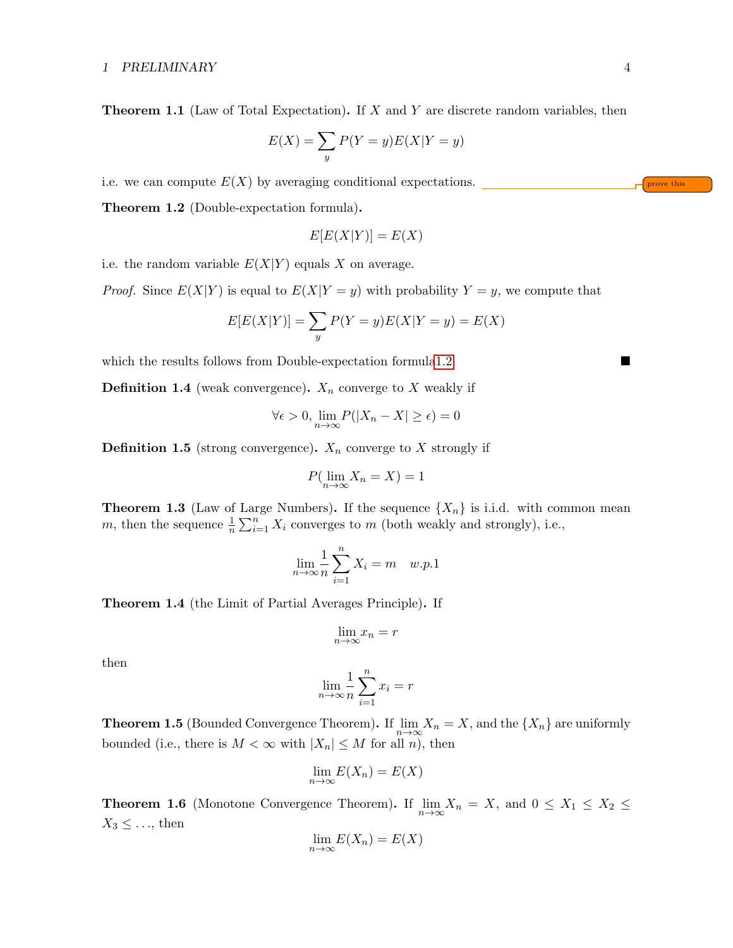**Theorem 1.1** (Law of Total Expectation). If  $X$  and  $Y$  are discrete random variables, then

$$
E(X) = \sum_{y} P(Y = y)E(X|Y = y)
$$

i.e. we can compute  $E(X)$  by averaging conditional expectations.

<span id="page-3-0"></span>Theorem 1.2 (Double-expectation formula).

$$
E[E(X|Y)] = E(X)
$$

i.e. the random variable  $E(X|Y)$  equals X on average.

*Proof.* Since  $E(X|Y)$  is equal to  $E(X|Y = y)$  with probability  $Y = y$ , we compute that

$$
E[E(X|Y)] = \sum_{y} P(Y = y)E(X|Y = y) = E(X)
$$

which the results follows from Double-expectation formul[a1.2.](#page-3-0)

**Definition 1.4** (weak convergence).  $X_n$  converge to X weakly if

$$
\forall \epsilon > 0, \lim_{n \to \infty} P(|X_n - X| \ge \epsilon) = 0
$$

**Definition 1.5** (strong convergence).  $X_n$  converge to X strongly if

$$
P(\lim_{n \to \infty} X_n = X) = 1
$$

<span id="page-3-4"></span>**Theorem 1.3** (Law of Large Numbers). If the sequence  $\{X_n\}$  is i.i.d. with common mean m, then the sequence  $\frac{1}{n} \sum_{i=1}^{n} X_i$  converges to m (both weakly and strongly), i.e.,

$$
\lim_{n \to \infty} \frac{1}{n} \sum_{i=1}^{n} X_i = m \quad w.p.1
$$

<span id="page-3-1"></span>Theorem 1.4 (the Limit of Partial Averages Principle). If

$$
\lim_{n \to \infty} x_n = r
$$

then

$$
\lim_{n \to \infty} \frac{1}{n} \sum_{i=1}^{n} x_i = r
$$

<span id="page-3-2"></span>**Theorem 1.5** (Bounded Convergence Theorem). If  $\lim_{n\to\infty} X_n = X$ , and the  $\{X_n\}$  are uniformly bounded (i.e., there is  $M < \infty$  with  $|X_n| \leq M$  for all n), then

$$
\lim_{n \to \infty} E(X_n) = E(X)
$$

<span id="page-3-3"></span>**Theorem 1.6** (Monotone Convergence Theorem). If  $\lim_{n\to\infty} X_n = X$ , and  $0 \le X_1 \le X_2 \le$  $X_3 \leq \ldots$ , then

$$
\lim_{n \to \infty} E(X_n) = E(X)
$$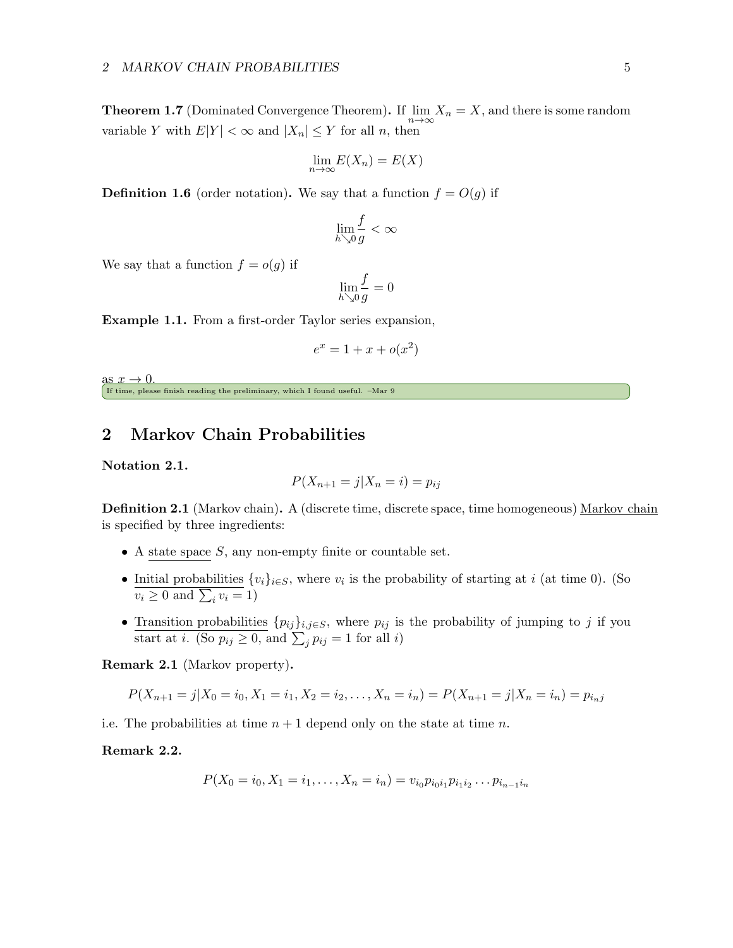<span id="page-4-1"></span>**Theorem 1.7** (Dominated Convergence Theorem). If  $\lim_{n\to\infty} X_n = X$ , and there is some random variable Y with  $E|Y| < \infty$  and  $|X_n| \leq Y$  for all n, then

$$
\lim_{n \to \infty} E(X_n) = E(X)
$$

**Definition 1.6** (order notation). We say that a function  $f = O(g)$  if

$$
\lim_{h\searrow 0}\frac{f}{g}<\infty
$$

We say that a function  $f = o(g)$  if

$$
\lim_{h \searrow 0} \frac{f}{g} = 0
$$

Example 1.1. From a first-order Taylor series expansion,

$$
e^x = 1 + x + o(x^2)
$$

as  $x \to 0$ . If time, please finish reading the preliminary, which I found useful. –Mar 9

## <span id="page-4-0"></span>2 Markov Chain Probabilities

Notation 2.1.

$$
P(X_{n+1} = j | X_n = i) = p_{ij}
$$

Definition 2.1 (Markov chain). A (discrete time, discrete space, time homogeneous) Markov chain is specified by three ingredients:

- A state space  $S$ , any non-empty finite or countable set.
- Initial probabilities  $\{v_i\}_{i\in S}$ , where  $v_i$  is the probability of starting at i (at time 0). (So  $v_i \geq 0$  and  $\sum_i v_i = 1$ )
- Transition probabilities  $\{p_{ij}\}_{i,j\in S}$ , where  $p_{ij}$  is the probability of jumping to j if you start at *i*. (So  $p_{ij} \ge 0$ , and  $\sum_j p_{ij} = 1$  for all *i*)

Remark 2.1 (Markov property).

$$
P(X_{n+1}=j|X_0=i_0,X_1=i_1,X_2=i_2,\ldots,X_n=i_n)=P(X_{n+1}=j|X_n=i_n)=p_{i_nj}
$$

i.e. The probabilities at time  $n + 1$  depend only on the state at time n.

## Remark 2.2.

$$
P(X_0 = i_0, X_1 = i_1, \dots, X_n = i_n) = v_{i_0} p_{i_0 i_1} p_{i_1 i_2} \dots p_{i_{n-1} i_n}
$$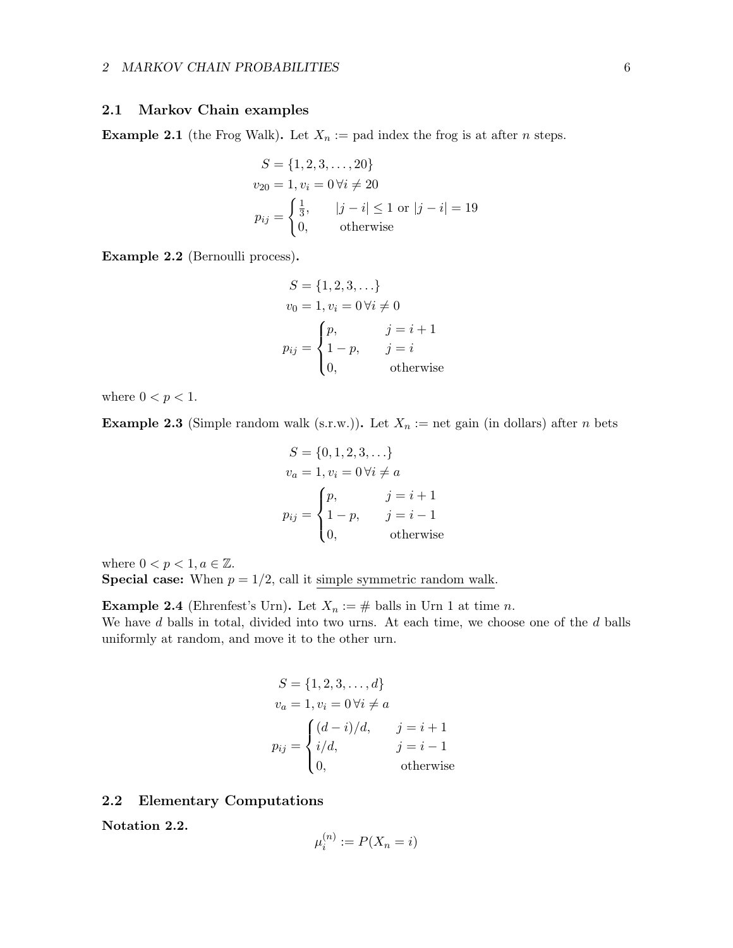## <span id="page-5-0"></span>2.1 Markov Chain examples

**Example 2.1** (the Frog Walk). Let  $X_n :=$  pad index the frog is at after *n* steps.

$$
S = \{1, 2, 3, ..., 20\}
$$
  
\n
$$
v_{20} = 1, v_i = 0 \forall i \neq 20
$$
  
\n
$$
p_{ij} = \begin{cases} \frac{1}{3}, & |j - i| \le 1 \text{ or } |j - i| = 19 \\ 0, & \text{otherwise} \end{cases}
$$

Example 2.2 (Bernoulli process).

$$
S = \{1, 2, 3, ...\}
$$
  
\n
$$
v_0 = 1, v_i = 0 \forall i \neq 0
$$
  
\n
$$
p_{ij} = \begin{cases} p, & j = i + 1 \\ 1 - p, & j = i \\ 0, & \text{otherwise} \end{cases}
$$

where  $0 < p < 1$ .

**Example 2.3** (Simple random walk (s.r.w.)). Let  $X_n :=$  net gain (in dollars) after n bets

$$
S = \{0, 1, 2, 3, ...\}
$$
  
\n
$$
v_a = 1, v_i = 0 \forall i \neq a
$$
  
\n
$$
p_{ij} = \begin{cases} p, & j = i + 1 \\ 1 - p, & j = i - 1 \\ 0, & \text{otherwise} \end{cases}
$$

where  $0 < p < 1, a \in \mathbb{Z}$ . **Special case:** When  $p = 1/2$ , call it simple symmetric random walk.

**Example 2.4** (Ehrenfest's Urn). Let  $X_n := \#$  balls in Urn 1 at time n.

We have d balls in total, divided into two urns. At each time, we choose one of the d balls uniformly at random, and move it to the other urn.

$$
S = \{1, 2, 3, \dots, d\}
$$
  
\n
$$
v_a = 1, v_i = 0 \forall i \neq a
$$
  
\n
$$
p_{ij} = \begin{cases} (d-i)/d, & j = i+1 \\ i/d, & j = i-1 \\ 0, & \text{otherwise} \end{cases}
$$

## <span id="page-5-1"></span>2.2 Elementary Computations

Notation 2.2.

$$
\mu_i^{(n)} := P(X_n = i)
$$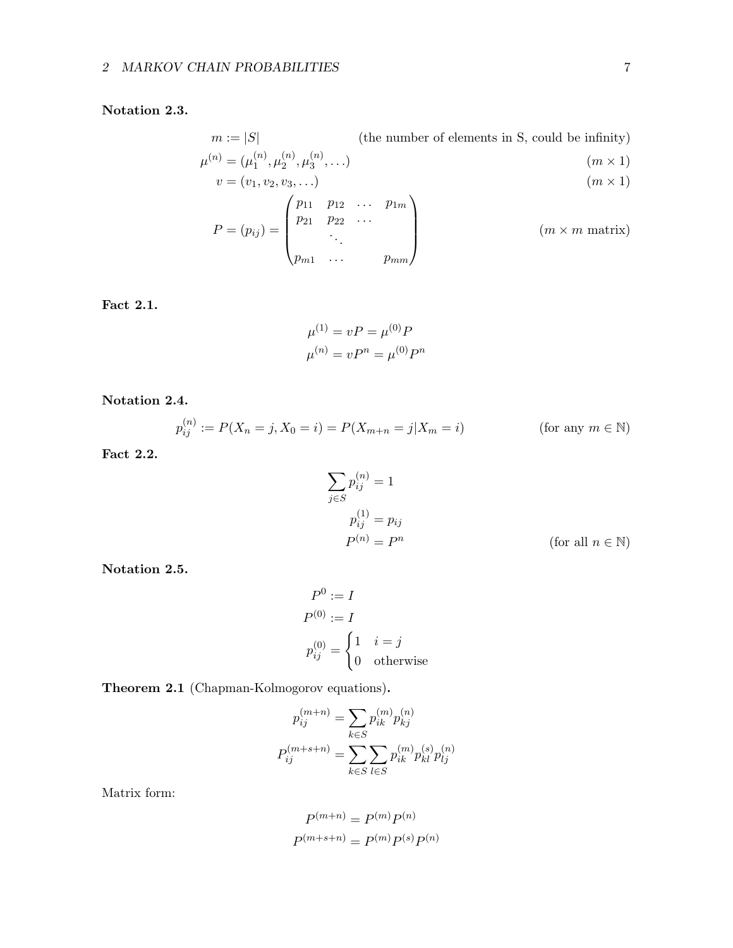## Notation 2.3.

$$
m := |S| \qquad \text{(the number of elements in S, could be infinity)}
$$
\n
$$
\mu^{(n)} = (\mu_1^{(n)}, \mu_2^{(n)}, \mu_3^{(n)}, \dots) \qquad (m \times 1)
$$
\n
$$
v = (v_1, v_2, v_3, \dots)
$$
\n
$$
P = (p_{ij}) = \begin{pmatrix} p_{11} & p_{12} & \cdots & p_{1m} \\ p_{21} & p_{22} & \cdots & \\ \vdots & \vdots & \ddots & \\ p_{m1} & \cdots & p_{mm} \end{pmatrix} \qquad (m \times m \text{ matrix})
$$

Fact 2.1.

$$
\mu^{(1)} = vP = \mu^{(0)}P
$$

$$
\mu^{(n)} = vP^n = \mu^{(0)}P^n
$$

Notation 2.4.

$$
p_{ij}^{(n)} := P(X_n = j, X_0 = i) = P(X_{m+n} = j | X_m = i)
$$
 (for any  $m \in \mathbb{N}$ )

Fact 2.2.

$$
\sum_{j \in S} p_{ij}^{(n)} = 1
$$
  

$$
p_{ij}^{(1)} = p_{ij}
$$
  

$$
P^{(n)} = P^n
$$
 (for all  $n \in \mathbb{N}$ )

Notation 2.5.

$$
P^{0} := I
$$
  
\n
$$
P^{(0)} := I
$$
  
\n
$$
p_{ij}^{(0)} = \begin{cases} 1 & i = j \\ 0 & \text{otherwise} \end{cases}
$$

<span id="page-6-0"></span>Theorem 2.1 (Chapman-Kolmogorov equations).

$$
p_{ij}^{(m+n)} = \sum_{k \in S} p_{ik}^{(m)} p_{kj}^{(n)}
$$

$$
P_{ij}^{(m+s+n)} = \sum_{k \in S} \sum_{l \in S} p_{ik}^{(m)} p_{kl}^{(s)} p_{lj}^{(n)}
$$

Matrix form:

$$
P^{(m+n)} = P^{(m)}P^{(n)}
$$

$$
P^{(m+s+n)} = P^{(m)}P^{(s)}P^{(n)}
$$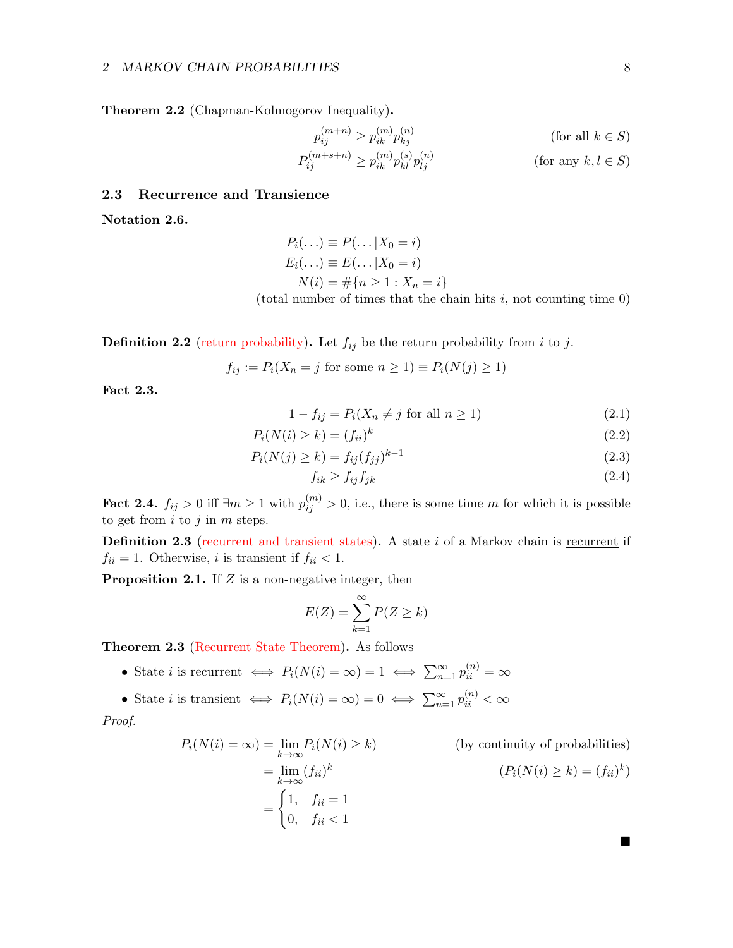<span id="page-7-1"></span>Theorem 2.2 (Chapman-Kolmogorov Inequality).

$$
p_{ij}^{(m+n)} \ge p_{ik}^{(m)} p_{kj}^{(n)}
$$
 (for all  $k \in S$ )  

$$
P_{ij}^{(m+s+n)} \ge p_{ik}^{(m)} p_{kl}^{(s)} p_{lj}^{(n)}
$$
 (for any  $k, l \in S$ )

## <span id="page-7-0"></span>2.3 Recurrence and Transience

Notation 2.6.

$$
P_i(\ldots) \equiv P(\ldots | X_0 = i)
$$
  
\n
$$
E_i(\ldots) \equiv E(\ldots | X_0 = i)
$$
  
\n
$$
N(i) = #\{n \ge 1 : X_n = i\}
$$
  
\n(total number of times that the chain hits *i*, not counting time 0)

**Definition 2.2** (return probability). Let  $f_{ij}$  be the return probability from i to j.

$$
f_{ij} := P_i(X_n = j \text{ for some } n \ge 1) \equiv P_i(N(j) \ge 1)
$$

Fact 2.3.

$$
1 - f_{ij} = P_i(X_n \neq j \text{ for all } n \ge 1)
$$
\n
$$
(2.1)
$$

$$
P_i(N(i) \ge k) = (f_{ii})^k \tag{2.2}
$$

$$
P_i(N(j) \ge k) = f_{ij}(f_{jj})^{k-1}
$$
\n(2.3)

$$
f_{ik} \ge f_{ij} f_{jk} \tag{2.4}
$$

Fact 2.4.  $f_{ij} > 0$  iff  $\exists m \ge 1$  with  $p_{ij}^{(m)} > 0$ , i.e., there is some time m for which it is possible to get from  $i$  to  $j$  in  $m$  steps.

Definition 2.3 (recurrent and transient states). A state i of a Markov chain is recurrent if  $f_{ii} = 1$ . Otherwise, *i* is <u>transient</u> if  $f_{ii} < 1$ .

**Proposition 2.1.** If  $Z$  is a non-negative integer, then

$$
E(Z) = \sum_{k=1}^{\infty} P(Z \ge k)
$$

Theorem 2.3 (Recurrent State Theorem). As follows

- State *i* is recurrent  $\Leftrightarrow$   $P_i(N(i) = \infty) = 1 \Leftrightarrow \sum_{n=1}^{\infty} p_{ii}^{(n)} = \infty$
- State *i* is transient  $\Leftrightarrow P_i(N(i) = \infty) = 0 \Leftrightarrow \sum_{n=1}^{\infty} p_{ii}^{(n)} < \infty$

Proof.

$$
P_i(N(i) = \infty) = \lim_{k \to \infty} P_i(N(i) \ge k)
$$
 (by continuity of probabilities)  
= 
$$
\lim_{k \to \infty} (f_{ii})^k
$$
  $(P_i(N(i) \ge k) = (f_{ii})^k)$   
= 
$$
\begin{cases} 1, & f_{ii} = 1 \\ 0, & f_{ii} < 1 \end{cases}
$$

ш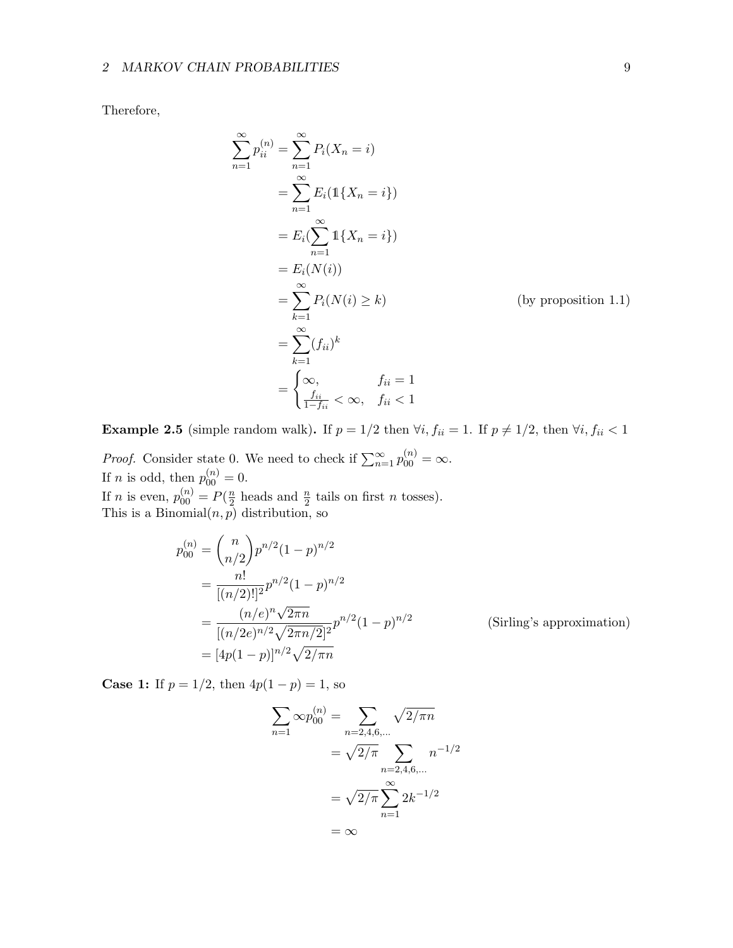Therefore,

$$
\sum_{n=1}^{\infty} p_{ii}^{(n)} = \sum_{n=1}^{\infty} P_i(X_n = i)
$$
  
= 
$$
\sum_{n=1}^{\infty} E_i(\mathbb{1}\{X_n = i\})
$$
  
= 
$$
E_i(\sum_{n=1}^{\infty} \mathbb{1}\{X_n = i\})
$$
  
= 
$$
E_i(N(i))
$$
  
= 
$$
\sum_{k=1}^{\infty} P_i(N(i) \ge k)
$$
 (by proposition 1.1)  
= 
$$
\sum_{k=1}^{\infty} (f_{ii})^k
$$
  
= 
$$
\begin{cases} \infty, & f_{ii} = 1 \\ \frac{f_{ii}}{1 - f_{ii}} < \infty, & f_{ii} < 1 \end{cases}
$$

Example 2.5 (simple random walk). If  $p = 1/2$  then  $\forall i, f_{ii} = 1$ . If  $p \neq 1/2$ , then  $\forall i, f_{ii} < 1$ 

*Proof.* Consider state 0. We need to check if  $\sum_{n=1}^{\infty} p_{00}^{(n)} = \infty$ . If *n* is odd, then  $p_{00}^{(n)} = 0$ . If *n* is even,  $p_{00}^{(n)} = P(\frac{n}{2})$  $\frac{n}{2}$  heads and  $\frac{n}{2}$  tails on first *n* tosses). This is a Binomial $(n, p)$  distribution, so

$$
p_{00}^{(n)} = {n \choose n/2} p^{n/2} (1-p)^{n/2}
$$
  
= 
$$
\frac{n!}{[(n/2)!]^2} p^{n/2} (1-p)^{n/2}
$$
  
= 
$$
\frac{(n/e)^n \sqrt{2\pi n}}{[(n/2e)^{n/2} \sqrt{2\pi n/2}]^2} p^{n/2} (1-p)^{n/2}
$$
 (Sirling's approximation)  
= 
$$
[4p(1-p)]^{n/2} \sqrt{2/\pi n}
$$

**Case 1:** If  $p = 1/2$ , then  $4p(1 - p) = 1$ , so

$$
\sum_{n=1}^{\infty} \infty p_{00}^{(n)} = \sum_{n=2,4,6,...} \sqrt{2/\pi n}
$$

$$
= \sqrt{2/\pi} \sum_{n=2,4,6,...} n^{-1/2}
$$

$$
= \sqrt{2/\pi} \sum_{n=1}^{\infty} 2k^{-1/2}
$$

$$
= \infty
$$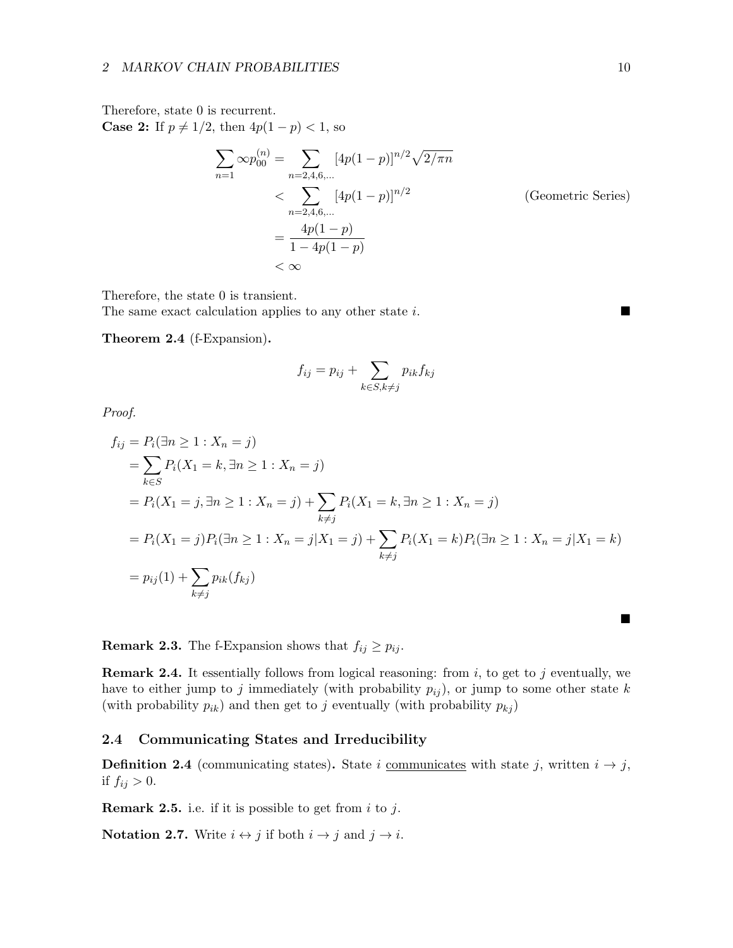Therefore, state 0 is recurrent. **Case 2:** If  $p \neq 1/2$ , then  $4p(1-p) < 1$ , so

$$
\sum_{n=1}^{\infty} \infty p_{00}^{(n)} = \sum_{n=2,4,6,...} [4p(1-p)]^{n/2} \sqrt{2/\pi n}
$$
  
< 
$$
< \sum_{n=2,4,6,...} [4p(1-p)]^{n/2}
$$
 (Geometric Series)  

$$
= \frac{4p(1-p)}{1-4p(1-p)}
$$
  
< 
$$
< \infty
$$

Therefore, the state 0 is transient.

The same exact calculation applies to any other state i.

 $\blacksquare$ 

Theorem 2.4 (f-Expansion).

$$
f_{ij} = p_{ij} + \sum_{k \in S, k \neq j} p_{ik} f_{kj}
$$

Proof.

$$
f_{ij} = P_i(\exists n \ge 1 : X_n = j)
$$
  
=  $\sum_{k \in S} P_i(X_1 = k, \exists n \ge 1 : X_n = j)$   
=  $P_i(X_1 = j, \exists n \ge 1 : X_n = j) + \sum_{k \ne j} P_i(X_1 = k, \exists n \ge 1 : X_n = j)$   
=  $P_i(X_1 = j)P_i(\exists n \ge 1 : X_n = j | X_1 = j) + \sum_{k \ne j} P_i(X_1 = k)P_i(\exists n \ge 1 : X_n = j | X_1 = k)$   
=  $p_{ij}(1) + \sum_{k \ne j} p_{ik}(f_{kj})$ 

**Remark 2.3.** The f-Expansion shows that  $f_{ij} \ge p_{ij}$ .

**Remark 2.4.** It essentially follows from logical reasoning: from  $i$ , to get to  $j$  eventually, we have to either jump to j immediately (with probability  $p_{ij}$ ), or jump to some other state k (with probability  $p_{ik}$ ) and then get to j eventually (with probability  $p_{kj}$ )

## <span id="page-9-0"></span>2.4 Communicating States and Irreducibility

**Definition 2.4** (communicating states). State i communicates with state j, written  $i \rightarrow j$ , if  $f_{ij} > 0$ .

**Remark 2.5.** i.e. if it is possible to get from  $i$  to  $j$ .

**Notation 2.7.** Write  $i \leftrightarrow j$  if both  $i \rightarrow j$  and  $j \rightarrow i$ .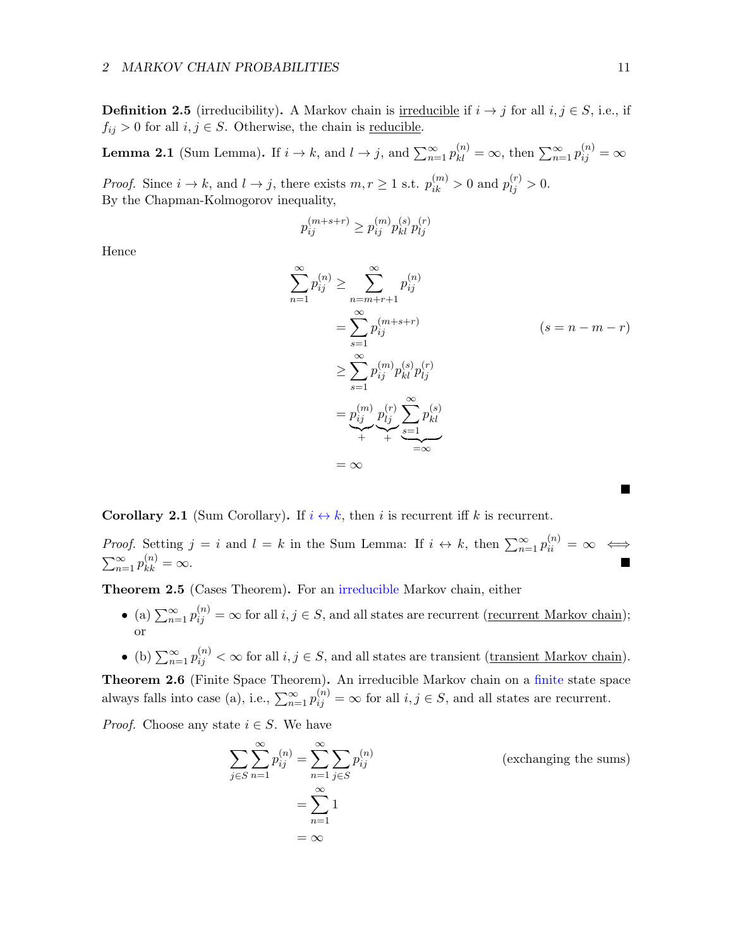**Definition 2.5** (irreducibility). A Markov chain is <u>irreducible</u> if  $i \rightarrow j$  for all  $i, j \in S$ , i.e., if  $f_{ij} > 0$  for all  $i, j \in S$ . Otherwise, the chain is <u>reducible</u>.

**Lemma 2.1** (Sum Lemma). If  $i \to k$ , and  $l \to j$ , and  $\sum_{n=1}^{\infty} p_{kl}^{(n)} = \infty$ , then  $\sum_{n=1}^{\infty} p_{ij}^{(n)} = \infty$ 

*Proof.* Since  $i \to k$ , and  $l \to j$ , there exists  $m, r \ge 1$  s.t.  $p_{ik}^{(m)} > 0$  and  $p_{lj}^{(r)} > 0$ . By the Chapman-Kolmogorov inequality,

$$
p_{ij}^{(m+s+r)} \geq p_{ij}^{(m)} p_{kl}^{(s)} p_{lj}^{(r)}
$$

Hence

$$
\sum_{n=1}^{\infty} p_{ij}^{(n)} \ge \sum_{n=m+r+1}^{\infty} p_{ij}^{(n)}
$$
  
= 
$$
\sum_{s=1}^{\infty} p_{ij}^{(m+s+r)}
$$
  $(s = n - m - r)$   

$$
\ge \sum_{s=1}^{\infty} p_{ij}^{(m)} p_{kl}^{(s)} p_{lj}^{(r)}
$$
  
= 
$$
p_{ij}^{(m)} p_{lj}^{(r)} \sum_{s=1}^{\infty} p_{kl}^{(s)}
$$
  
= 
$$
\infty
$$

**Corollary 2.1** (Sum Corollary). If  $i \leftrightarrow k$ , then i is recurrent iff k is recurrent.

*Proof.* Setting  $j = i$  and  $l = k$  in the Sum Lemma: If  $i \leftrightarrow k$ , then  $\sum_{n=1}^{\infty} p_{ii}^{(n)} = \infty \iff$  $\sum_{n=1}^{\infty} p_{kk}^{(n)}$  $\lambda_{kk}^{(n)} = \infty.$ 

Theorem 2.5 (Cases Theorem). For an irreducible Markov chain, either

- (a)  $\sum_{n=1}^{\infty} p_{ij}^{(n)} = \infty$  for all  $i, j \in S$ , and all states are recurrent (<u>recurrent Markov chain</u>); or
- (b)  $\sum_{n=1}^{\infty} p_{ij}^{(n)} < \infty$  for all  $i, j \in S$ , and all states are transient (transient Markov chain).

Theorem 2.6 (Finite Space Theorem). An irreducible Markov chain on a finite state space always falls into case (a), i.e.,  $\sum_{n=1}^{\infty} p_{ij}^{(n)} = \infty$  for all  $i, j \in S$ , and all states are recurrent.

*Proof.* Choose any state  $i \in S$ . We have

$$
\sum_{j \in S} \sum_{n=1}^{\infty} p_{ij}^{(n)} = \sum_{n=1}^{\infty} \sum_{j \in S} p_{ij}^{(n)}
$$
 (exchanging the sums)  

$$
= \sum_{n=1}^{\infty} 1
$$
  

$$
= \infty
$$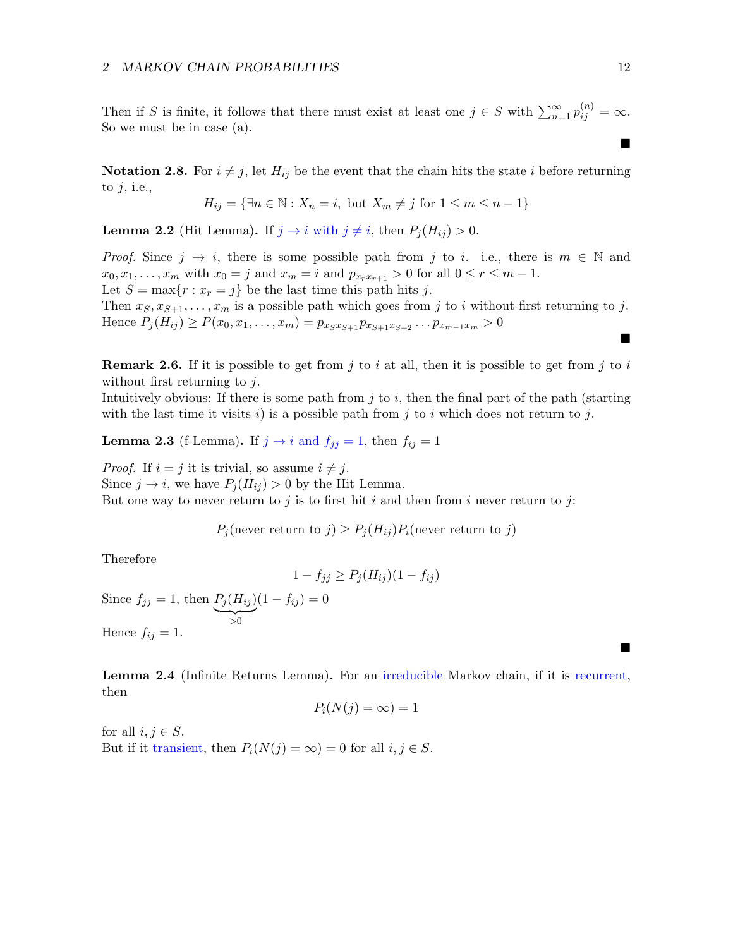Then if S is finite, it follows that there must exist at least one  $j \in S$  with  $\sum_{n=1}^{\infty} p_{ij}^{(n)} = \infty$ . So we must be in case (a).

**Notation 2.8.** For  $i \neq j$ , let  $H_{ij}$  be the event that the chain hits the state i before returning to  $j$ , i.e.,

$$
H_{ij} = \{ \exists n \in \mathbb{N} : X_n = i, \text{ but } X_m \neq j \text{ for } 1 \leq m \leq n-1 \}
$$

**Lemma 2.2** (Hit Lemma). If  $j \to i$  with  $j \neq i$ , then  $P_i (H_{ij}) > 0$ .

*Proof.* Since  $j \rightarrow i$ , there is some possible path from j to i. i.e., there is  $m \in \mathbb{N}$  and  $x_0, x_1, \ldots, x_m$  with  $x_0 = j$  and  $x_m = i$  and  $p_{x_rx_{r+1}} > 0$  for all  $0 \le r \le m - 1$ . Let  $S = \max\{r : x_r = j\}$  be the last time this path hits j.

Then  $x_S, x_{S+1}, \ldots, x_m$  is a possible path which goes from j to i without first returning to j. Hence  $P_i(H_{ij}) \ge P(x_0, x_1, \ldots, x_m) = p_{x,sx_{S+1}} p_{x_{S+1}x_{S+2}} \ldots p_{x_{m-1}x_m} > 0$ 

**Remark 2.6.** If it is possible to get from j to i at all, then it is possible to get from j to i without first returning to  $j$ .

Intuitively obvious: If there is some path from  $j$  to  $i$ , then the final part of the path (starting with the last time it visits  $i)$  is a possible path from  $j$  to  $i$  which does not return to  $j$ .

**Lemma 2.3** (f-Lemma). If  $j \rightarrow i$  and  $f_{ij} = 1$ , then  $f_{ij} = 1$ 

*Proof.* If  $i = j$  it is trivial, so assume  $i \neq j$ . Since  $j \to i$ , we have  $P_i(H_{ij}) > 0$  by the Hit Lemma. But one way to never return to j is to first hit i and then from i never return to j:

 $P_i$ (never return to j)  $\ge P_i(H_{ij})P_i$ (never return to j)

Therefore

$$
1 - f_{jj} \ge P_j(H_{ij})(1 - f_{ij})
$$

Since  $f_{jj} = 1$ , then  $P_j(H_{ij})$  $\rightarrow 0$  $(1 - f_{ij}) = 0$ Hence  $f_{ij} = 1$ .

Lemma 2.4 (Infinite Returns Lemma). For an irreducible Markov chain, if it is recurrent, then

$$
P_i(N(j) = \infty) = 1
$$

for all  $i, j \in S$ . But if it transient, then  $P_i(N(j) = \infty) = 0$  for all  $i, j \in S$ .  $\blacksquare$ 

 $\blacksquare$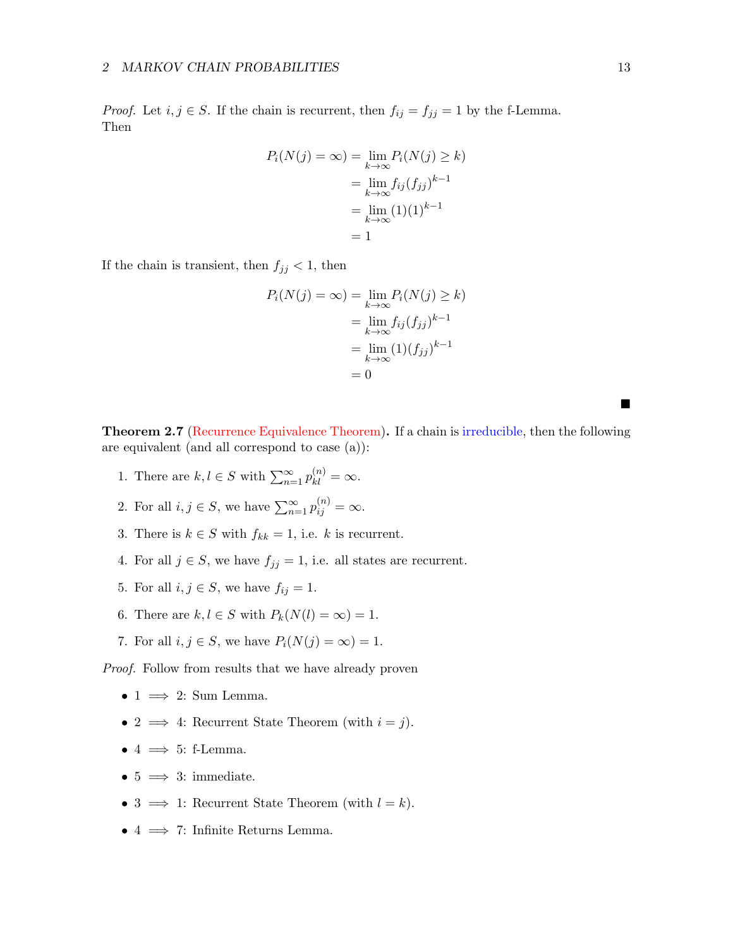*Proof.* Let  $i, j \in S$ . If the chain is recurrent, then  $f_{ij} = f_{jj} = 1$  by the f-Lemma. Then

$$
P_i(N(j) = \infty) = \lim_{k \to \infty} P_i(N(j) \ge k)
$$

$$
= \lim_{k \to \infty} f_{ij}(f_{jj})^{k-1}
$$

$$
= \lim_{k \to \infty} (1)(1)^{k-1}
$$

$$
= 1
$$

If the chain is transient, then  $f_{jj} < 1$ , then

$$
P_i(N(j) = \infty) = \lim_{k \to \infty} P_i(N(j) \ge k)
$$
  
= 
$$
\lim_{k \to \infty} f_{ij}(f_{jj})^{k-1}
$$
  
= 
$$
\lim_{k \to \infty} (1)(f_{jj})^{k-1}
$$
  
= 0

Theorem 2.7 (Recurrence Equivalence Theorem). If a chain is irreducible, then the following are equivalent (and all correspond to case (a)):

- 1. There are  $k, l \in S$  with  $\sum_{n=1}^{\infty} p_{kl}^{(n)} = \infty$ .
- 2. For all  $i, j \in S$ , we have  $\sum_{n=1}^{\infty} p_{ij}^{(n)} = \infty$ .
- 3. There is  $k \in S$  with  $f_{kk} = 1$ , i.e. k is recurrent.
- 4. For all  $j \in S$ , we have  $f_{jj} = 1$ , i.e. all states are recurrent.
- 5. For all  $i, j \in S$ , we have  $f_{ij} = 1$ .
- 6. There are  $k, l \in S$  with  $P_k(N(l) = \infty) = 1$ .
- 7. For all  $i, j \in S$ , we have  $P_i(N(j) = \infty) = 1$ .

Proof. Follow from results that we have already proven

- 1  $\implies$  2: Sum Lemma.
- 2  $\implies$  4: Recurrent State Theorem (with  $i = j$ ).
- 4  $\implies$  5: f-Lemma.
- $5 \implies 3:$  immediate.
- 3  $\implies$  1: Recurrent State Theorem (with  $l = k$ ).
- 4  $\implies$  7: Infinite Returns Lemma.

■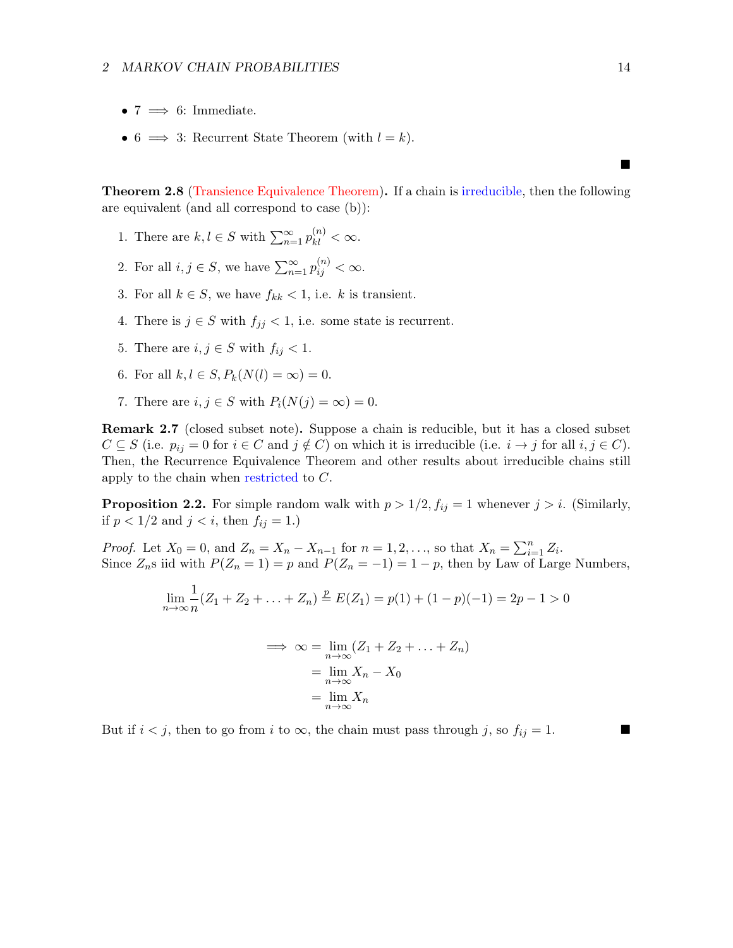- $7 \implies 6$ : Immediate.
- 6  $\implies$  3: Recurrent State Theorem (with  $l = k$ ).

Theorem 2.8 (Transience Equivalence Theorem). If a chain is irreducible, then the following are equivalent (and all correspond to case (b)):

- 1. There are  $k, l \in S$  with  $\sum_{n=1}^{\infty} p_{kl}^{(n)} < \infty$ .
- 2. For all  $i, j \in S$ , we have  $\sum_{n=1}^{\infty} p_{ij}^{(n)} < \infty$ .
- 3. For all  $k \in S$ , we have  $f_{kk} < 1$ , i.e. k is transient.
- 4. There is  $j \in S$  with  $f_{jj} < 1$ , i.e. some state is recurrent.
- 5. There are  $i, j \in S$  with  $f_{ij} < 1$ .
- 6. For all  $k, l \in S, P_k(N(l) = \infty) = 0$ .
- 7. There are  $i, j \in S$  with  $P_i(N(j) = \infty) = 0$ .

Remark 2.7 (closed subset note). Suppose a chain is reducible, but it has a closed subset  $C \subseteq S$  (i.e.  $p_{ij} = 0$  for  $i \in C$  and  $j \notin C$ ) on which it is irreducible (i.e.  $i \to j$  for all  $i, j \in C$ ). Then, the Recurrence Equivalence Theorem and other results about irreducible chains still apply to the chain when restricted to C.

**Proposition 2.2.** For simple random walk with  $p > 1/2$ ,  $f_{ij} = 1$  whenever  $j > i$ . (Similarly, if  $p < 1/2$  and  $j < i$ , then  $f_{ij} = 1$ .)

*Proof.* Let  $X_0 = 0$ , and  $Z_n = X_n - X_{n-1}$  for  $n = 1, 2, ...,$  so that  $X_n = \sum_{i=1}^n Z_i$ . Since  $Z_n$ s iid with  $P(Z_n = 1) = p$  and  $P(Z_n = -1) = 1 - p$ , then by Law of Large Numbers,

$$
\lim_{n \to \infty} \frac{1}{n} (Z_1 + Z_2 + \dots + Z_n) \stackrel{p}{=} E(Z_1) = p(1) + (1 - p)(-1) = 2p - 1 > 0
$$

$$
\Rightarrow \infty = \lim_{n \to \infty} (Z_1 + Z_2 + \dots + Z_n)
$$

$$
= \lim_{n \to \infty} X_n - X_0
$$

$$
= \lim_{n \to \infty} X_n
$$

But if  $i < j$ , then to go from i to  $\infty$ , the chain must pass through j, so  $f_{ij} = 1$ .

■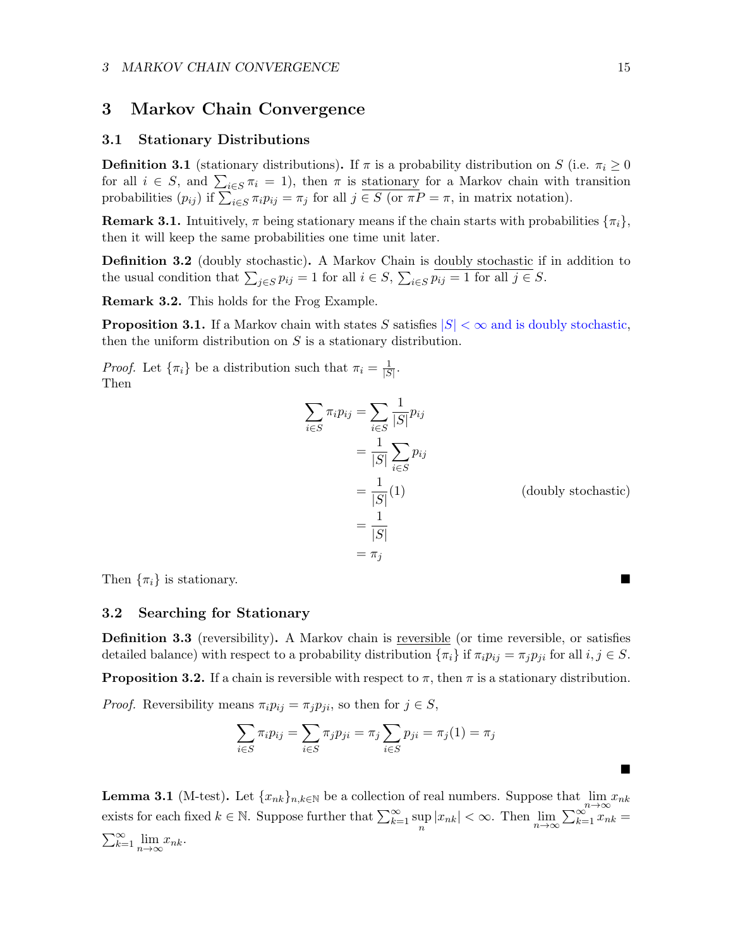## <span id="page-14-0"></span>3 Markov Chain Convergence

#### <span id="page-14-1"></span>3.1 Stationary Distributions

**Definition 3.1** (stationary distributions). If  $\pi$  is a probability distribution on S (i.e.  $\pi_i \geq 0$ for all  $i \in S$ , and  $\sum_{i \in S} \pi_i = 1$ , then  $\pi$  is <u>stationary</u> for a Markov chain with transition probabilities  $(p_{ij})$  if  $\sum_{i \in S} \pi_i p_{ij} = \pi_j$  for all  $j \in S$  (or  $\pi P = \pi$ , in matrix notation).

**Remark 3.1.** Intuitively,  $\pi$  being stationary means if the chain starts with probabilities  $\{\pi_i\}$ , then it will keep the same probabilities one time unit later.

**Definition 3.2** (doubly stochastic). A Markov Chain is doubly stochastic if in addition to the usual condition that  $\sum_{j \in S} p_{ij} = 1$  for all  $i \in S$ ,  $\sum_{i \in S} p_{ij} = 1$  for all  $j \in S$ .

Remark 3.2. This holds for the Frog Example.

**Proposition 3.1.** If a Markov chain with states S satisfies  $|S| < \infty$  and is doubly stochastic, then the uniform distribution on  $S$  is a stationary distribution.

*Proof.* Let  $\{\pi_i\}$  be a distribution such that  $\pi_i = \frac{1}{|S_i|}$  $\frac{1}{|S|}$ . Then

$$
\sum_{i \in S} \pi_i p_{ij} = \sum_{i \in S} \frac{1}{|S|} p_{ij}
$$
  
=  $\frac{1}{|S|} \sum_{i \in S} p_{ij}$   
=  $\frac{1}{|S|}(1)$  (doubly stochastic)  
=  $\frac{1}{|S|}$   
=  $\pi_j$ 

Then  $\{\pi_i\}$  is stationary.

## <span id="page-14-2"></span>3.2 Searching for Stationary

**Definition 3.3** (reversibility). A Markov chain is reversible (or time reversible, or satisfies detailed balance) with respect to a probability distribution  $\{\pi_i\}$  if  $\pi_i p_{ij} = \pi_j p_{ji}$  for all  $i, j \in S$ .

<span id="page-14-3"></span>**Proposition 3.2.** If a chain is reversible with respect to  $\pi$ , then  $\pi$  is a stationary distribution.

*Proof.* Reversibility means  $\pi_i p_{ij} = \pi_j p_{ji}$ , so then for  $j \in S$ ,

$$
\sum_{i \in S} \pi_i p_{ij} = \sum_{i \in S} \pi_j p_{ji} = \pi_j \sum_{i \in S} p_{ji} = \pi_j (1) = \pi_j
$$

**Lemma 3.1** (M-test). Let  $\{x_{nk}\}_{n,k\in\mathbb{N}}$  be a collection of real numbers. Suppose that  $\lim_{n\to\infty}x_{nk}$ exists for each fixed  $k \in \mathbb{N}$ . Suppose further that  $\sum_{k=1}^{\infty} \sup_{n} |x_{nk}| < \infty$ . Then  $\lim_{n \to \infty} \sum_{k=1}^{\infty} \sum_{n=1}^{\infty} x_{nk} =$  $\sum_{k=1}^{\infty} \lim_{n \to \infty} x_{nk}.$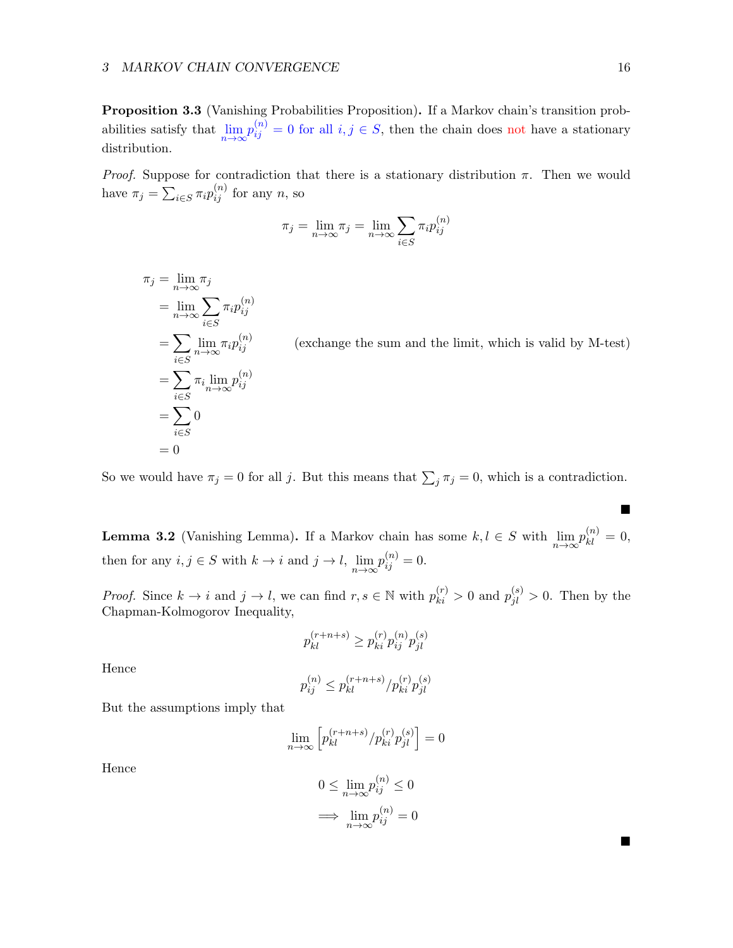Proposition 3.3 (Vanishing Probabilities Proposition). If a Markov chain's transition probabilities satisfy that  $\lim_{n\to\infty} p_{ij}^{(n)} = 0$  for all  $i, j \in S$ , then the chain does not have a stationary distribution.

*Proof.* Suppose for contradiction that there is a stationary distribution  $\pi$ . Then we would have  $\pi_j = \sum_{i \in S} \pi_i p_{ij}^{(n)}$  for any n, so

$$
\pi_j = \lim_{n \to \infty} \pi_j = \lim_{n \to \infty} \sum_{i \in S} \pi_i p_{ij}^{(n)}
$$

$$
\pi_j = \lim_{n \to \infty} \pi_j
$$
  
= 
$$
\lim_{n \to \infty} \sum_{i \in S} \pi_i p_{ij}^{(n)}
$$
  
= 
$$
\sum_{i \in S} \lim_{n \to \infty} \pi_i p_{ij}^{(n)}
$$
  
= 
$$
\sum_{i \in S} \pi_i \lim_{n \to \infty} p_{ij}^{(n)}
$$
  
= 
$$
\sum_{i \in S} 0
$$
  
= 0

 $(exchange the sum and the limit, which is valid by M-test)$ 

So we would have  $\pi_j = 0$  for all j. But this means that  $\sum_j \pi_j = 0$ , which is a contradiction.

**Lemma 3.2** (Vanishing Lemma). If a Markov chain has some  $k, l \in S$  with  $\lim_{n\to\infty} p_{kl}^{(n)} = 0$ , then for any  $i, j \in S$  with  $k \to i$  and  $j \to l$ ,  $\lim_{n \to \infty} p_{ij}^{(n)} = 0$ .

*Proof.* Since  $k \to i$  and  $j \to l$ , we can find  $r, s \in \mathbb{N}$  with  $p_{ki}^{(r)} > 0$  and  $p_{jl}^{(s)} > 0$ . Then by the Chapman-Kolmogorov Inequality,

$$
p_{kl}^{(r+n+s)} \ge p_{ki}^{(r)} p_{ij}^{(n)} p_{jl}^{(s)}
$$

Hence

$$
p_{ij}^{(n)} \leq p_{kl}^{(r+n+s)}/p_{ki}^{(r)} p_{jl}^{(s)}
$$

But the assumptions imply that

$$
\lim_{n\to\infty}\Big[p^{(r+n+s)}_{kl}/p^{(r)}_{ki}p^{(s)}_{jl}\Big]=0
$$

Hence

$$
0 \le \lim_{n \to \infty} p_{ij}^{(n)} \le 0
$$

$$
\implies \lim_{n \to \infty} p_{ij}^{(n)} = 0
$$

 $\blacksquare$ 

ш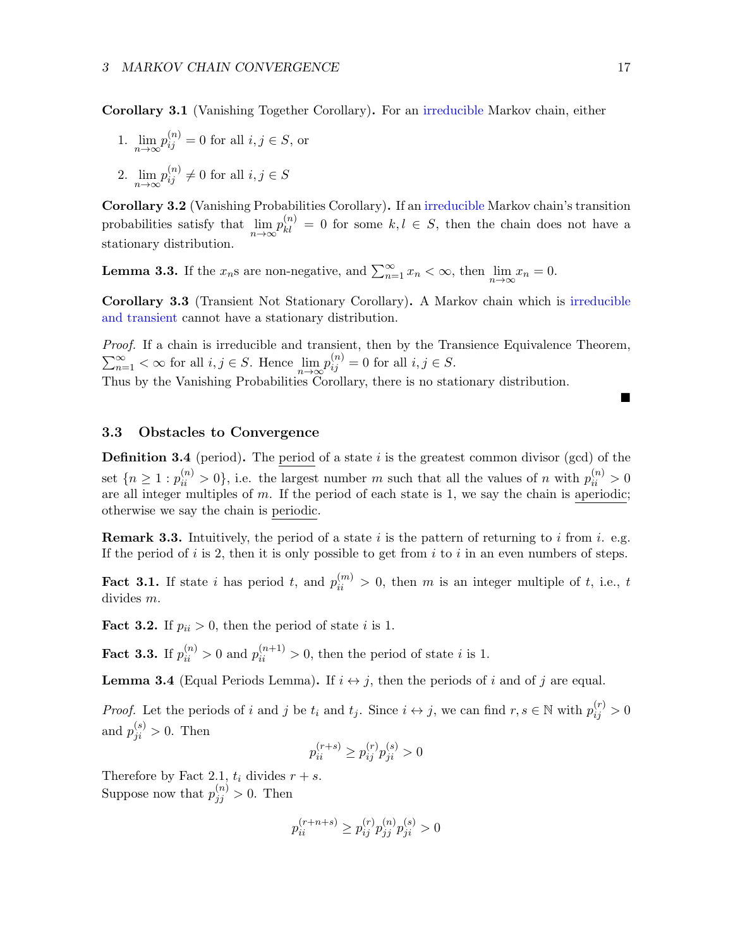Corollary 3.1 (Vanishing Together Corollary). For an irreducible Markov chain, either

- 1.  $\lim_{n\to\infty} p_{ij}^{(n)} = 0$  for all  $i, j \in S$ , or
- 2.  $\lim_{n\to\infty}p_{ij}^{(n)}\neq 0$  for all  $i, j \in S$

Corollary 3.2 (Vanishing Probabilities Corollary). If an irreducible Markov chain's transition probabilities satisfy that  $\lim_{n\to\infty} p_{kl}^{(n)} = 0$  for some  $k, l \in S$ , then the chain does not have a stationary distribution.

**Lemma 3.3.** If the  $x_n$ s are non-negative, and  $\sum_{n=1}^{\infty} x_n < \infty$ , then  $\lim_{n \to \infty} x_n = 0$ .

Corollary 3.3 (Transient Not Stationary Corollary). A Markov chain which is irreducible and transient cannot have a stationary distribution.

Proof. If a chain is irreducible and transient, then by the Transience Equivalence Theorem,  $\sum_{n=1}^{\infty}$  <  $\infty$  for all  $i, j \in S$ . Hence  $\lim_{n \to \infty} p_{ij}^{(n)} = 0$  for all  $i, j \in S$ . Thus by the Vanishing Probabilities Corollary, there is no stationary distribution.

## <span id="page-16-0"></span>3.3 Obstacles to Convergence

**Definition 3.4** (period). The period of a state i is the greatest common divisor (gcd) of the set  ${n \geq 1 : p_{ii}^{(n)} > 0}$ , i.e. the largest number m such that all the values of n with  $p_{ii}^{(n)} > 0$ are all integer multiples of  $m$ . If the period of each state is 1, we say the chain is aperiodic; otherwise we say the chain is periodic.

**Remark 3.3.** Intuitively, the period of a state i is the pattern of returning to i from i. e.g. If the period of i is 2, then it is only possible to get from i to i in an even numbers of steps.

**Fact 3.1.** If state i has period t, and  $p_{ii}^{(m)} > 0$ , then m is an integer multiple of t, i.e., t divides m.

**Fact 3.2.** If  $p_{ii} > 0$ , then the period of state i is 1.

**Fact 3.3.** If  $p_{ii}^{(n)} > 0$  and  $p_{ii}^{(n+1)} > 0$ , then the period of state *i* is 1.

**Lemma 3.4** (Equal Periods Lemma). If  $i \leftrightarrow j$ , then the periods of i and of j are equal.

*Proof.* Let the periods of i and j be  $t_i$  and  $t_j$ . Since  $i \leftrightarrow j$ , we can find  $r, s \in \mathbb{N}$  with  $p_{ij}^{(r)} > 0$ and  $p_{ji}^{(s)} > 0$ . Then

$$
p_{ii}^{(r+s)} \ge p_{ij}^{(r)} p_{ji}^{(s)} > 0
$$

Therefore by Fact 2.1,  $t_i$  divides  $r + s$ .

Suppose now that  $p_{jj}^{(n)} > 0$ . Then

$$
p_{ii}^{(r+n+s)} \ge p_{ij}^{(r)} p_{jj}^{(n)} p_{ji}^{(s)} > 0
$$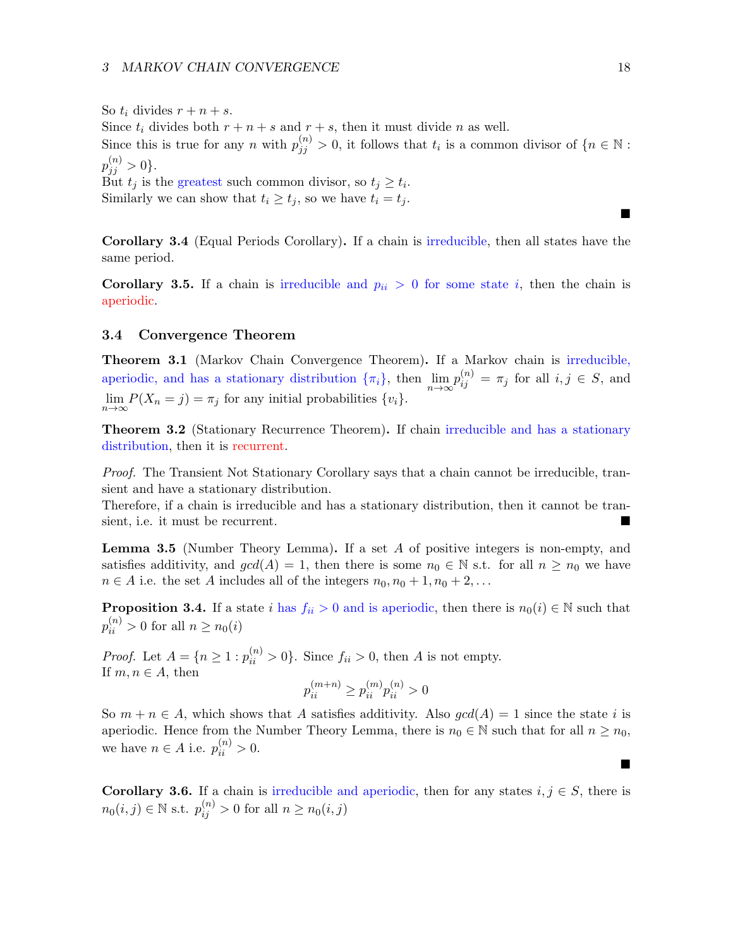So  $t_i$  divides  $r + n + s$ . Since  $t_i$  divides both  $r + n + s$  and  $r + s$ , then it must divide n as well. Since this is true for any n with  $p_{jj}^{(n)} > 0$ , it follows that  $t_i$  is a common divisor of  $\{n \in \mathbb{N} :$  $p_{jj}^{(n)} > 0$ . But  $t_j$  is the greatest such common divisor, so  $t_j \geq t_i$ . Similarly we can show that  $t_i \geq t_j$ , so we have  $t_i = t_j$ .

Corollary 3.4 (Equal Periods Corollary). If a chain is irreducible, then all states have the same period.

**Corollary 3.5.** If a chain is irreducible and  $p_{ii} > 0$  for some state i, then the chain is aperiodic.

## <span id="page-17-0"></span>3.4 Convergence Theorem

<span id="page-17-1"></span>Theorem 3.1 (Markov Chain Convergence Theorem). If a Markov chain is irreducible, aperiodic, and has a stationary distribution  $\{\pi_i\}$ , then  $\lim_{n\to\infty} p_{ij}^{(n)} = \pi_j$  for all  $i, j \in S$ , and  $\lim_{n\to\infty} P(X_n = j) = \pi_j$  for any initial probabilities  $\{v_i\}.$ 

Theorem 3.2 (Stationary Recurrence Theorem). If chain irreducible and has a stationary distribution, then it is recurrent.

Proof. The Transient Not Stationary Corollary says that a chain cannot be irreducible, transient and have a stationary distribution.

Therefore, if a chain is irreducible and has a stationary distribution, then it cannot be transient, i.e. it must be recurrent.

Lemma 3.5 (Number Theory Lemma). If a set A of positive integers is non-empty, and satisfies additivity, and  $gcd(A) = 1$ , then there is some  $n_0 \in \mathbb{N}$  s.t. for all  $n \geq n_0$  we have  $n \in A$  i.e. the set A includes all of the integers  $n_0, n_0 + 1, n_0 + 2, \ldots$ 

**Proposition 3.4.** If a state i has  $f_{ii} > 0$  and is aperiodic, then there is  $n_0(i) \in \mathbb{N}$  such that  $p_{ii}^{(n)} > 0$  for all  $n \geq n_0(i)$ 

*Proof.* Let  $A = \{n \ge 1 : p_{ii}^{(n)} > 0\}$ . Since  $f_{ii} > 0$ , then A is not empty. If  $m, n \in A$ , then

$$
p_{ii}^{(m+n)} \ge p_{ii}^{(m)} p_{ii}^{(n)} > 0
$$

So  $m + n \in A$ , which shows that A satisfies additivity. Also  $gcd(A) = 1$  since the state i is aperiodic. Hence from the Number Theory Lemma, there is  $n_0 \in \mathbb{N}$  such that for all  $n \geq n_0$ , we have  $n \in A$  i.e.  $p_{ii}^{(n)} > 0$ .

**Corollary 3.6.** If a chain is irreducible and aperiodic, then for any states  $i, j \in S$ , there is  $n_0(i, j) \in \mathbb{N}$  s.t.  $p_{ij}^{(n)} > 0$  for all  $n \ge n_0(i, j)$ 

 $\blacksquare$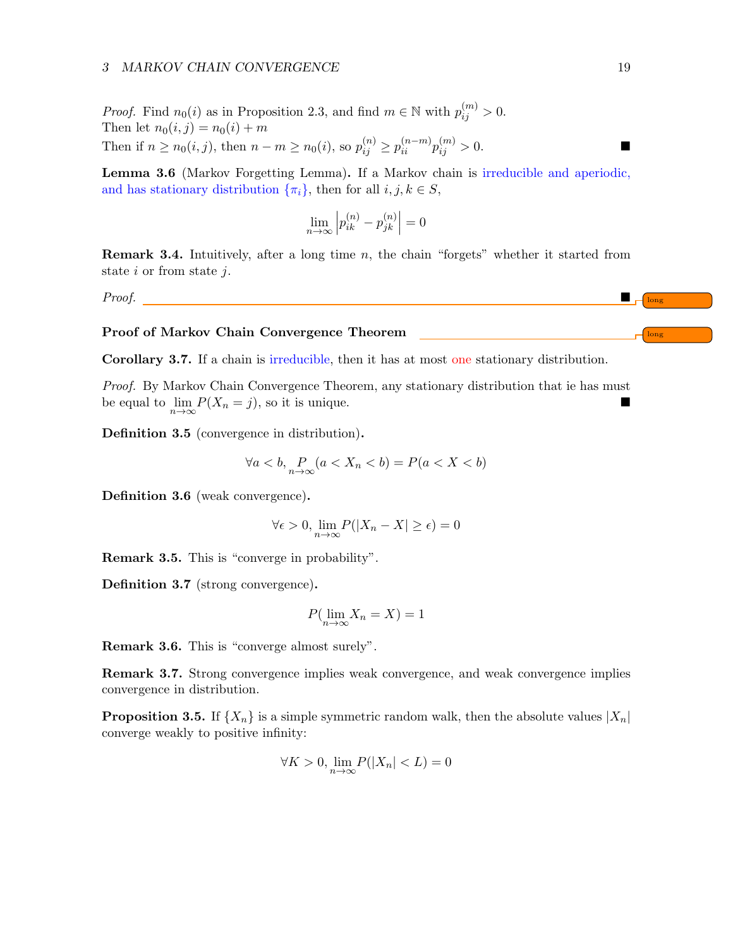#### 3 MARKOV CHAIN CONVERGENCE 19

*Proof.* Find  $n_0(i)$  as in Proposition 2.3, and find  $m \in \mathbb{N}$  with  $p_{ij}^{(m)} > 0$ . Then let  $n_0(i, j) = n_0(i) + m$ Then if  $n \ge n_0(i, j)$ , then  $n - m \ge n_0(i)$ , so  $p_{ij}^{(n)} \ge p_{ii}^{(n-m)} p_{ij}^{(m)} > 0$ .

Lemma 3.6 (Markov Forgetting Lemma). If a Markov chain is irreducible and aperiodic, and has stationary distribution  $\{\pi_i\}$ , then for all  $i, j, k \in S$ ,

$$
\lim_{n \to \infty} \left| p_{ik}^{(n)} - p_{jk}^{(n)} \right| = 0
$$

**Remark 3.4.** Intuitively, after a long time  $n$ , the chain "forgets" whether it started from state  $i$  or from state  $j$ .

 $Proof.$ 

Proof of Markov Chain Convergence Theorem and the convergence of long long

Corollary 3.7. If a chain is irreducible, then it has at most one stationary distribution.

Proof. By Markov Chain Convergence Theorem, any stationary distribution that ie has must be equal to  $\lim_{n\to\infty} P(X_n = j)$ , so it is unique.

Definition 3.5 (convergence in distribution).

$$
\forall a < b, \Pr_{n \to \infty} (a < X_n < b) = P(a < X < b)
$$

Definition 3.6 (weak convergence).

$$
\forall \epsilon > 0, \lim_{n \to \infty} P(|X_n - X| \ge \epsilon) = 0
$$

Remark 3.5. This is "converge in probability".

Definition 3.7 (strong convergence).

$$
P(\lim_{n \to \infty} X_n = X) = 1
$$

Remark 3.6. This is "converge almost surely".

Remark 3.7. Strong convergence implies weak convergence, and weak convergence implies convergence in distribution.

**Proposition 3.5.** If  $\{X_n\}$  is a simple symmetric random walk, then the absolute values  $|X_n|$ converge weakly to positive infinity:

$$
\forall K > 0, \lim_{n \to \infty} P(|X_n| < L) = 0
$$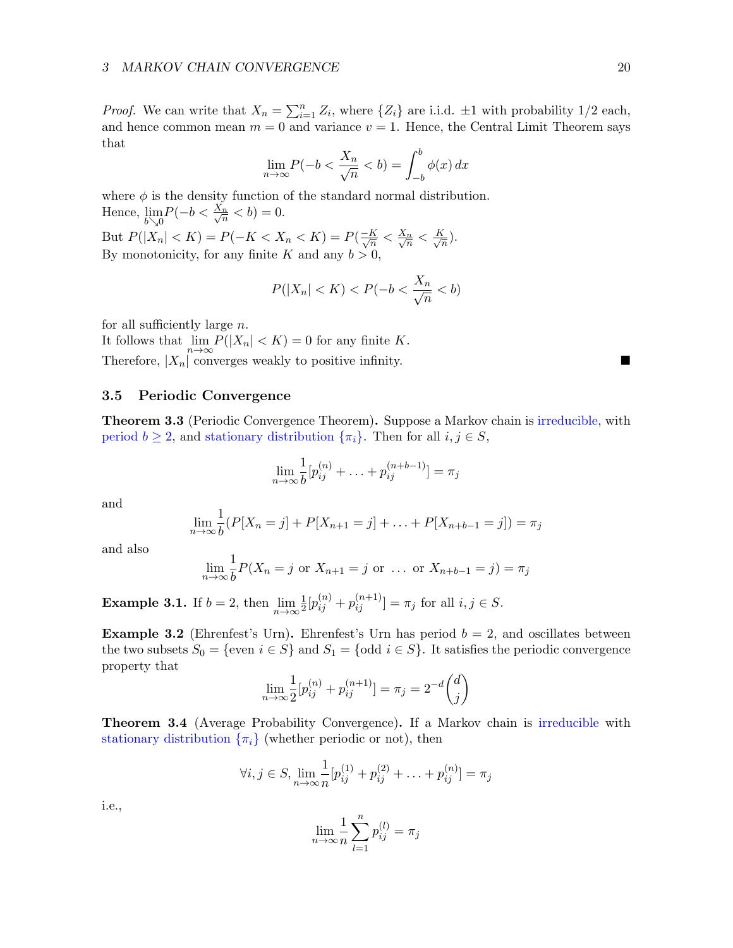*Proof.* We can write that  $X_n = \sum_{i=1}^n Z_i$ , where  $\{Z_i\}$  are i.i.d.  $\pm 1$  with probability 1/2 each, and hence common mean  $m = 0$  and variance  $v = 1$ . Hence, the Central Limit Theorem says that

$$
\lim_{n \to \infty} P(-b < \frac{X_n}{\sqrt{n}} < b) = \int_{-b}^b \phi(x) \, dx
$$

where  $\phi$  is the density function of the standard normal distribution. Hence,  $\lim_{b \searrow 0} P(-b < \frac{X_n}{\sqrt{n}})$  $\frac{n}{n} < b$ ) = 0. But  $P(|X_n| < K) = P(-K < X_n < K) = P(\frac{-K}{\sqrt{n}})$  $\frac{K}{n} < \frac{X_n}{\sqrt{n}}$  $\frac{n}{n} < \frac{K}{\sqrt{n}}$  $\frac{1}{n}).$ By monotonicity, for any finite K and any  $b > 0$ ,

$$
P(|X_n| < K) < P(-b < \frac{X_n}{\sqrt{n}} < b)
$$

for all sufficiently large n.

It follows that  $\lim_{n\to\infty} P(|X_n| < K) = 0$  for any finite K. Therefore,  $|X_n|$  converges weakly to positive infinity.

## <span id="page-19-0"></span>3.5 Periodic Convergence

Theorem 3.3 (Periodic Convergence Theorem). Suppose a Markov chain is irreducible, with period  $b \geq 2$ , and stationary distribution  $\{\pi_i\}$ . Then for all  $i, j \in S$ ,

$$
\lim_{n \to \infty} \frac{1}{b} [p_{ij}^{(n)} + \ldots + p_{ij}^{(n+b-1)}] = \pi_j
$$

and

$$
\lim_{n \to \infty} \frac{1}{b} (P[X_n = j] + P[X_{n+1} = j] + \ldots + P[X_{n+b-1} = j]) = \pi_j
$$

and also

$$
\lim_{n \to \infty} \frac{1}{b} P(X_n = j \text{ or } X_{n+1} = j \text{ or } \dots \text{ or } X_{n+b-1} = j) = \pi_j
$$

**Example 3.1.** If  $b = 2$ , then  $\lim_{n \to \infty} \frac{1}{2}$  $\frac{1}{2}[p_{ij}^{(n)} + p_{ij}^{(n+1)}] = \pi_j \text{ for all } i, j \in S.$ 

**Example 3.2** (Ehrenfest's Urn). Ehrenfest's Urn has period  $b = 2$ , and oscillates between the two subsets  $S_0 = \{\text{even } i \in S\}$  and  $S_1 = \{\text{odd } i \in S\}$ . It satisfies the periodic convergence property that

$$
\lim_{n \to \infty} \frac{1}{2} [p_{ij}^{(n)} + p_{ij}^{(n+1)}] = \pi_j = 2^{-d} {d \choose j}
$$

Theorem 3.4 (Average Probability Convergence). If a Markov chain is irreducible with stationary distribution  $\{\pi_i\}$  (whether periodic or not), then

$$
\forall i, j \in S, \lim_{n \to \infty} \frac{1}{n} [p_{ij}^{(1)} + p_{ij}^{(2)} + \dots + p_{ij}^{(n)}] = \pi_j
$$

i.e.,

$$
\lim_{n \to \infty} \frac{1}{n} \sum_{l=1}^{n} p_{ij}^{(l)} = \pi_j
$$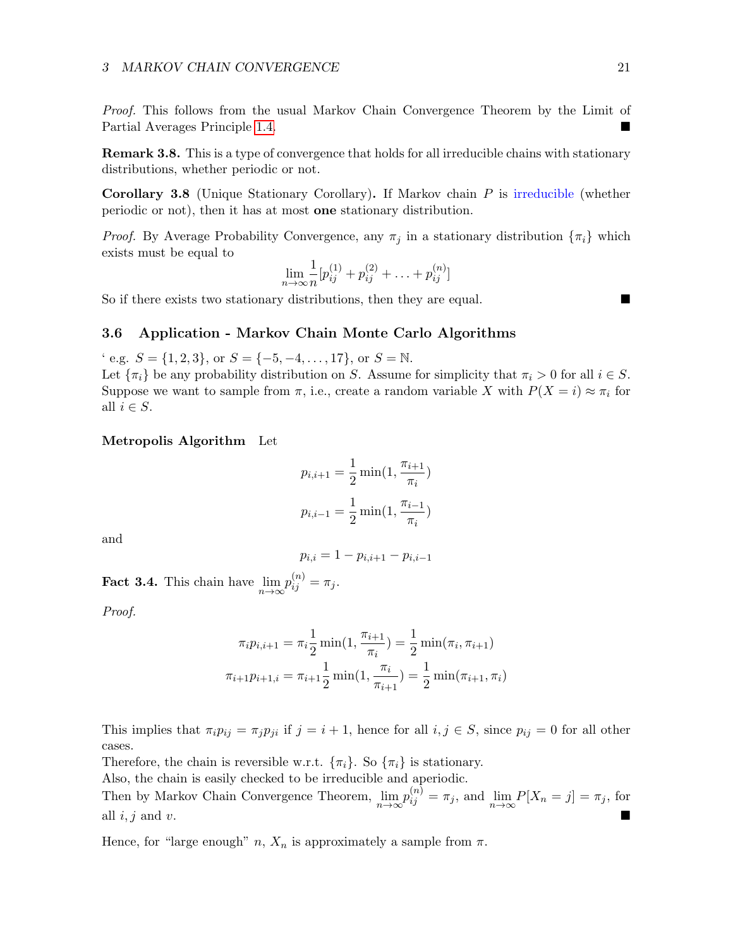Proof. This follows from the usual Markov Chain Convergence Theorem by the Limit of Partial Averages Principle [1.4.](#page-3-1)

**Remark 3.8.** This is a type of convergence that holds for all irreducible chains with stationary distributions, whether periodic or not.

Corollary 3.8 (Unique Stationary Corollary). If Markov chain P is irreducible (whether periodic or not), then it has at most one stationary distribution.

*Proof.* By Average Probability Convergence, any  $\pi_i$  in a stationary distribution  $\{\pi_i\}$  which exists must be equal to

$$
\lim_{n \to \infty} \frac{1}{n} [p_{ij}^{(1)} + p_{ij}^{(2)} + \ldots + p_{ij}^{(n)}]
$$

So if there exists two stationary distributions, then they are equal.

## <span id="page-20-0"></span>3.6 Application - Markov Chain Monte Carlo Algorithms

' e.g.  $S = \{1, 2, 3\}$ , or  $S = \{-5, -4, \ldots, 17\}$ , or  $S = \mathbb{N}$ . Let  $\{\pi_i\}$  be any probability distribution on S. Assume for simplicity that  $\pi_i > 0$  for all  $i \in S$ . Suppose we want to sample from  $\pi$ , i.e., create a random variable X with  $P(X = i) \approx \pi_i$  for all  $i \in S$ .

#### Metropolis Algorithm Let

$$
p_{i,i+1} = \frac{1}{2} \min(1, \frac{\pi_{i+1}}{\pi_i})
$$

$$
p_{i,i-1} = \frac{1}{2} \min(1, \frac{\pi_{i-1}}{\pi_i})
$$

and

$$
p_{i,i} = 1 - p_{i,i+1} - p_{i,i-1}
$$

**Fact 3.4.** This chain have  $\lim_{n\to\infty}p_{ij}^{(n)}=\pi_j$ .

Proof.

$$
\pi_i p_{i,i+1} = \pi_i \frac{1}{2} \min(1, \frac{\pi_{i+1}}{\pi_i}) = \frac{1}{2} \min(\pi_i, \pi_{i+1})
$$

$$
\pi_{i+1} p_{i+1,i} = \pi_{i+1} \frac{1}{2} \min(1, \frac{\pi_i}{\pi_{i+1}}) = \frac{1}{2} \min(\pi_{i+1}, \pi_i)
$$

This implies that  $\pi_i p_{ij} = \pi_j p_{ji}$  if  $j = i + 1$ , hence for all  $i, j \in S$ , since  $p_{ij} = 0$  for all other cases.

Therefore, the chain is reversible w.r.t.  $\{\pi_i\}$ . So  $\{\pi_i\}$  is stationary.

Also, the chain is easily checked to be irreducible and aperiodic.

Then by Markov Chain Convergence Theorem,  $\lim_{n\to\infty} p_{ij}^{(n)} = \pi_j$ , and  $\lim_{n\to\infty} P[X_n = j] = \pi_j$ , for all  $i, j$  and v.

Hence, for "large enough"  $n, X_n$  is approximately a sample from  $\pi$ .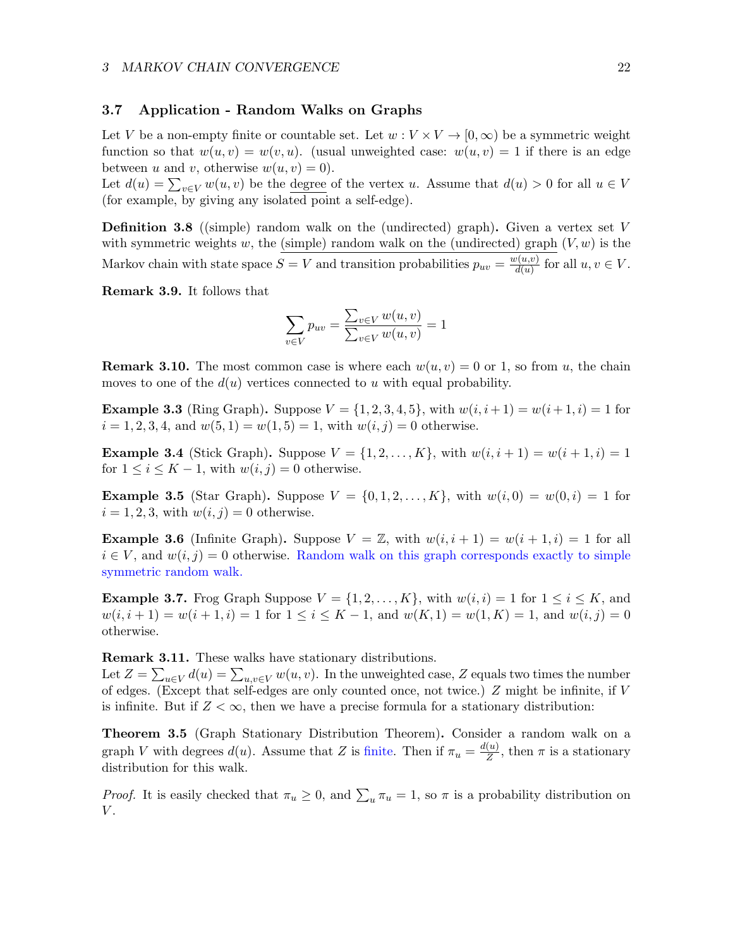## <span id="page-21-0"></span>3.7 Application - Random Walks on Graphs

Let V be a non-empty finite or countable set. Let  $w: V \times V \to [0, \infty)$  be a symmetric weight function so that  $w(u, v) = w(v, u)$ . (usual unweighted case:  $w(u, v) = 1$  if there is an edge between u and v, otherwise  $w(u, v) = 0$ .

Let  $d(u) = \sum_{v \in V} w(u, v)$  be the <u>degree</u> of the vertex u. Assume that  $d(u) > 0$  for all  $u \in V$ (for example, by giving any isolated point a self-edge).

**Definition 3.8** ((simple) random walk on the (undirected) graph). Given a vertex set V with symmetric weights w, the (simple) random walk on the (undirected) graph  $(V, w)$  is the Markov chain with state space  $S = V$  and transition probabilities  $p_{uv} = \frac{w(u,v)}{d(u)}$  $\frac{\partial(u,v)}{\partial(u)}$  for all  $u, v \in V$ .

Remark 3.9. It follows that

$$
\sum_{v \in V} p_{uv} = \frac{\sum_{v \in V} w(u, v)}{\sum_{v \in V} w(u, v)} = 1
$$

**Remark 3.10.** The most common case is where each  $w(u, v) = 0$  or 1, so from u, the chain moves to one of the  $d(u)$  vertices connected to u with equal probability.

**Example 3.3** (Ring Graph). Suppose  $V = \{1, 2, 3, 4, 5\}$ , with  $w(i, i + 1) = w(i + 1, i) = 1$  for  $i = 1, 2, 3, 4$ , and  $w(5, 1) = w(1, 5) = 1$ , with  $w(i, j) = 0$  otherwise.

**Example 3.4** (Stick Graph). Suppose  $V = \{1, 2, ..., K\}$ , with  $w(i, i + 1) = w(i + 1, i) = 1$ for  $1 \leq i \leq K-1$ , with  $w(i, j) = 0$  otherwise.

**Example 3.5** (Star Graph). Suppose  $V = \{0, 1, 2, ..., K\}$ , with  $w(i, 0) = w(0, i) = 1$  for  $i = 1, 2, 3$ , with  $w(i, j) = 0$  otherwise.

**Example 3.6** (Infinite Graph). Suppose  $V = \mathbb{Z}$ , with  $w(i, i + 1) = w(i + 1, i) = 1$  for all  $i \in V$ , and  $w(i, j) = 0$  otherwise. Random walk on this graph corresponds exactly to simple symmetric random walk.

**Example 3.7.** Frog Graph Suppose  $V = \{1, 2, \ldots, K\}$ , with  $w(i, i) = 1$  for  $1 \le i \le K$ , and  $w(i, i + 1) = w(i + 1, i) = 1$  for  $1 \le i \le K - 1$ , and  $w(K, 1) = w(1, K) = 1$ , and  $w(i, j) = 0$ otherwise.

Remark 3.11. These walks have stationary distributions.

Let  $Z = \sum_{u \in V} d(u) = \sum_{u,v \in V} w(u,v)$ . In the unweighted case, Z equals two times the number of edges. (Except that self-edges are only counted once, not twice.) Z might be infinite, if V is infinite. But if  $Z < \infty$ , then we have a precise formula for a stationary distribution:

<span id="page-21-1"></span>Theorem 3.5 (Graph Stationary Distribution Theorem). Consider a random walk on a graph V with degrees  $d(u)$ . Assume that Z is finite. Then if  $\pi_u = \frac{d(u)}{Z}$  $\frac{u}{Z}$ , then  $\pi$  is a stationary distribution for this walk.

*Proof.* It is easily checked that  $\pi_u \geq 0$ , and  $\sum_u \pi_u = 1$ , so  $\pi$  is a probability distribution on  $V$ .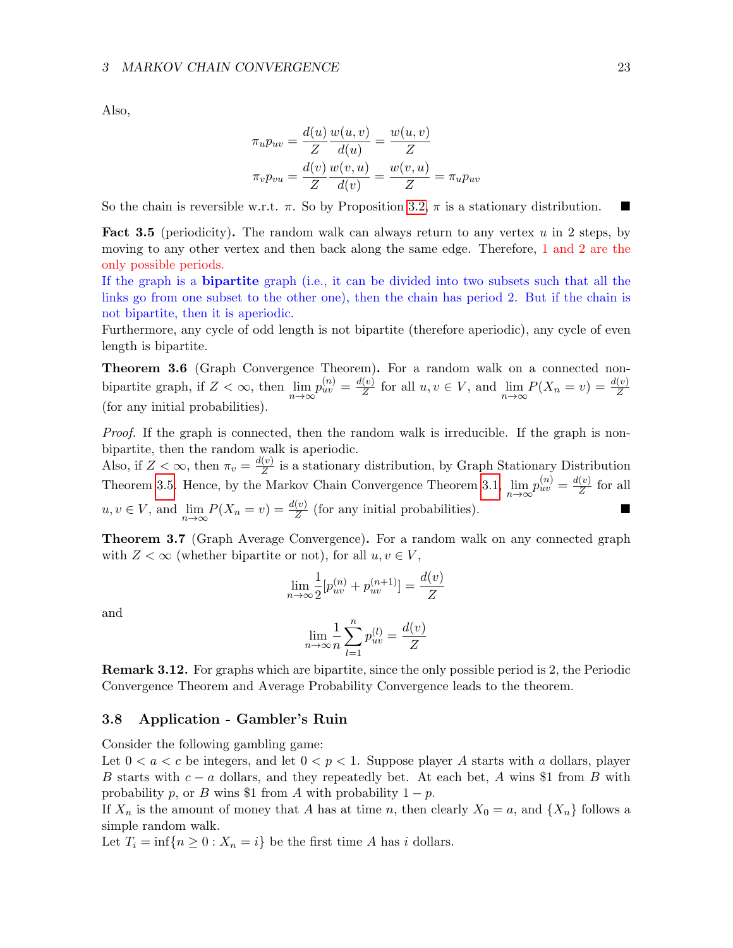Also,

$$
\pi_u p_{uv} = \frac{d(u)}{Z} \frac{w(u, v)}{d(u)} = \frac{w(u, v)}{Z}
$$

$$
\pi_v p_{vu} = \frac{d(v)}{Z} \frac{w(v, u)}{d(v)} = \frac{w(v, u)}{Z} = \pi_u p_{uv}
$$

So the chain is reversible w.r.t.  $\pi$ . So by Proposition [3.2,](#page-14-3)  $\pi$  is a stationary distribution.

**Fact 3.5** (periodicity). The random walk can always return to any vertex  $u$  in 2 steps, by moving to any other vertex and then back along the same edge. Therefore, 1 and 2 are the only possible periods.

If the graph is a bipartite graph (i.e., it can be divided into two subsets such that all the links go from one subset to the other one), then the chain has period 2. But if the chain is not bipartite, then it is aperiodic.

Furthermore, any cycle of odd length is not bipartite (therefore aperiodic), any cycle of even length is bipartite.

Theorem 3.6 (Graph Convergence Theorem). For a random walk on a connected nonbipartite graph, if  $Z < \infty$ , then  $\lim_{n \to \infty} p_{uv}^{(n)} = \frac{d(v)}{Z}$  $\frac{v(v)}{Z}$  for all  $u, v \in V$ , and  $\lim_{n \to \infty} P(X_n = v) = \frac{d(v)}{Z}$ (for any initial probabilities).

Proof. If the graph is connected, then the random walk is irreducible. If the graph is nonbipartite, then the random walk is aperiodic.

Also, if  $Z < \infty$ , then  $\pi_v = \frac{d(v)}{Z}$  $\frac{v}{Z}$  is a stationary distribution, by Graph Stationary Distribution Theorem [3.5.](#page-21-1) Hence, by the Markov Chain Convergence Theorem [3.1,](#page-17-1)  $\lim_{n\to\infty} p_{uv}^{(n)} = \frac{d(v)}{Z}$  $\frac{(v)}{Z}$  for all  $u, v \in V$ , and  $\lim_{n \to \infty} P(X_n = v) = \frac{d(v)}{Z}$  (for any initial probabilities).

Theorem 3.7 (Graph Average Convergence). For a random walk on any connected graph with  $Z < \infty$  (whether bipartite or not), for all  $u, v \in V$ ,

$$
\lim_{n \to \infty} \frac{1}{2} [p_{uv}^{(n)} + p_{uv}^{(n+1)}] = \frac{d(v)}{Z}
$$

and

$$
\lim_{n \to \infty} \frac{1}{n} \sum_{l=1}^{n} p_{uv}^{(l)} = \frac{d(v)}{Z}
$$

Remark 3.12. For graphs which are bipartite, since the only possible period is 2, the Periodic Convergence Theorem and Average Probability Convergence leads to the theorem.

## <span id="page-22-0"></span>3.8 Application - Gambler's Ruin

Consider the following gambling game:

Let  $0 < a < c$  be integers, and let  $0 < p < 1$ . Suppose player A starts with a dollars, player B starts with  $c - a$  dollars, and they repeatedly bet. At each bet, A wins \$1 from B with probability p, or B wins \$1 from A with probability  $1 - p$ .

If  $X_n$  is the amount of money that A has at time n, then clearly  $X_0 = a$ , and  $\{X_n\}$  follows a simple random walk.

Let  $T_i = \inf\{n \geq 0 : X_n = i\}$  be the first time A has i dollars.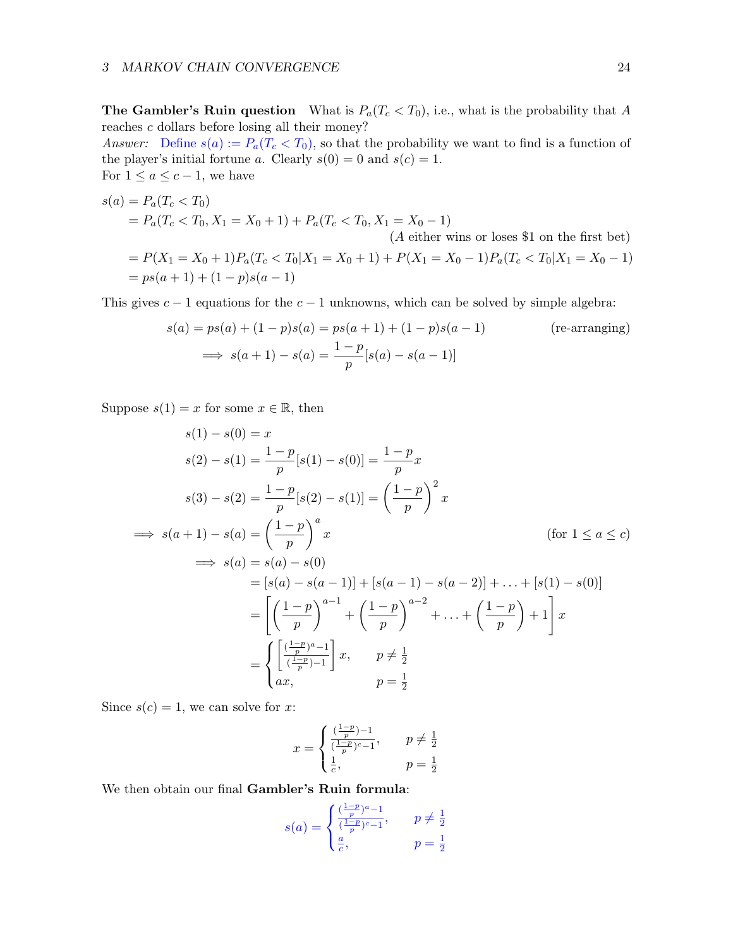**The Gambler's Ruin question** What is  $P_a(T_c < T_0)$ , i.e., what is the probability that A reaches c dollars before losing all their money?

Answer: Define  $s(a) := P_a(T_c < T_0)$ , so that the probability we want to find is a function of the player's initial fortune a. Clearly  $s(0) = 0$  and  $s(c) = 1$ . For  $1 \le a \le c-1$ , we have

$$
s(a) = P_a(T_c < T_0)
$$
  
=  $P_a(T_c < T_0, X_1 = X_0 + 1) + P_a(T_c < T_0, X_1 = X_0 - 1)$   
(*A* either wins or loses \$1 on the first bet)  
=  $P(X_1 = X_0 + 1)P_a(T_c < T_0|X_1 = X_0 + 1) + P(X_1 = X_0 - 1)P_a(T_c < T_0|X_1 = X_0 - 1)$   
=  $ps(a + 1) + (1 - p)s(a - 1)$ 

This gives  $c - 1$  equations for the  $c - 1$  unknowns, which can be solved by simple algebra:

$$
s(a) = ps(a) + (1 - p)s(a) = ps(a + 1) + (1 - p)s(a - 1)
$$
 (re-arranging)  

$$
\implies s(a + 1) - s(a) = \frac{1 - p}{p}[s(a) - s(a - 1)]
$$

Suppose  $s(1) = x$  for some  $x \in \mathbb{R}$ , then

$$
s(1) - s(0) = x
$$
  
\n
$$
s(2) - s(1) = \frac{1-p}{p}[s(1) - s(0)] = \frac{1-p}{p}x
$$
  
\n
$$
s(3) - s(2) = \frac{1-p}{p}[s(2) - s(1)] = \left(\frac{1-p}{p}\right)^2 x
$$
  
\n
$$
\implies s(a+1) - s(a) = \left(\frac{1-p}{p}\right)^a x \qquad \text{(for } 1 \le a \le c\text{)}
$$
  
\n
$$
\implies s(a) = s(a) - s(0)
$$
  
\n
$$
= [s(a) - s(a-1)] + [s(a-1) - s(a-2)] + \dots + [s(1) - s(0)]
$$
  
\n
$$
= \left[\left(\frac{1-p}{p}\right)^{a-1} + \left(\frac{1-p}{p}\right)^{a-2} + \dots + \left(\frac{1-p}{p}\right) + 1\right]x
$$
  
\n
$$
= \begin{cases} \frac{(\frac{1-p}{p})^a - 1}{(\frac{1-p}{p}) - 1} \, x, & p \ne \frac{1}{2} \\ ax, & p = \frac{1}{2} \end{cases}
$$

Since  $s(c) = 1$ , we can solve for x:

$$
x = \begin{cases} \frac{(\frac{1-p}{p})-1}{(\frac{1-p}{p})^c - 1}, & p \neq \frac{1}{2} \\ \frac{1}{c}, & p = \frac{1}{2} \end{cases}
$$

We then obtain our final Gambler's Ruin formula:

$$
s(a) = \begin{cases} \frac{(\frac{1-p}{p})^a - 1}{(\frac{1-p}{p})^c - 1}, & p \neq \frac{1}{2} \\ \frac{a}{c}, & p = \frac{1}{2} \end{cases}
$$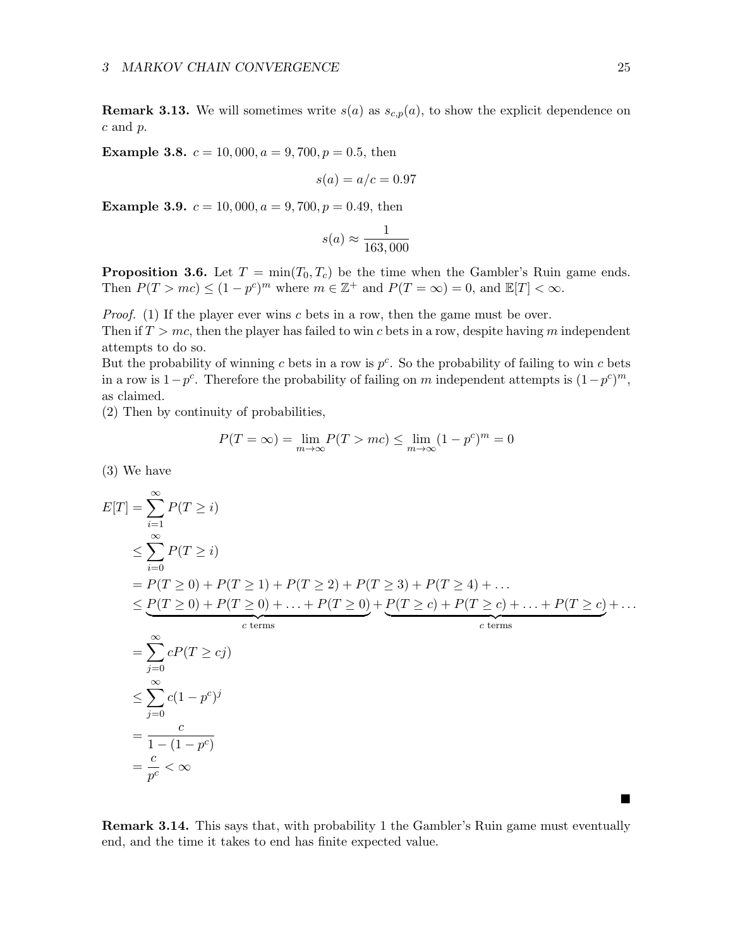**Remark 3.13.** We will sometimes write  $s(a)$  as  $s_{c,p}(a)$ , to show the explicit dependence on c and p.

**Example 3.8.**  $c = 10,000, a = 9,700, p = 0.5$ , then

$$
s(a) = a/c = 0.97
$$

**Example 3.9.**  $c = 10,000, a = 9,700, p = 0.49$ , then

$$
s(a) \approx \frac{1}{163,000}
$$

<span id="page-24-0"></span>**Proposition 3.6.** Let  $T = \min(T_0, T_c)$  be the time when the Gambler's Ruin game ends. Then  $P(T > mc) \le (1 - p^c)^m$  where  $m \in \mathbb{Z}^+$  and  $P(T = \infty) = 0$ , and  $\mathbb{E}[T] < \infty$ .

*Proof.* (1) If the player ever wins c bets in a row, then the game must be over.

Then if  $T > mc$ , then the player has failed to win c bets in a row, despite having m independent attempts to do so.

But the probability of winning c bets in a row is  $p^c$ . So the probability of failing to win c bets in a row is  $1-p^c$ . Therefore the probability of failing on m independent attempts is  $(1-p^c)^m$ , as claimed.

(2) Then by continuity of probabilities,

$$
P(T = \infty) = \lim_{m \to \infty} P(T > mc) \le \lim_{m \to \infty} (1 - p^c)^m = 0
$$

(3) We have

$$
E[T] = \sum_{i=1}^{\infty} P(T \ge i)
$$
  
\n
$$
\leq \sum_{i=0}^{\infty} P(T \ge i)
$$
  
\n
$$
= P(T \ge 0) + P(T \ge 1) + P(T \ge 2) + P(T \ge 3) + P(T \ge 4) + ...
$$
  
\n
$$
\leq \underbrace{P(T \ge 0) + P(T \ge 0) + ... + P(T \ge 0)}_{c \text{ terms}} + \underbrace{P(T \ge c) + P(T \ge c) + ... + P(T \ge c)}_{c \text{ terms}} + ...
$$
  
\n
$$
= \sum_{j=0}^{\infty} cP(T \ge cj)
$$
  
\n
$$
\leq \sum_{j=0}^{\infty} c(1 - p^c)^j
$$
  
\n
$$
= \frac{c}{1 - (1 - p^c)}
$$
  
\n
$$
= \frac{c}{p^c} < \infty
$$

Remark 3.14. This says that, with probability 1 the Gambler's Ruin game must eventually end, and the time it takes to end has finite expected value.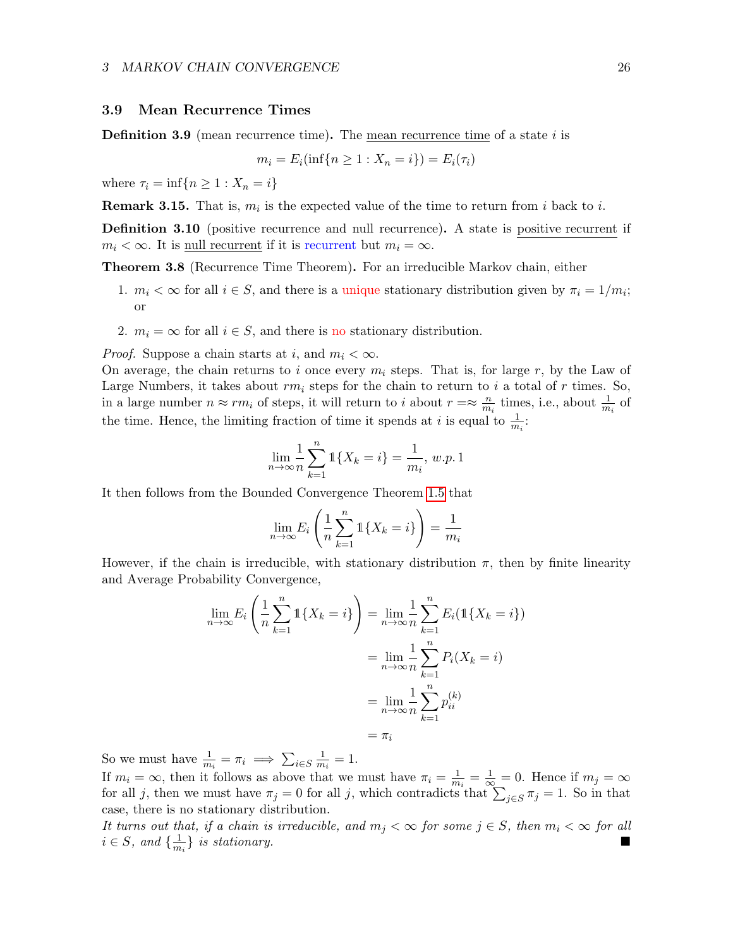#### <span id="page-25-0"></span>3.9 Mean Recurrence Times

**Definition 3.9** (mean recurrence time). The mean recurrence time of a state  $i$  is

$$
m_i = E_i(\inf\{n \ge 1 : X_n = i\}) = E_i(\tau_i)
$$

where  $\tau_i = \inf\{n \geq 1 : X_n = i\}$ 

**Remark 3.15.** That is,  $m_i$  is the expected value of the time to return from i back to i.

Definition 3.10 (positive recurrence and null recurrence). A state is positive recurrent if  $m_i < \infty$ . It is <u>null recurrent</u> if it is recurrent but  $m_i = \infty$ .

Theorem 3.8 (Recurrence Time Theorem). For an irreducible Markov chain, either

- 1.  $m_i < \infty$  for all  $i \in S$ , and there is a unique stationary distribution given by  $\pi_i = 1/m_i$ ; or
- 2.  $m_i = \infty$  for all  $i \in S$ , and there is no stationary distribution.

*Proof.* Suppose a chain starts at i, and  $m_i < \infty$ .

On average, the chain returns to i once every  $m_i$  steps. That is, for large r, by the Law of Large Numbers, it takes about  $rm_i$  steps for the chain to return to i a total of r times. So, in a large number  $n \approx rm_i$  of steps, it will return to i about  $r = \approx \frac{n}{m_i}$  $\frac{n}{m_i}$  times, i.e., about  $\frac{1}{m_i}$  of the time. Hence, the limiting fraction of time it spends at *i* is equal to  $\frac{1}{m_i}$ .

$$
\lim_{n \to \infty} \frac{1}{n} \sum_{k=1}^{n} \mathbb{1} \{ X_k = i \} = \frac{1}{m_i}, w.p. 1
$$

It then follows from the Bounded Convergence Theorem [1.5](#page-3-2) that

$$
\lim_{n \to \infty} E_i \left( \frac{1}{n} \sum_{k=1}^n \mathbb{1} \{ X_k = i \} \right) = \frac{1}{m_i}
$$

However, if the chain is irreducible, with stationary distribution  $\pi$ , then by finite linearity and Average Probability Convergence,

$$
\lim_{n \to \infty} E_i \left( \frac{1}{n} \sum_{k=1}^n \mathbb{1} \{ X_k = i \} \right) = \lim_{n \to \infty} \frac{1}{n} \sum_{k=1}^n E_i (\mathbb{1} \{ X_k = i \})
$$
\n
$$
= \lim_{n \to \infty} \frac{1}{n} \sum_{k=1}^n P_i (X_k = i)
$$
\n
$$
= \lim_{n \to \infty} \frac{1}{n} \sum_{k=1}^n p_{ii}^{(k)}
$$
\n
$$
= \pi_i
$$

So we must have  $\frac{1}{m_i} = \pi_i \implies \sum_{i \in S} \frac{1}{m_i}$  $\frac{1}{m_i}=1.$ 

If  $m_i = \infty$ , then it follows as above that we must have  $\pi_i = \frac{1}{m_i}$  $\frac{1}{m_i} = \frac{1}{\infty} = 0$ . Hence if  $m_j = \infty$ for all j, then we must have  $\pi_j = 0$  for all j, which contradicts that  $\sum_{j \in S} \pi_j = 1$ . So in that case, there is no stationary distribution.

It turns out that, if a chain is irreducible, and  $m_j < \infty$  for some  $j \in S$ , then  $m_i < \infty$  for all  $i \in S$ , and  $\{\frac{1}{m}\}$  $\frac{1}{m_i}$  is stationary.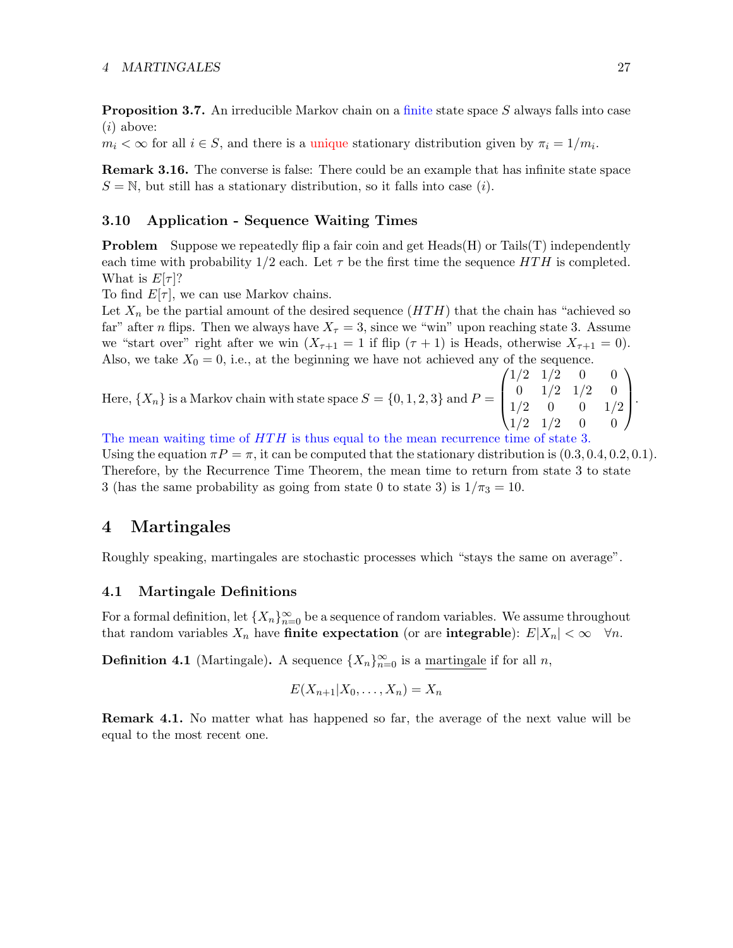Proposition 3.7. An irreducible Markov chain on a finite state space S always falls into case  $(i)$  above:

 $m_i < \infty$  for all  $i \in S$ , and there is a unique stationary distribution given by  $\pi_i = 1/m_i$ .

Remark 3.16. The converse is false: There could be an example that has infinite state space  $S = N$ , but still has a stationary distribution, so it falls into case (*i*).

## <span id="page-26-0"></span>3.10 Application - Sequence Waiting Times

**Problem** Suppose we repeatedly flip a fair coin and get Heads(H) or Tails(T) independently each time with probability  $1/2$  each. Let  $\tau$  be the first time the sequence  $HTH$  is completed. What is  $E[\tau]$ ?

To find  $E[\tau]$ , we can use Markov chains.

Let  $X_n$  be the partial amount of the desired sequence  $(HTH)$  that the chain has "achieved so far" after *n* flips. Then we always have  $X_\tau = 3$ , since we "win" upon reaching state 3. Assume we "start over" right after we win  $(X_{\tau+1} = 1$  if flip  $(\tau + 1)$  is Heads, otherwise  $X_{\tau+1} = 0$ . Also, we take  $X_0 = 0$ , i.e., at the beginning we have not achieved any of the sequence.

Here,  $\{X_n\}$  is a Markov chain with state space  $S = \{0, 1, 2, 3\}$  and  $P =$  $\sqrt{ }$  $\vert$  $1/2$   $1/2$  0 0  $0 \t1/2 \t1/2 \t0$  $1/2$  0 0  $1/2$  $1/2$   $1/2$  0 0  $\setminus$  $\left| \cdot \right|$ 

The mean waiting time of  $HTH$  is thus equal to the mean recurrence time of state 3. Using the equation  $\pi P = \pi$ , it can be computed that the stationary distribution is  $(0.3, 0.4, 0.2, 0.1)$ . Therefore, by the Recurrence Time Theorem, the mean time to return from state 3 to state 3 (has the same probability as going from state 0 to state 3) is  $1/\pi_3 = 10$ .

## <span id="page-26-1"></span>4 Martingales

Roughly speaking, martingales are stochastic processes which "stays the same on average".

## <span id="page-26-2"></span>4.1 Martingale Definitions

For a formal definition, let  $\{X_n\}_{n=0}^{\infty}$  be a sequence of random variables. We assume throughout that random variables  $X_n$  have finite expectation (or are integrable):  $E|X_n| < \infty \quad \forall n$ .

**Definition 4.1** (Martingale). A sequence  $\{X_n\}_{n=0}^{\infty}$  is a martingale if for all n,

$$
E(X_{n+1}|X_0,\ldots,X_n)=X_n
$$

Remark 4.1. No matter what has happened so far, the average of the next value will be equal to the most recent one.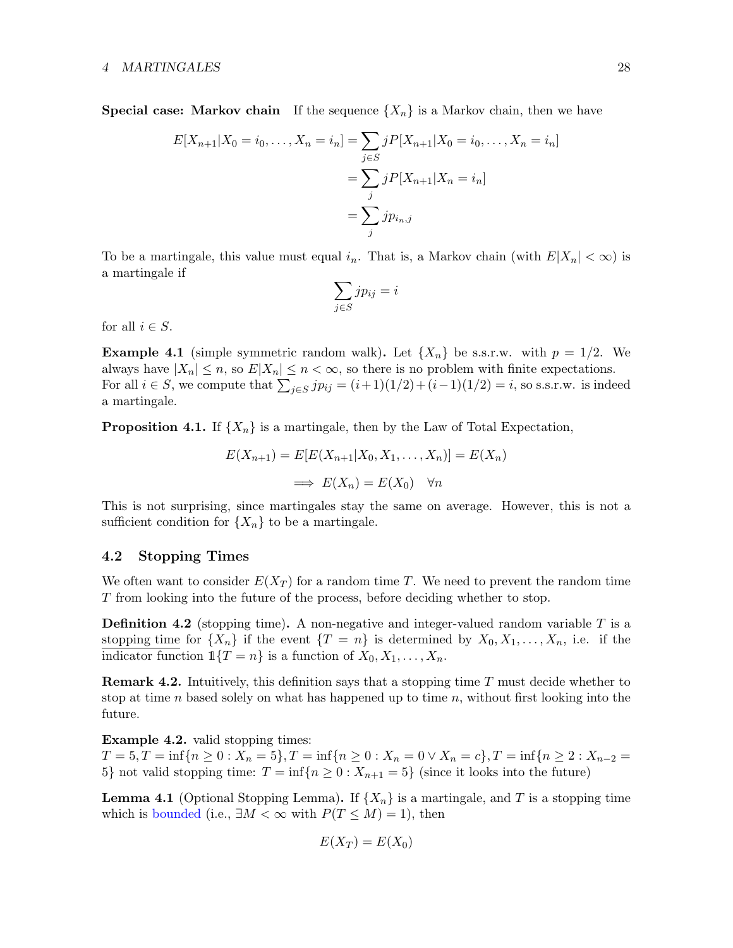**Special case: Markov chain** If the sequence  $\{X_n\}$  is a Markov chain, then we have

$$
E[X_{n+1}|X_0 = i_0, ..., X_n = i_n] = \sum_{j \in S} jP[X_{n+1}|X_0 = i_0, ..., X_n = i_n]
$$
  
= 
$$
\sum_j jP[X_{n+1}|X_n = i_n]
$$
  
= 
$$
\sum_j jp_{i_n,j}
$$

To be a martingale, this value must equal  $i_n$ . That is, a Markov chain (with  $E|X_n| < \infty$ ) is a martingale if

$$
\sum_{j \in S} j p_{ij} = i
$$

for all  $i \in S$ .

**Example 4.1** (simple symmetric random walk). Let  $\{X_n\}$  be s.s.r.w. with  $p = 1/2$ . We always have  $|X_n| \le n$ , so  $E|X_n| \le n < \infty$ , so there is no problem with finite expectations. For all  $i \in S$ , we compute that  $\sum_{j \in S} j p_{ij} = (i+1)(1/2) + (i-1)(1/2) = i$ , so s.s.r.w. is indeed a martingale.

**Proposition 4.1.** If  $\{X_n\}$  is a martingale, then by the Law of Total Expectation,

$$
E(X_{n+1}) = E[E(X_{n+1}|X_0, X_1, \dots, X_n)] = E(X_n)
$$
  

$$
\implies E(X_n) = E(X_0) \quad \forall n
$$

This is not surprising, since martingales stay the same on average. However, this is not a sufficient condition for  $\{X_n\}$  to be a martingale.

## <span id="page-27-0"></span>4.2 Stopping Times

We often want to consider  $E(X_T)$  for a random time T. We need to prevent the random time T from looking into the future of the process, before deciding whether to stop.

**Definition 4.2** (stopping time). A non-negative and integer-valued random variable  $T$  is a stopping time for  $\{X_n\}$  if the event  $\{T = n\}$  is determined by  $X_0, X_1, \ldots, X_n$ , i.e. if the indicator function  $1\{T = n\}$  is a function of  $X_0, X_1, \ldots, X_n$ .

**Remark 4.2.** Intuitively, this definition says that a stopping time  $T$  must decide whether to stop at time n based solely on what has happened up to time  $n$ , without first looking into the future.

Example 4.2. valid stopping times:

 $T = 5, T = \inf\{n \ge 0 : X_n = 5\}, T = \inf\{n \ge 0 : X_n = 0 \vee X_n = c\}, T = \inf\{n \ge 2 : X_{n-2} = 0\}$ 5} not valid stopping time:  $T = \inf\{n \geq 0 : X_{n+1} = 5\}$  (since it looks into the future)

**Lemma 4.1** (Optional Stopping Lemma). If  $\{X_n\}$  is a martingale, and T is a stopping time which is bounded (i.e.,  $\exists M < \infty$  with  $P(T \leq M) = 1$ ), then

$$
E(X_T) = E(X_0)
$$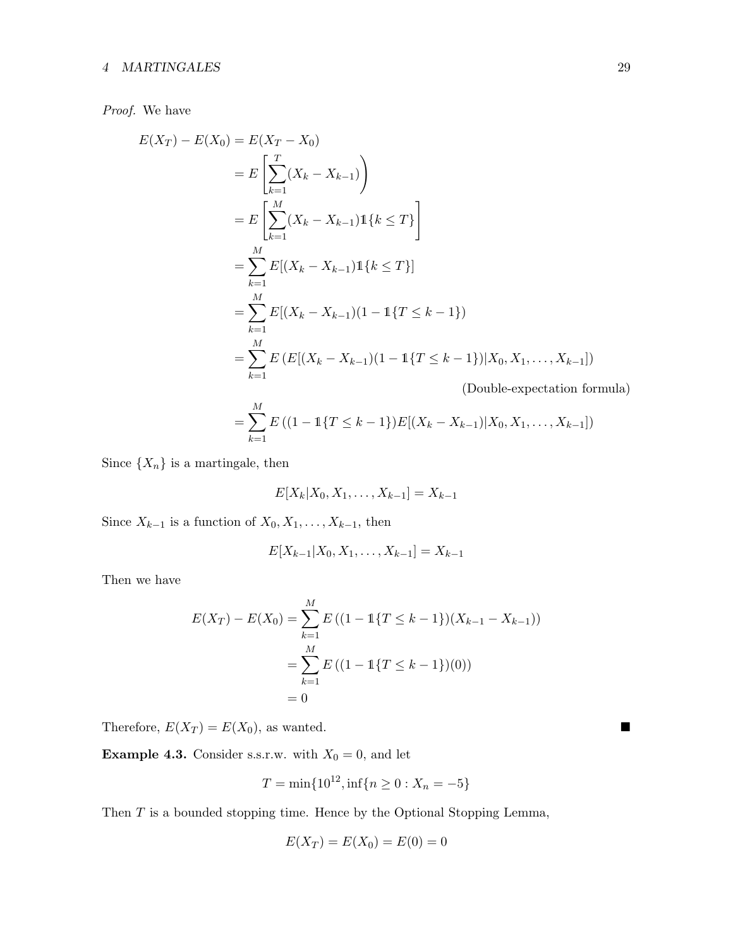## 4 MARTINGALES 29

## Proof. We have

$$
E(X_T) - E(X_0) = E(X_T - X_0)
$$
  
\n
$$
= E\left[\sum_{k=1}^T (X_k - X_{k-1})\right)
$$
  
\n
$$
= E\left[\sum_{k=1}^M (X_k - X_{k-1})\mathbb{1}\{k \le T\}\right]
$$
  
\n
$$
= \sum_{k=1}^M E[(X_k - X_{k-1})\mathbb{1}\{k \le T\}]
$$
  
\n
$$
= \sum_{k=1}^M E[(X_k - X_{k-1})(1 - \mathbb{1}\{T \le k - 1\})
$$
  
\n
$$
= \sum_{k=1}^M E\left(E[(X_k - X_{k-1})(1 - \mathbb{1}\{T \le k - 1\})|X_0, X_1, \dots, X_{k-1}]\right)
$$
  
\n(Double-expectation formula)

$$
= \sum_{k=1}^{M} E\left((1 - 1\{T \le k - 1\})E[(X_k - X_{k-1})|X_0, X_1, \dots, X_{k-1}]\right)
$$

Since  $\{X_n\}$  is a martingale, then

$$
E[X_k|X_0, X_1, \dots, X_{k-1}] = X_{k-1}
$$

Since  $X_{k-1}$  is a function of  $X_0, X_1, \ldots, X_{k-1}$ , then

$$
E[X_{k-1}|X_0, X_1, \ldots, X_{k-1}] = X_{k-1}
$$

Then we have

$$
E(X_T) - E(X_0) = \sum_{k=1}^{M} E((1 - 1\{T \le k - 1\})(X_{k-1} - X_{k-1}))
$$
  
= 
$$
\sum_{k=1}^{M} E((1 - 1\{T \le k - 1\})(0))
$$
  
= 0

Therefore,  $E(X_T) = E(X_0)$ , as wanted.

**Example 4.3.** Consider s.s.r.w. with  $X_0 = 0$ , and let

$$
T = \min\{10^{12}, \inf\{n \ge 0 : X_n = -5\}
$$

Then  $T$  is a bounded stopping time. Hence by the Optional Stopping Lemma,

$$
E(X_T) = E(X_0) = E(0) = 0
$$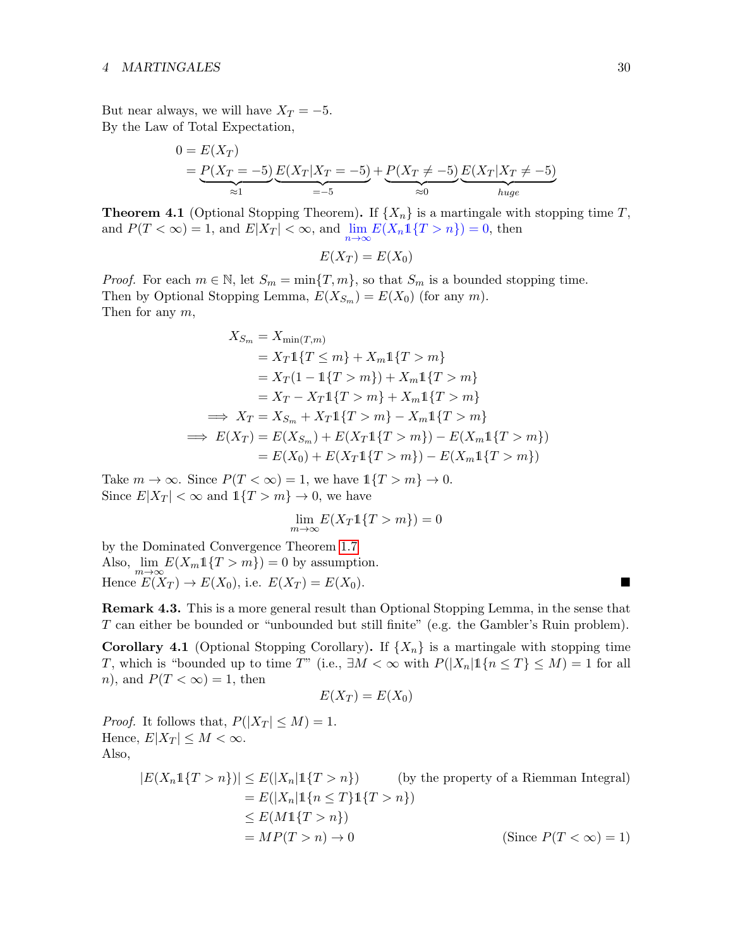But near always, we will have  $X_T = -5$ . By the Law of Total Expectation,

$$
0 = E(X_T)
$$
  
=  $P(X_T = -5) E(X_T | X_T = -5) + P(X_T \neq -5) E(X_T | X_T \neq -5)$   
= -5

<span id="page-29-1"></span>**Theorem 4.1** (Optional Stopping Theorem). If  $\{X_n\}$  is a martingale with stopping time T, and  $P(T < \infty) = 1$ , and  $E|X_T| < \infty$ , and  $\lim_{n \to \infty} E(X_n 1\{T > n\}) = 0$ , then

 $E(X_T) = E(X_0)$ 

*Proof.* For each  $m \in \mathbb{N}$ , let  $S_m = \min\{T, m\}$ , so that  $S_m$  is a bounded stopping time. Then by Optional Stopping Lemma,  $E(X_{S_m}) = E(X_0)$  (for any m). Then for any  $m$ ,

$$
X_{S_m} = X_{\min(T,m)}
$$
  
=  $X_T 1{T \le m} + X_m 1{T > m}$   
=  $X_T (1 - 1{T > m}) + X_m 1{T > m}$   
=  $X_T - X_T 1{T > m} + X_m 1{T > m}$   
 $\implies X_T = X_{S_m} + X_T 1{T > m} - X_m 1{T > m}$   
 $\implies E(X_T) = E(X_{S_m}) + E(X_T 1{T > m}) - E(X_m 1{T > m})$   
=  $E(X_0) + E(X_T 1{T > m}) - E(X_m 1{T > m})$ 

Take  $m \to \infty$ . Since  $P(T < \infty) = 1$ , we have  $1\{T > m\} \to 0$ . Since  $E|X_T| < \infty$  and  $1\{T > m\} \to 0$ , we have

$$
\lim_{m \to \infty} E(X_T \mathbb{1}\{T > m\}) = 0
$$

by the Dominated Convergence Theorem [1.7](#page-4-1) Also,  $\lim_{m\to\infty} E(X_m 1\{T > m\}) = 0$  by assumption. Hence  $E(X_T) \to E(X_0)$ , i.e.  $E(X_T) = E(X_0)$ .

Remark 4.3. This is a more general result than Optional Stopping Lemma, in the sense that T can either be bounded or "unbounded but still finite" (e.g. the Gambler's Ruin problem).

<span id="page-29-0"></span>**Corollary 4.1** (Optional Stopping Corollary). If  $\{X_n\}$  is a martingale with stopping time T, which is "bounded up to time T" (i.e.,  $\exists M < \infty$  with  $P(|X_n| \mathbb{1}\{n \leq T\} \leq M) = 1$  for all n), and  $P(T < \infty) = 1$ , then

$$
E(X_T) = E(X_0)
$$

*Proof.* It follows that,  $P(|X_T| \leq M) = 1$ . Hence,  $E|X_T| \leq M < \infty$ . Also,

$$
|E(X_n1\{T > n\})| \le E(|X_n|1\{T > n\})
$$
 (by the property of a Riemman Integral)  
=  $E(|X_n|1\{n \le T\}1\{T > n\})$   
 $\le E(M1\{T > n\})$   
=  $MP(T > n) \to 0$  (Since  $P(T < \infty) = 1$ )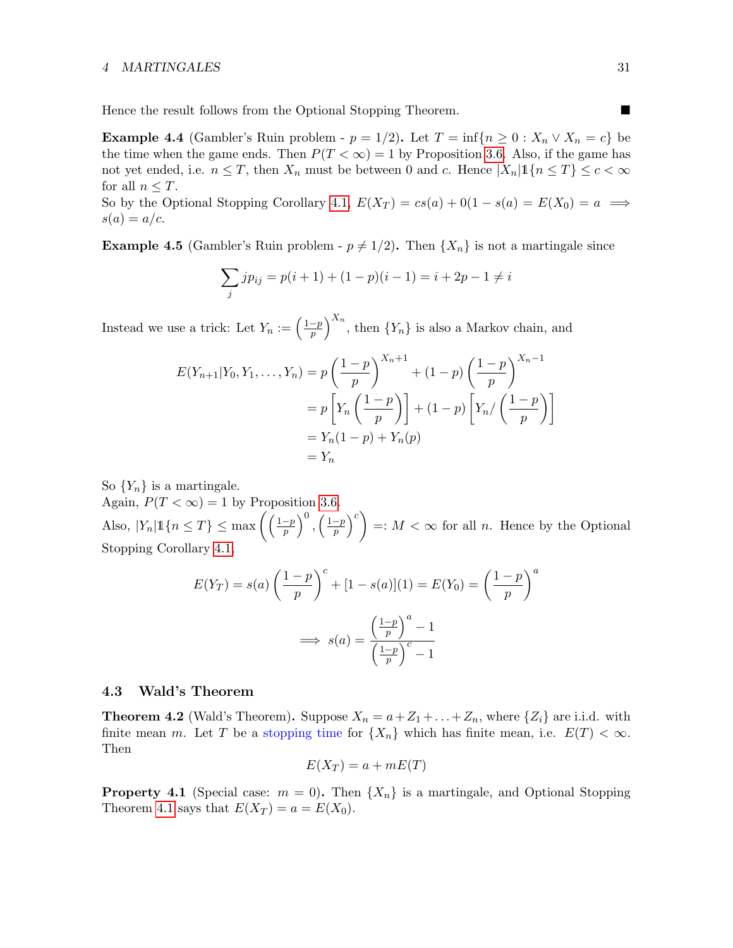#### 4 MARTINGALES 31

Hence the result follows from the Optional Stopping Theorem.

<span id="page-30-1"></span>**Example 4.4** (Gambler's Ruin problem -  $p = 1/2$ ). Let  $T = \inf\{n \geq 0 : X_n \vee X_n = c\}$  be the time when the game ends. Then  $P(T < \infty) = 1$  by Proposition [3.6.](#page-24-0) Also, if the game has not yet ended, i.e.  $n \leq T$ , then  $X_n$  must be between 0 and c. Hence  $|X_n| \mathbb{1}\{n \leq T\} \leq c < \infty$ for all  $n \leq T$ .

So by the Optional Stopping Corollary [4.1,](#page-29-0)  $E(X_T) = cs(a) + 0(1 - s(a) = E(X_0) = a \implies$  $s(a) = a/c$ .

**Example 4.5** (Gambler's Ruin problem -  $p \neq 1/2$ ). Then  $\{X_n\}$  is not a martingale since

$$
\sum_{j} j p_{ij} = p(i+1) + (1-p)(i-1) = i + 2p - 1 \neq i
$$

Instead we use a trick: Let  $Y_n := \left(\frac{1-p}{n}\right)^n$  $\left(\frac{-p}{p}\right)^{X_n}$ , then  $\{Y_n\}$  is also a Markov chain, and

$$
E(Y_{n+1}|Y_0, Y_1, ..., Y_n) = p\left(\frac{1-p}{p}\right)^{X_n+1} + (1-p)\left(\frac{1-p}{p}\right)^{X_n-1}
$$
  
=  $p\left[Y_n\left(\frac{1-p}{p}\right)\right] + (1-p)\left[Y_n/\left(\frac{1-p}{p}\right)\right]$   
=  $Y_n(1-p) + Y_n(p)$   
=  $Y_n$ 

So  ${Y_n}$  is a martingale.

Again,  $P(T < \infty) = 1$  by Proposition [3.6.](#page-24-0) Also,  $|Y_n| \mathbb{1}\{n \leq T\} \leq \max\left(\left(\frac{1-p}{n}\right)\right)$  $\left(\frac{1-p}{p}\right)^0$ ,  $\left(\frac{1-p}{p}\right)$  $\left(\frac{-p}{p}\right)^c$  =:  $M < \infty$  for all *n*. Hence by the Optional Stopping Corollary [4.1,](#page-29-0)

$$
E(Y_T) = s(a) \left(\frac{1-p}{p}\right)^c + [1 - s(a)](1) = E(Y_0) = \left(\frac{1-p}{p}\right)^a
$$

$$
\implies s(a) = \frac{\left(\frac{1-p}{p}\right)^a - 1}{\left(\frac{1-p}{p}\right)^c - 1}
$$

### <span id="page-30-0"></span>4.3 Wald's Theorem

**Theorem 4.2** (Wald's Theorem). Suppose  $X_n = a + Z_1 + ... + Z_n$ , where  $\{Z_i\}$  are i.i.d. with finite mean m. Let T be a stopping time for  $\{X_n\}$  which has finite mean, i.e.  $E(T) < \infty$ . Then

$$
E(X_T) = a + mE(T)
$$

**Property 4.1** (Special case:  $m = 0$ ). Then  $\{X_n\}$  is a martingale, and Optional Stopping Theorem [4.1](#page-29-1) says that  $E(X_T) = a = E(X_0)$ .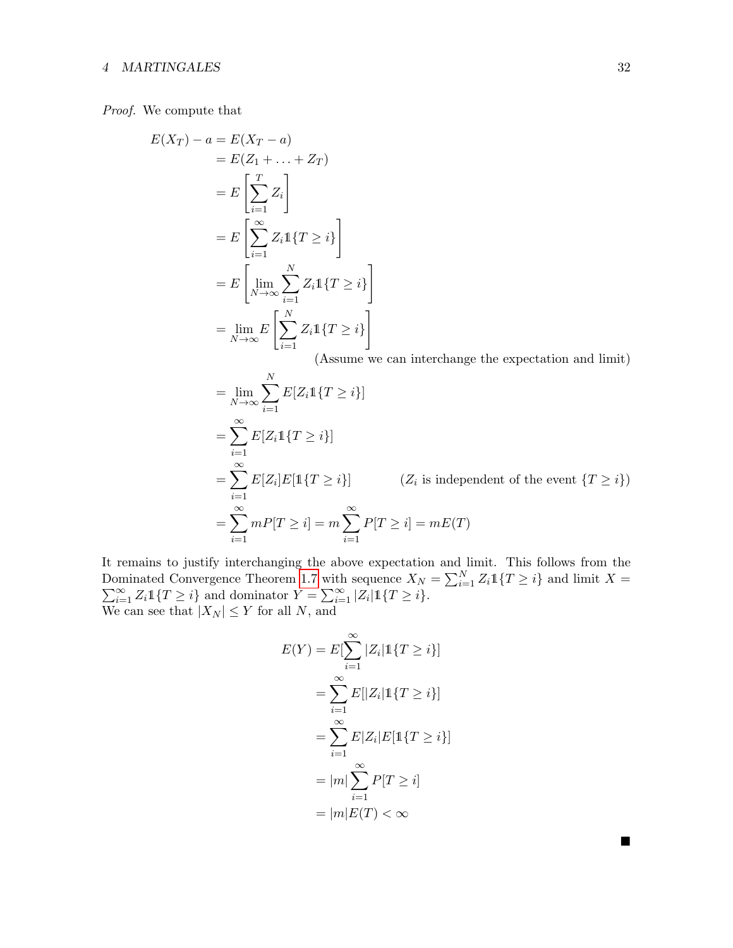## 4 MARTINGALES 32

Proof. We compute that

$$
E(X_T) - a = E(X_T - a)
$$
  
\n
$$
= E(Z_1 + \dots + Z_T)
$$
  
\n
$$
= E\left[\sum_{i=1}^T Z_i\right]
$$
  
\n
$$
= E\left[\sum_{i=1}^\infty Z_i \mathbb{1}\{T \ge i\}\right]
$$
  
\n
$$
= E\left[\lim_{N \to \infty} \sum_{i=1}^N Z_i \mathbb{1}\{T \ge i\}\right]
$$
  
\n
$$
= \lim_{N \to \infty} E\left[\sum_{i=1}^N Z_i \mathbb{1}\{T \ge i\}\right]
$$

(Assume we can interchange the expectation and limit)

$$
\lim_{N \to \infty} \sum_{i=1}^{N} E[Z_i 1\{T \ge i\}]
$$
\n
$$
= \sum_{i=1}^{\infty} E[Z_i 1\{T \ge i\}]
$$
\n
$$
= \sum_{i=1}^{\infty} E[Z_i] E[1\{T \ge i\}] \qquad (Z_i \text{ is independent of the event } \{T \ge i\})
$$
\n
$$
= \sum_{i=1}^{\infty} m P[T \ge i] = m \sum_{i=1}^{\infty} P[T \ge i] = mE(T)
$$

It remains to justify interchanging the above expectation and limit. This follows from the Dominated Convergence Theorem [1.7](#page-4-1) with sequence  $X_N = \sum_{i=1}^N$  $\sum$ positionated Convergence Theorem 1.7 with sequence  $X_N = \sum_{i=1}^N Z_i \mathbb{1}\{T \geq i\}$  and limit  $X = \sum_{i=1}^{\infty} Z_i \mathbb{1}\{T \geq i\}$ . We can see that  $|X_N| \leq Y$  for all N, and

$$
E(Y) = E[\sum_{i=1}^{\infty} |Z_i| \mathbb{1}\{T \ge i\}]
$$

$$
= \sum_{i=1}^{\infty} E[|Z_i| \mathbb{1}\{T \ge i\}]
$$

$$
= \sum_{i=1}^{\infty} E[Z_i|E[\mathbb{1}\{T \ge i\}]
$$

$$
= |m| \sum_{i=1}^{\infty} P[T \ge i]
$$

$$
= |m|E(T) < \infty
$$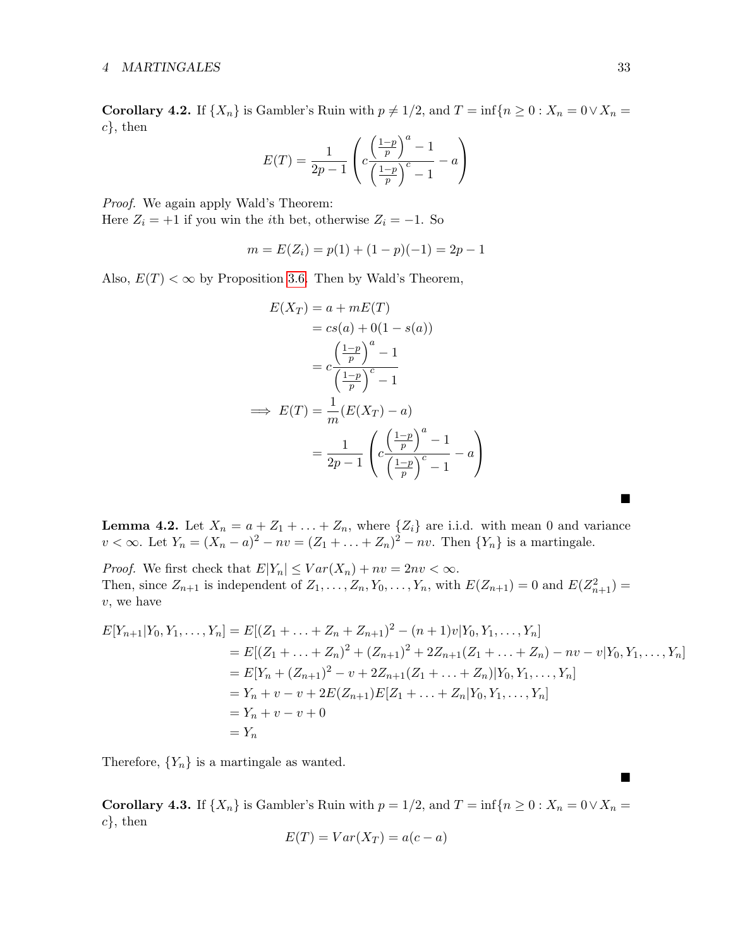Corollary 4.2. If  $\{X_n\}$  is Gambler's Ruin with  $p \neq 1/2$ , and  $T = \inf\{n \geq 0 : X_n = 0 \vee X_n = 0\}$  $c\}$ , then

$$
E(T) = \frac{1}{2p - 1} \left( c \frac{\left(\frac{1 - p}{p}\right)^a - 1}{\left(\frac{1 - p}{p}\right)^c - 1} - a \right)
$$

Proof. We again apply Wald's Theorem:

Here  $Z_i = +1$  if you win the *i*th bet, otherwise  $Z_i = -1$ . So

$$
m = E(Z_i) = p(1) + (1 - p)(-1) = 2p - 1
$$

Also,  $E(T) < \infty$  by Proposition [3.6.](#page-24-0) Then by Wald's Theorem,

$$
E(X_T) = a + mE(T)
$$
  
\n
$$
= cs(a) + 0(1 - s(a))
$$
  
\n
$$
= c\frac{\left(\frac{1-p}{p}\right)^a - 1}{\left(\frac{1-p}{p}\right)^c - 1}
$$
  
\n
$$
\implies E(T) = \frac{1}{m}(E(X_T) - a)
$$
  
\n
$$
= \frac{1}{2p - 1}\left(c\frac{\left(\frac{1-p}{p}\right)^a - 1}{\left(\frac{1-p}{p}\right)^c - 1} - a\right)
$$

**Lemma 4.2.** Let  $X_n = a + Z_1 + \ldots + Z_n$ , where  $\{Z_i\}$  are i.i.d. with mean 0 and variance  $v < \infty$ . Let  $Y_n = (X_n - a)^2 - nv = (Z_1 + ... + Z_n)^2 - nv$ . Then  $\{Y_n\}$  is a martingale.

*Proof.* We first check that  $E|Y_n| \leq Var(X_n) + nv = 2nv < \infty$ . Then, since  $Z_{n+1}$  is independent of  $Z_1, \ldots, Z_n, Y_0, \ldots, Y_n$ , with  $E(Z_{n+1}) = 0$  and  $E(Z_{n+1}^2) =$ v, we have

$$
E[Y_{n+1}|Y_0, Y_1, \dots, Y_n] = E[(Z_1 + \dots + Z_n + Z_{n+1})^2 - (n+1)v|Y_0, Y_1, \dots, Y_n]
$$
  
\n
$$
= E[(Z_1 + \dots + Z_n)^2 + (Z_{n+1})^2 + 2Z_{n+1}(Z_1 + \dots + Z_n) - nv - v|Y_0, Y_1, \dots, Y_n]
$$
  
\n
$$
= E[Y_n + (Z_{n+1})^2 - v + 2Z_{n+1}(Z_1 + \dots + Z_n)|Y_0, Y_1, \dots, Y_n]
$$
  
\n
$$
= Y_n + v - v + 2E(Z_{n+1})E[Z_1 + \dots + Z_n|Y_0, Y_1, \dots, Y_n]
$$
  
\n
$$
= Y_n + v - v + 0
$$
  
\n
$$
= Y_n
$$

Therefore,  ${Y_n}$  is a martingale as wanted.

Corollary 4.3. If  $\{X_n\}$  is Gambler's Ruin with  $p = 1/2$ , and  $T = \inf\{n \geq 0 : X_n = 0 \vee X_n = 0\}$  $c\}$ , then

$$
E(T) = Var(X_T) = a(c - a)
$$

 $\blacksquare$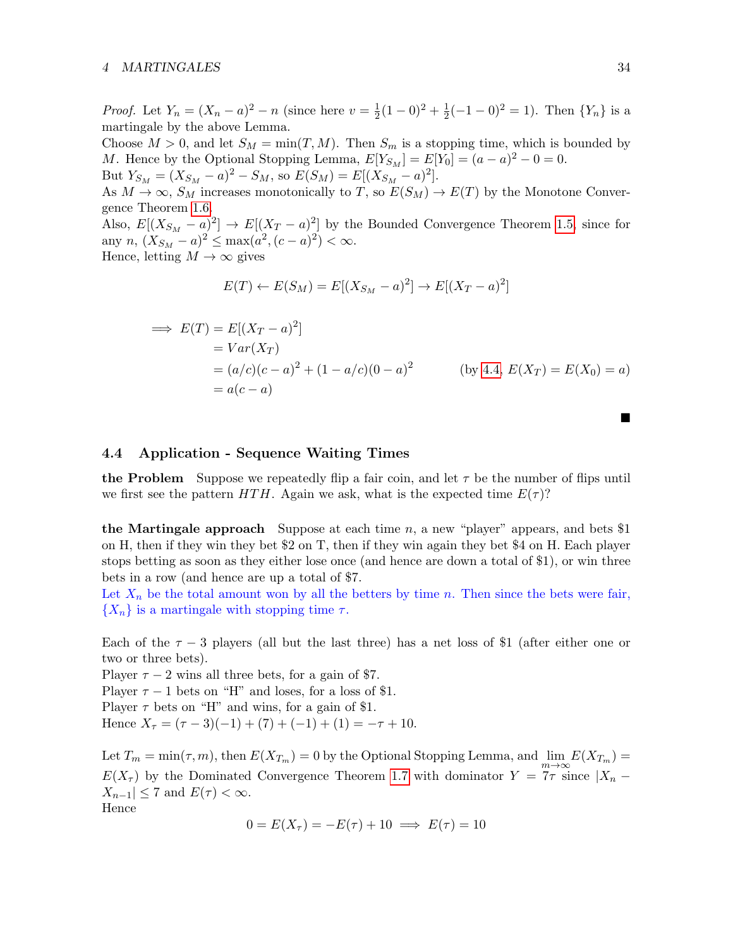#### 4 MARTINGALES 34

*Proof.* Let  $Y_n = (X_n - a)^2 - n$  (since here  $v = \frac{1}{2}$ )  $\frac{1}{2}(1-0)^2 + \frac{1}{2}$  $\frac{1}{2}(-1-0)^2=1$ ). Then  $\{Y_n\}$  is a martingale by the above Lemma.

Choose  $M > 0$ , and let  $S_M = \min(T, M)$ . Then  $S_m$  is a stopping time, which is bounded by *M*. Hence by the Optional Stopping Lemma,  $E[Y_{S_M}] = E[Y_0] = (a - a)^2 - 0 = 0$ .

But  $Y_{S_M} = (X_{S_M} - a)^2 - S_M$ , so  $E(S_M) = E[(X_{S_M} - a)^2]$ .

As  $M \to \infty$ ,  $S_M$  increases monotonically to T, so  $E(S_M) \to E(T)$  by the Monotone Convergence Theorem [1.6.](#page-3-3)

Also,  $E[(X_{S_M} - a)^2] \to E[(X_T - a)^2]$  by the Bounded Convergence Theorem [1.5,](#page-3-2) since for any  $n, (X_{S_M} - a)^2 \le \max(a^2, (c - a)^2) < \infty$ . Hence, letting  $M \to \infty$  gives

$$
E(T) \leftarrow E(S_M) = E[(X_{S_M} - a)^2] \rightarrow E[(X_T - a)^2]
$$

$$
\Rightarrow E(T) = E[(X_T - a)^2]
$$
  
= Var(X\_T)  
= (a/c)(c - a)<sup>2</sup> + (1 - a/c)(0 - a)<sup>2</sup> (by 4.4, E(X\_T) = E(X\_0) = a)  
= a(c - a)

## <span id="page-33-0"></span>4.4 Application - Sequence Waiting Times

the Problem Suppose we repeatedly flip a fair coin, and let  $\tau$  be the number of flips until we first see the pattern HTH. Again we ask, what is the expected time  $E(\tau)$ ?

the Martingale approach Suppose at each time  $n$ , a new "player" appears, and bets \$1 on H, then if they win they bet \$2 on T, then if they win again they bet \$4 on H. Each player stops betting as soon as they either lose once (and hence are down a total of \$1), or win three bets in a row (and hence are up a total of \$7.

Let  $X_n$  be the total amount won by all the betters by time n. Then since the bets were fair,  $\{X_n\}$  is a martingale with stopping time  $\tau$ .

Each of the  $\tau - 3$  players (all but the last three) has a net loss of \$1 (after either one or two or three bets).

Player  $\tau - 2$  wins all three bets, for a gain of \$7.

Player  $\tau - 1$  bets on "H" and loses, for a loss of \$1.

Player  $\tau$  bets on "H" and wins, for a gain of \$1.

Hence  $X_{\tau} = (\tau - 3)(-1) + (7) + (-1) + (1) = -\tau + 10.$ 

Let  $T_m = \min(\tau, m)$ , then  $E(X_{T_m}) = 0$  by the Optional Stopping Lemma, and  $\lim_{m \to \infty} E(X_{T_m}) = 0$  $E(X_{\tau})$  by the Dominated Convergence Theorem [1.7](#page-4-1) with dominator  $Y = \overline{7}\tau$  since  $|X_n - \tau|$  $|X_{n-1}| \leq 7$  and  $E(\tau) < \infty$ . Hence

$$
0 = E(X_{\tau}) = -E(\tau) + 10 \implies E(\tau) = 10
$$

п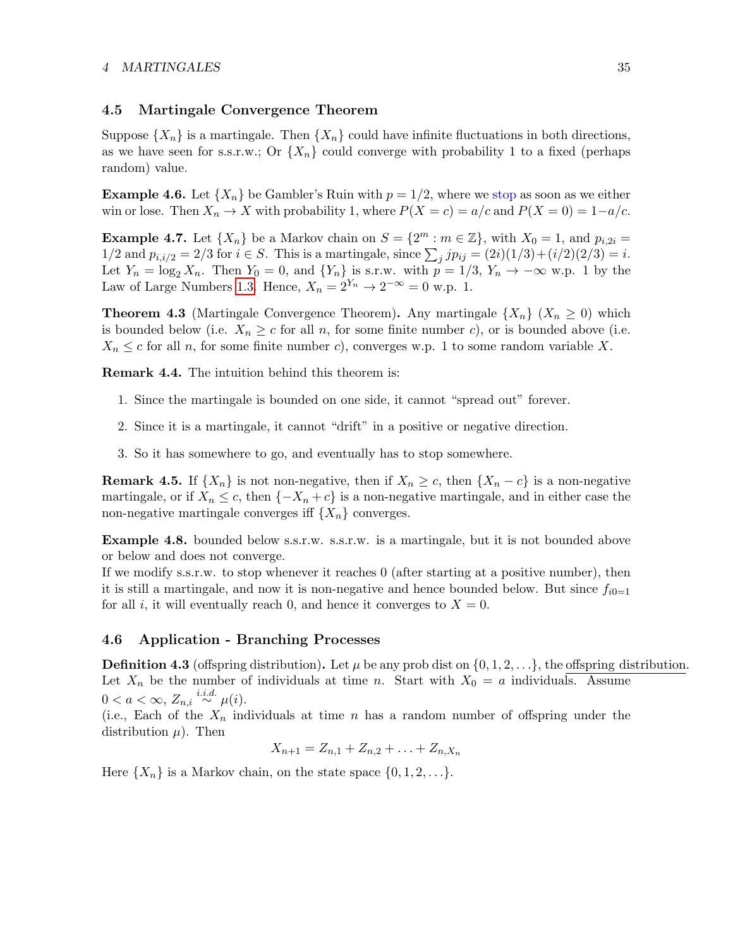### <span id="page-34-0"></span>4.5 Martingale Convergence Theorem

Suppose  $\{X_n\}$  is a martingale. Then  $\{X_n\}$  could have infinite fluctuations in both directions, as we have seen for s.s.r.w.; Or  $\{X_n\}$  could converge with probability 1 to a fixed (perhaps random) value.

**Example 4.6.** Let  $\{X_n\}$  be Gambler's Ruin with  $p = 1/2$ , where we stop as soon as we either win or lose. Then  $X_n \to X$  with probability 1, where  $P(X = c) = a/c$  and  $P(X = 0) = 1-a/c$ .

**Example 4.7.** Let  $\{X_n\}$  be a Markov chain on  $S = \{2^m : m \in \mathbb{Z}\}\$ , with  $X_0 = 1$ , and  $p_{i,2i} =$  $1/2$  and  $p_{i,i/2} = 2/3$  for  $i \in S$ . This is a martingale, since  $\sum_j j p_{ij} = (2i)(1/3) + (i/2)(2/3) = i$ . Let  $Y_n = \log_2 X_n$ . Then  $Y_0 = 0$ , and  $\{Y_n\}$  is s.r.w. with  $p = 1/3$ ,  $Y_n \to -\infty$  w.p. 1 by the Law of Large Numbers [1.3.](#page-3-4) Hence,  $X_n = 2^{Y_n} \rightarrow 2^{-\infty} = 0$  w.p. 1.

<span id="page-34-2"></span>**Theorem 4.3** (Martingale Convergence Theorem). Any martingale  $\{X_n\}$   $(X_n \geq 0)$  which is bounded below (i.e.  $X_n \geq c$  for all n, for some finite number c), or is bounded above (i.e.  $X_n \leq c$  for all n, for some finite number c), converges w.p. 1 to some random variable X.

Remark 4.4. The intuition behind this theorem is:

- 1. Since the martingale is bounded on one side, it cannot "spread out" forever.
- 2. Since it is a martingale, it cannot "drift" in a positive or negative direction.
- 3. So it has somewhere to go, and eventually has to stop somewhere.

**Remark 4.5.** If  $\{X_n\}$  is not non-negative, then if  $X_n \geq c$ , then  $\{X_n - c\}$  is a non-negative martingale, or if  $X_n \leq c$ , then  $\{-X_n + c\}$  is a non-negative martingale, and in either case the non-negative martingale converges iff  $\{X_n\}$  converges.

Example 4.8. bounded below s.s.r.w. s.s.r.w. is a martingale, but it is not bounded above or below and does not converge.

If we modify s.s.r.w. to stop whenever it reaches 0 (after starting at a positive number), then it is still a martingale, and now it is non-negative and hence bounded below. But since  $f_{i0=1}$ for all i, it will eventually reach 0, and hence it converges to  $X = 0$ .

#### <span id="page-34-1"></span>4.6 Application - Branching Processes

**Definition 4.3** (offspring distribution). Let  $\mu$  be any prob dist on  $\{0, 1, 2, \ldots\}$ , the offspring distribution. Let  $X_n$  be the number of individuals at time n. Start with  $X_0 = a$  individuals. Assume  $0 < a < \infty$ ,  $Z_{n,i} \stackrel{i.i.d.}{\sim} \mu(i)$ .

(i.e., Each of the  $X_n$  individuals at time n has a random number of offspring under the distribution  $\mu$ ). Then

 $X_{n+1} = Z_{n,1} + Z_{n,2} + \ldots + Z_{n,X_n}$ 

Here  $\{X_n\}$  is a Markov chain, on the state space  $\{0, 1, 2, \ldots\}$ .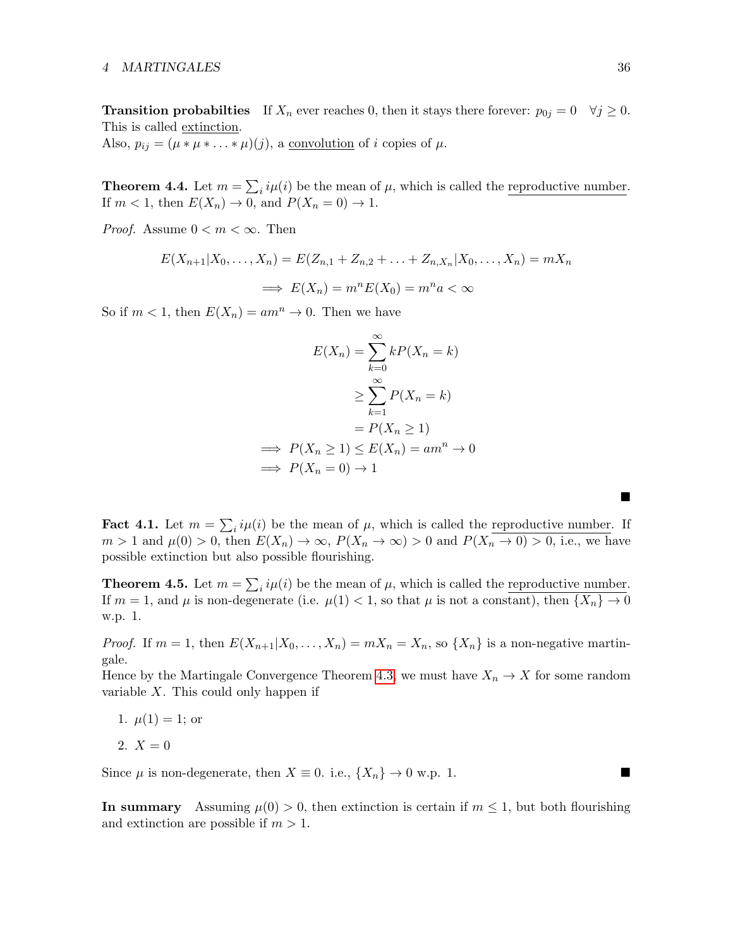**Transition probabilties** If  $X_n$  ever reaches 0, then it stays there forever:  $p_{0j} = 0 \quad \forall j \ge 0$ . This is called extinction.

Also,  $p_{ij} = (\mu * \mu * \ldots * \mu)(j)$ , a <u>convolution</u> of *i* copies of  $\mu$ .

**Theorem 4.4.** Let  $m = \sum_i i\mu(i)$  be the mean of  $\mu$ , which is called the reproductive number. If  $m < 1$ , then  $E(X_n) \to 0$ , and  $P(X_n = 0) \to 1$ .

*Proof.* Assume  $0 < m < \infty$ . Then

$$
E(X_{n+1}|X_0,\ldots,X_n) = E(Z_{n,1} + Z_{n,2} + \ldots + Z_{n,X_n}|X_0,\ldots,X_n) = mX_n
$$
  

$$
\implies E(X_n) = m^n E(X_0) = m^n a < \infty
$$

So if  $m < 1$ , then  $E(X_n) = am^n \rightarrow 0$ . Then we have

$$
E(X_n) = \sum_{k=0}^{\infty} kP(X_n = k)
$$

$$
\geq \sum_{k=1}^{\infty} P(X_n = k)
$$

$$
= P(X_n \geq 1)
$$

$$
\implies P(X_n \geq 1) \leq E(X_n) = am^n \to 0
$$

$$
\implies P(X_n = 0) \to 1
$$

**Fact 4.1.** Let  $m = \sum_i i\mu(i)$  be the mean of  $\mu$ , which is called the reproductive number. If  $m > 1$  and  $\mu(0) > 0$ , then  $E(X_n) \to \infty$ ,  $P(X_n \to \infty) > 0$  and  $P(X_n \to 0) > 0$ , i.e., we have possible extinction but also possible flourishing.

**Theorem 4.5.** Let  $m = \sum_i i\mu(i)$  be the mean of  $\mu$ , which is called the reproductive number. If  $m = 1$ , and  $\mu$  is non-degenerate (i.e.  $\mu(1) < 1$ , so that  $\mu$  is not a constant), then  $\{X_n\} \to 0$ w.p. 1.

*Proof.* If  $m = 1$ , then  $E(X_{n+1}|X_0,\ldots,X_n) = mX_n = X_n$ , so  $\{X_n\}$  is a non-negative martingale.

Hence by the Martingale Convergence Theorem [4.3,](#page-34-2) we must have  $X_n \to X$  for some random variable  $X$ . This could only happen if

1. 
$$
\mu(1) = 1
$$
; or

$$
2. X = 0
$$

Since  $\mu$  is non-degenerate, then  $X \equiv 0$ . i.e.,  $\{X_n\} \to 0$  w.p. 1.

In summary Assuming  $\mu(0) > 0$ , then extinction is certain if  $m \leq 1$ , but both flourishing and extinction are possible if  $m > 1$ .

■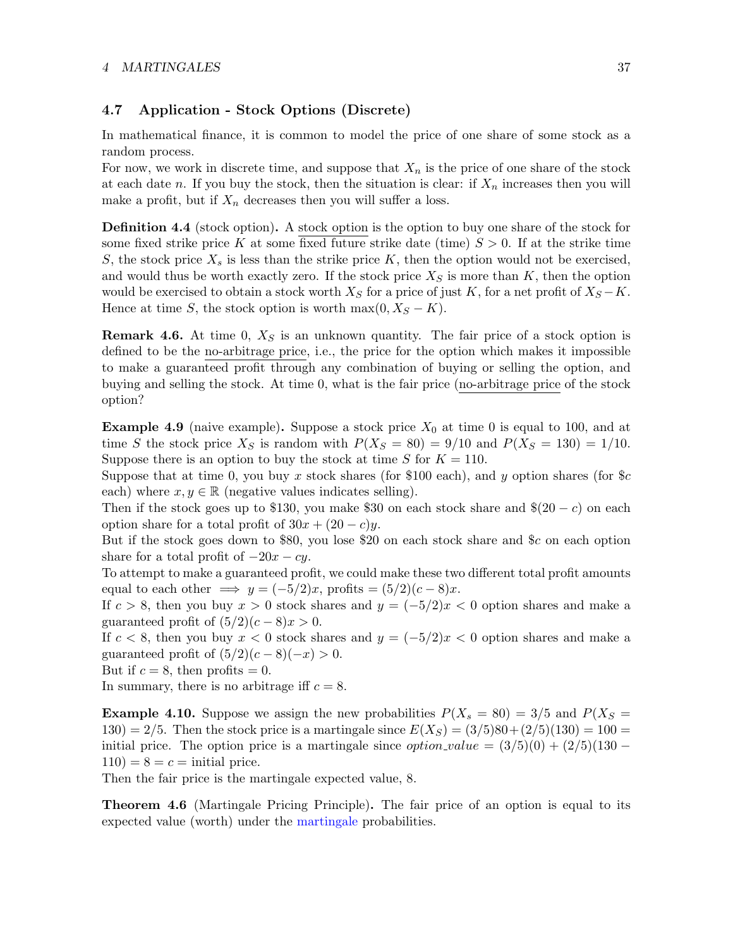### 4 MARTINGALES 37

## <span id="page-36-0"></span>4.7 Application - Stock Options (Discrete)

In mathematical finance, it is common to model the price of one share of some stock as a random process.

For now, we work in discrete time, and suppose that  $X_n$  is the price of one share of the stock at each date n. If you buy the stock, then the situation is clear: if  $X_n$  increases then you will make a profit, but if  $X_n$  decreases then you will suffer a loss.

**Definition 4.4** (stock option). A stock option is the option to buy one share of the stock for some fixed strike price K at some fixed future strike date (time)  $S > 0$ . If at the strike time S, the stock price  $X_s$  is less than the strike price K, then the option would not be exercised, and would thus be worth exactly zero. If the stock price  $X<sub>S</sub>$  is more than K, then the option would be exercised to obtain a stock worth  $X_S$  for a price of just K, for a net profit of  $X_S - K$ . Hence at time S, the stock option is worth max $(0, X<sub>S</sub> - K)$ .

**Remark 4.6.** At time 0,  $X<sub>S</sub>$  is an unknown quantity. The fair price of a stock option is defined to be the no-arbitrage price, i.e., the price for the option which makes it impossible to make a guaranteed profit through any combination of buying or selling the option, and buying and selling the stock. At time 0, what is the fair price (no-arbitrage price of the stock option?

**Example 4.9** (naive example). Suppose a stock price  $X_0$  at time 0 is equal to 100, and at time S the stock price  $X_S$  is random with  $P(X_S = 80) = 9/10$  and  $P(X_S = 130) = 1/10$ . Suppose there is an option to buy the stock at time S for  $K = 110$ .

Suppose that at time 0, you buy x stock shares (for \$100 each), and y option shares (for  $c$ each) where  $x, y \in \mathbb{R}$  (negative values indicates selling).

Then if the stock goes up to \$130, you make \$30 on each stock share and  $(20 - c)$  on each option share for a total profit of  $30x + (20 - c)y$ .

But if the stock goes down to \$80, you lose \$20 on each stock share and \$c on each option share for a total profit of  $-20x - cy$ .

To attempt to make a guaranteed profit, we could make these two different total profit amounts equal to each other  $\implies y = (-5/2)x$ , profits  $=(5/2)(c-8)x$ .

If  $c > 8$ , then you buy  $x > 0$  stock shares and  $y = (-5/2)x < 0$  option shares and make a guaranteed profit of  $(5/2)(c-8)x > 0$ .

If  $c < 8$ , then you buy  $x < 0$  stock shares and  $y = (-5/2)x < 0$  option shares and make a guaranteed profit of  $(5/2)(c-8)(-x) > 0$ .

But if  $c = 8$ , then profits  $= 0$ .

In summary, there is no arbitrage iff  $c = 8$ .

**Example 4.10.** Suppose we assign the new probabilities  $P(X_s = 80) = 3/5$  and  $P(X_s = 80)$ 130) = 2/5. Then the stock price is a martingale since  $E(X_S) = (3/5)80 + (2/5)(130) = 100 =$ initial price. The option price is a martingale since *option value* =  $(3/5)(0) + (2/5)(130 110$ ) = 8 = c = initial price.

Then the fair price is the martingale expected value, 8.

Theorem 4.6 (Martingale Pricing Principle). The fair price of an option is equal to its expected value (worth) under the martingale probabilities.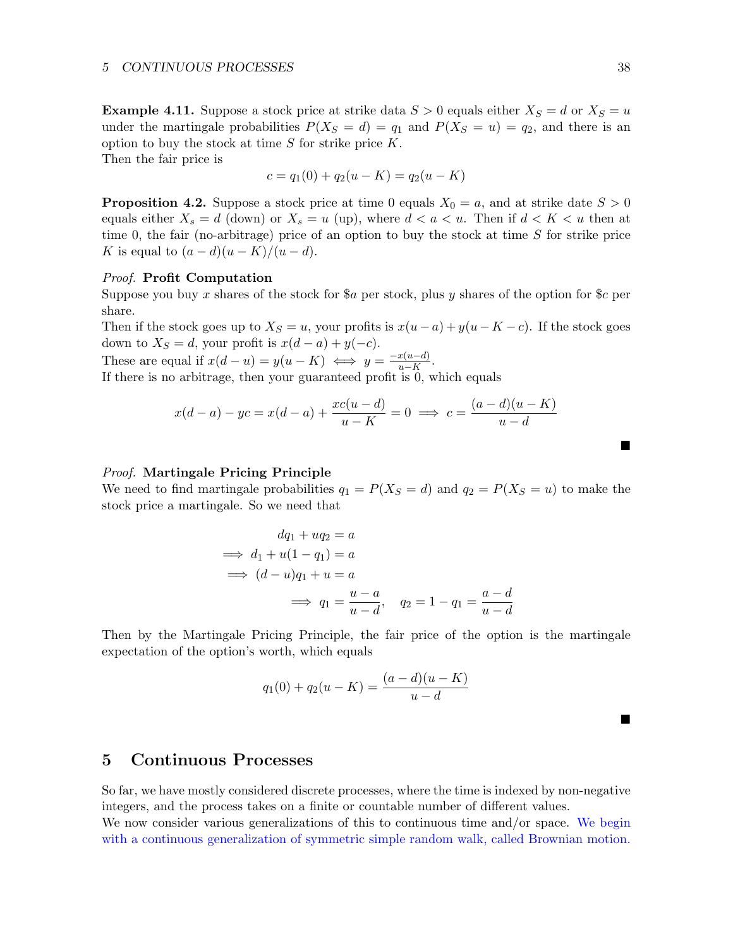**Example 4.11.** Suppose a stock price at strike data  $S > 0$  equals either  $X_S = d$  or  $X_S = u$ under the martingale probabilities  $P(X_S = d) = q_1$  and  $P(X_S = u) = q_2$ , and there is an option to buy the stock at time  $S$  for strike price  $K$ .

Then the fair price is

$$
c = q_1(0) + q_2(u - K) = q_2(u - K)
$$

**Proposition 4.2.** Suppose a stock price at time 0 equals  $X_0 = a$ , and at strike date  $S > 0$ equals either  $X_s = d$  (down) or  $X_s = u$  (up), where  $d < a < u$ . Then if  $d < K < u$  then at time 0, the fair (no-arbitrage) price of an option to buy the stock at time  $S$  for strike price K is equal to  $(a-d)(u-K)/(u-d)$ .

#### Proof. Profit Computation

Suppose you buy x shares of the stock for  $a$  per stock, plus y shares of the option for  $c$  per share.

Then if the stock goes up to  $X_s = u$ , your profits is  $x(u-a) + y(u-K-c)$ . If the stock goes down to  $X_S = d$ , your profit is  $x(d - a) + y(-c)$ .

These are equal if  $x(d-u) = y(u-K) \iff y = \frac{-x(u-d)}{u-K}$  $rac{x(u-a)}{u-K}$ .

If there is no arbitrage, then your guaranteed profit is 0, which equals

$$
x(d-a) - y_c = x(d-a) + \frac{xc(u-d)}{u-K} = 0 \implies c = \frac{(a-d)(u-K)}{u-d}
$$

#### Proof. Martingale Pricing Principle

We need to find martingale probabilities  $q_1 = P(X_S = d)$  and  $q_2 = P(X_S = u)$  to make the stock price a martingale. So we need that

$$
dq_1 + uq_2 = a
$$
  
\n
$$
\implies d_1 + u(1 - q_1) = a
$$
  
\n
$$
\implies (d - u)q_1 + u = a
$$
  
\n
$$
\implies q_1 = \frac{u - a}{u - d}, \quad q_2 = 1 - q_1 = \frac{a - d}{u - d}
$$

Then by the Martingale Pricing Principle, the fair price of the option is the martingale expectation of the option's worth, which equals

$$
q_1(0) + q_2(u - K) = \frac{(a - d)(u - K)}{u - d}
$$

■

 $\blacksquare$ 

## <span id="page-37-0"></span>5 Continuous Processes

So far, we have mostly considered discrete processes, where the time is indexed by non-negative integers, and the process takes on a finite or countable number of different values.

We now consider various generalizations of this to continuous time and/or space. We begin with a continuous generalization of symmetric simple random walk, called Brownian motion.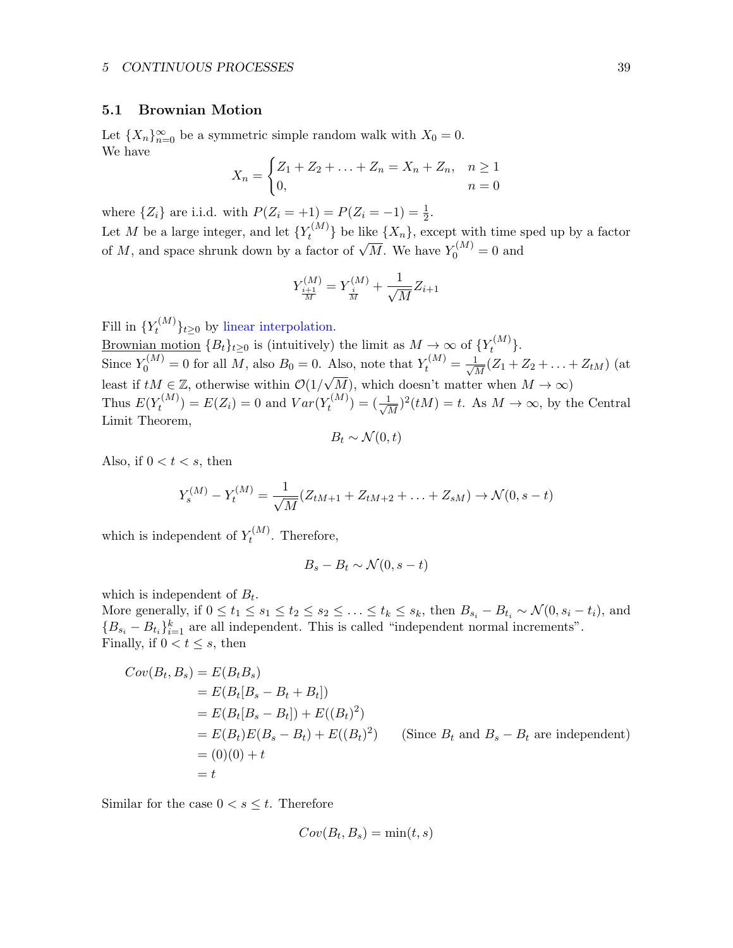#### <span id="page-38-0"></span>5.1 Brownian Motion

Let  ${X_n}_{n=0}^{\infty}$  be a symmetric simple random walk with  $X_0 = 0$ . We have

$$
X_n = \begin{cases} Z_1 + Z_2 + \ldots + Z_n = X_n + Z_n, & n \ge 1 \\ 0, & n = 0 \end{cases}
$$

where  $\{Z_i\}$  are i.i.d. with  $P(Z_i = +1) = P(Z_i = -1) = \frac{1}{2}$ .

Let M be a large integer, and let  $\{Y_t^{(M)}\}$  $\{X_n\}$ , except with time sped up by a factor Let M be a large integer, and let  $\{Y_t\}$  be the  $\{X_n\}$ , except with time s of M, and space shrunk down by a factor of  $\sqrt{M}$ . We have  $Y_0^{(M)} = 0$  and

$$
Y_{\frac{i+1}{M}}^{(M)} = Y_{\frac{i}{M}}^{(M)} + \frac{1}{\sqrt{M}} Z_{i+1}
$$

Fill in  $\{Y_t^{(M)}\}$  $\{t^{(M)}\}_{t\geq 0}$  by linear interpolation.

Brownian motion  ${B_t}_{t\geq 0}$  is (intuitively) the limit as  $M \to \infty$  of  ${Y_t^{(M)}}$  $t^{(M)}$ . Since  $Y_0^{(M)} = 0$  for all M, also  $B_0 = 0$ . Also, note that  $Y_t^{(M)} = \frac{1}{\sqrt{t}}$  $\frac{1}{\overline{M}}(Z_1 + Z_2 + \ldots + Z_{tM})$  (at least if  $tM \in \mathbb{Z}$ , otherwise within  $\mathcal{O}(1/\sqrt{2})$ M), which doesn't matter when  $M \to \infty$ ) Thus  $E(Y_t^{(M)})$  $t_t^{(M)}$ ) =  $E(Z_i) = 0$  and  $Var(Y_t^{(M)})$  $t^{(M)}_t$  ) =  $(\frac{1}{\sqrt{t}})$  $\frac{1}{M}$ )<sup>2</sup>(*tM*) = *t*. As *M*  $\rightarrow \infty$ , by the Central Limit Theorem,

$$
B_t \sim \mathcal{N}(0, t)
$$

Also, if  $0 < t < s$ , then

$$
Y_s^{(M)} - Y_t^{(M)} = \frac{1}{\sqrt{M}} (Z_{tM+1} + Z_{tM+2} + \ldots + Z_{sM}) \to \mathcal{N}(0, s - t)
$$

which is independent of  $Y_t^{(M)}$  $t^{(M)}$ . Therefore,

$$
B_s - B_t \sim \mathcal{N}(0, s - t)
$$

which is independent of  $B_t$ .

More generally, if  $0 \le t_1 \le s_1 \le t_2 \le s_2 \le \ldots \le t_k \le s_k$ , then  $B_{s_i} - B_{t_i} \sim \mathcal{N}(0, s_i - t_i)$ , and  ${B_{s_i} - B_{t_i}}_{i=1}^k$  are all independent. This is called "independent normal increments". Finally, if  $0 < t \leq s$ , then

$$
Cov(B_t, B_s) = E(B_t B_s)
$$
  
=  $E(B_t[B_s - B_t + B_t])$   
=  $E(B_t[B_s - B_t]) + E((B_t)^2)$   
=  $E(B_t)E(B_s - B_t) + E((B_t)^2)$  (Since  $B_t$  and  $B_s - B_t$  are independent)  
= (0)(0) + t  
= t

Similar for the case  $0 < s \leq t$ . Therefore

$$
Cov(B_t, B_s) = \min(t, s)
$$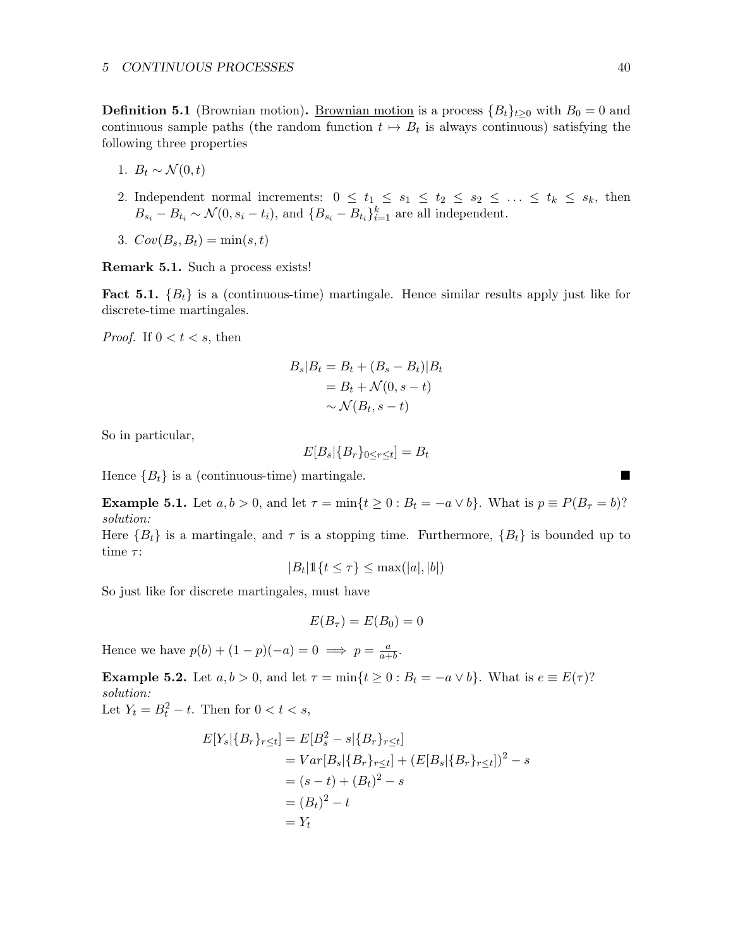**Definition 5.1** (Brownian motion). <u>Brownian motion</u> is a process  ${B<sub>t</sub>}<sub>t>0</sub>$  with  $B<sub>0</sub> = 0$  and continuous sample paths (the random function  $t \mapsto B_t$  is always continuous) satisfying the following three properties

- 1.  $B_t \sim \mathcal{N}(0, t)$
- 2. Independent normal increments:  $0 \leq t_1 \leq s_1 \leq t_2 \leq s_2 \leq \ldots \leq t_k \leq s_k$ , then  $B_{s_i} - B_{t_i} \sim \mathcal{N}(0, s_i - t_i)$ , and  $\{B_{s_i} - B_{t_i}\}_{i=1}^k$  are all independent.
- 3.  $Cov(B_s, B_t) = \min(s, t)$

Remark 5.1. Such a process exists!

**Fact 5.1.**  ${B_t}$  is a (continuous-time) martingale. Hence similar results apply just like for discrete-time martingales.

*Proof.* If  $0 < t < s$ , then

$$
B_s|B_t = B_t + (B_s - B_t)|B_t
$$
  
= B\_t + \mathcal{N}(0, s - t)  

$$
\sim \mathcal{N}(B_t, s - t)
$$

So in particular,

$$
E[B_s | \{B_r\}_{0 \leq r \leq t}] = B_t
$$

Hence  ${B_t}$  is a (continuous-time) martingale.

**Example 5.1.** Let  $a, b > 0$ , and let  $\tau = \min\{t \geq 0 : B_t = -a \vee b\}$ . What is  $p \equiv P(B_\tau = b)$ ? solution:

Here  ${B_t}$  is a martingale, and  $\tau$  is a stopping time. Furthermore,  ${B_t}$  is bounded up to time  $\tau$ :

$$
|B_t| \mathbb{1}\{t \le \tau\} \le \max(|a|, |b|)
$$

So just like for discrete martingales, must have

$$
E(B_{\tau})=E(B_0)=0
$$

Hence we have  $p(b) + (1-p)(-a) = 0 \implies p = \frac{a}{a+b}$  $\frac{a}{a+b}$ .

**Example 5.2.** Let  $a, b > 0$ , and let  $\tau = \min\{t \geq 0 : B_t = -a \vee b\}$ . What is  $e \equiv E(\tau)$ ? solution:

Let  $Y_t = B_t^2 - t$ . Then for  $0 < t < s$ ,

$$
E[Y_s|\{B_r\}_{r\leq t}] = E[B_s^2 - s|\{B_r\}_{r\leq t}]
$$
  
=  $Var[B_s|\{B_r\}_{r\leq t}] + (E[B_s|\{B_r\}_{r\leq t}])^2 - s$   
=  $(s - t) + (B_t)^2 - s$   
=  $(B_t)^2 - t$   
=  $Y_t$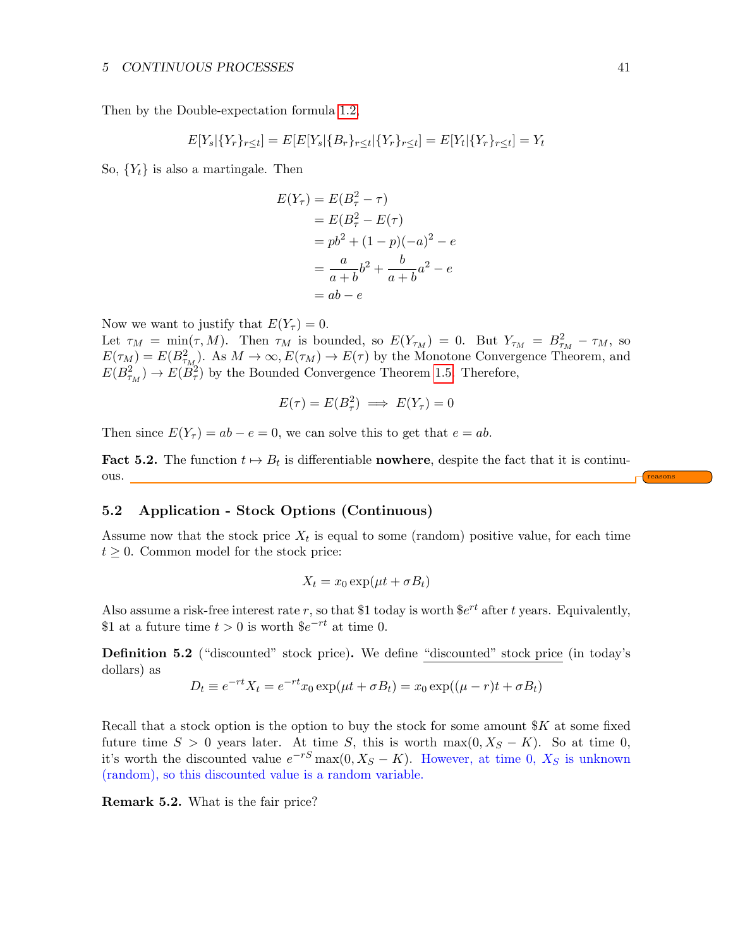Then by the Double-expectation formula [1.2,](#page-3-0)

$$
E[Y_s|\{Y_r\}_{r\leq t}] = E[E[Y_s|\{B_r\}_{r\leq t}|\{Y_r\}_{r\leq t}] = E[Y_t|\{Y_r\}_{r\leq t}] = Y_t
$$

So,  ${Y_t}$  is also a martingale. Then

$$
E(Y_{\tau}) = E(B_{\tau}^{2} - \tau)
$$
  
= 
$$
E(B_{\tau}^{2} - E(\tau))
$$
  
= 
$$
pb^{2} + (1 - p)(-a)^{2} - e
$$
  
= 
$$
\frac{a}{a+b}b^{2} + \frac{b}{a+b}a^{2} - e
$$
  
= 
$$
ab - e
$$

Now we want to justify that  $E(Y_\tau) = 0$ .

Let  $\tau_M = \min(\tau, M)$ . Then  $\tau_M$  is bounded, so  $E(Y_{\tau_M}) = 0$ . But  $Y_{\tau_M} = B_{\tau_M}^2 - \tau_M$ , so  $E(\tau_M) = E(B_{\tau_M}^2)$ . As  $M \to \infty$ ,  $E(\tau_M) \to E(\tau)$  by the Monotone Convergence Theorem, and  $E(B_{\tau_M}^2) \to E(\ddot{B}_{\tau}^2)$  by the Bounded Convergence Theorem [1.5.](#page-3-2) Therefore,

$$
E(\tau) = E(B_{\tau}^2) \implies E(Y_{\tau}) = 0
$$

Then since  $E(Y_\tau) = ab - e = 0$ , we can solve this to get that  $e = ab$ .

**Fact 5.2.** The function  $t \mapsto B_t$  is differentiable **nowhere**, despite the fact that it is continuous. <u>Figures and the set of the set of the set of the set of the set of the set of the set of the set of the set of the set of the set of the set of the set of the set of the set of the set of the set of the set of the se</u>

## <span id="page-40-0"></span>5.2 Application - Stock Options (Continuous)

Assume now that the stock price  $X_t$  is equal to some (random) positive value, for each time  $t \geq 0$ . Common model for the stock price:

$$
X_t = x_0 \exp(\mu t + \sigma B_t)
$$

Also assume a risk-free interest rate r, so that \$1 today is worth  $e^{rt}$  after t years. Equivalently, \$1 at a future time  $t > 0$  is worth  $\varepsilon e^{-rt}$  at time 0.

Definition 5.2 ("discounted" stock price). We define "discounted" stock price (in today's dollars) as

$$
D_t \equiv e^{-rt} X_t = e^{-rt} x_0 \exp(\mu t + \sigma B_t) = x_0 \exp((\mu - r)t + \sigma B_t)
$$

Recall that a stock option is the option to buy the stock for some amount  $K$  at some fixed future time  $S > 0$  years later. At time S, this is worth max $(0, X<sub>S</sub> - K)$ . So at time 0, it's worth the discounted value  $e^{-rS}$  max $(0, X_S - K)$ . However, at time 0,  $X_S$  is unknown (random), so this discounted value is a random variable.

Remark 5.2. What is the fair price?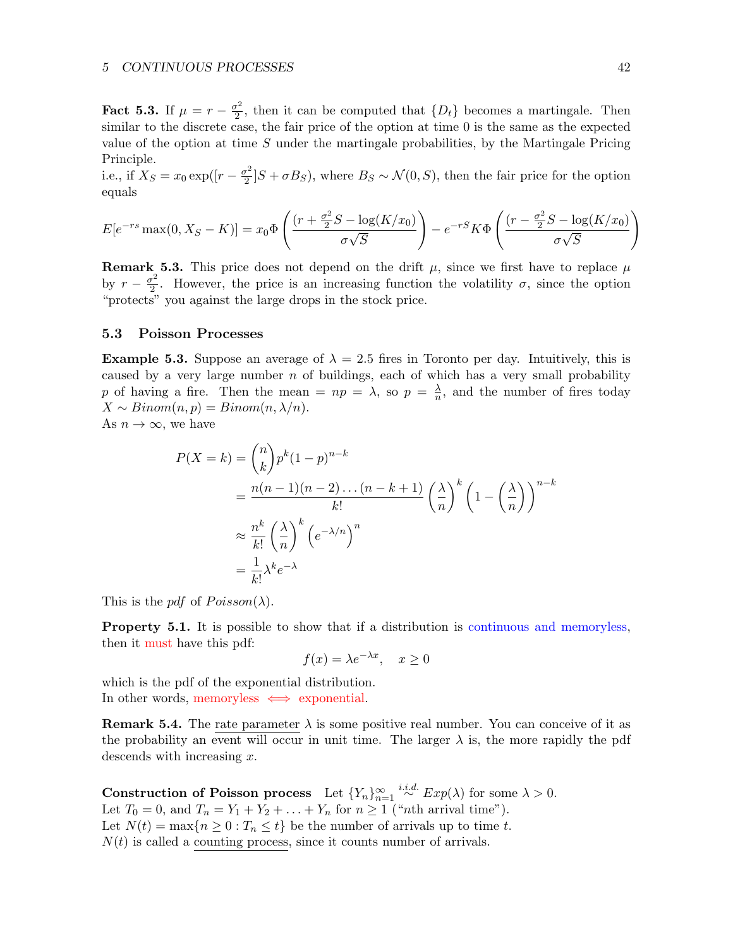#### 5 CONTINUOUS PROCESSES 42

Fact 5.3. If  $\mu = r - \frac{\sigma^2}{2}$  $\frac{p^2}{2}$ , then it can be computed that  $\{D_t\}$  becomes a martingale. Then similar to the discrete case, the fair price of the option at time 0 is the same as the expected value of the option at time  $S$  under the martingale probabilities, by the Martingale Pricing Principle.

i.e., if  $X_S = x_0 \exp((r - \frac{\sigma^2}{2}))$  $\frac{D^2}{2}$   $[S + \sigma B_S]$ , where  $B_S \sim \mathcal{N}(0, S)$ , then the fair price for the option equals

$$
E[e^{-rs}\max(0, X_S - K)] = x_0 \Phi\left(\frac{(r + \frac{\sigma^2}{2}S - \log(K/x_0))}{\sigma\sqrt{S}}\right) - e^{-rS}K\Phi\left(\frac{(r - \frac{\sigma^2}{2}S - \log(K/x_0))}{\sigma\sqrt{S}}\right)
$$

**Remark 5.3.** This price does not depend on the drift  $\mu$ , since we first have to replace  $\mu$ by  $r - \frac{\sigma^2}{2}$  $\frac{\sigma^2}{2}$ . However, the price is an increasing function the volatility  $\sigma$ , since the option "protects" you against the large drops in the stock price.

#### <span id="page-41-0"></span>5.3 Poisson Processes

**Example 5.3.** Suppose an average of  $\lambda = 2.5$  fires in Toronto per day. Intuitively, this is caused by a very large number  $n$  of buildings, each of which has a very small probability p of having a fire. Then the mean  $= np = \lambda$ , so  $p = \frac{\lambda}{n}$  $\frac{\lambda}{n}$ , and the number of fires today  $X \sim Binom(n, p) = Binom(n, \lambda/n).$ As  $n \to \infty$ , we have

$$
P(X = k) = {n \choose k} p^{k} (1-p)^{n-k}
$$
  
= 
$$
\frac{n(n-1)(n-2)\dots(n-k+1)}{k!} \left(\frac{\lambda}{n}\right)^{k} \left(1 - \left(\frac{\lambda}{n}\right)\right)^{n-k}
$$
  

$$
\approx \frac{n^{k}}{k!} \left(\frac{\lambda}{n}\right)^{k} \left(e^{-\lambda/n}\right)^{n}
$$
  
= 
$$
\frac{1}{k!} \lambda^{k} e^{-\lambda}
$$

This is the pdf of  $Poisson(\lambda)$ .

Property 5.1. It is possible to show that if a distribution is continuous and memoryless, then it must have this pdf:

$$
f(x) = \lambda e^{-\lambda x}, \quad x \ge 0
$$

which is the pdf of the exponential distribution. In other words, memoryless  $\iff$  exponential.

**Remark 5.4.** The rate parameter  $\lambda$  is some positive real number. You can conceive of it as the probability an event will occur in unit time. The larger  $\lambda$  is, the more rapidly the pdf descends with increasing x.

Construction of Poisson process Let  ${Y_n}_{n=1}^{\infty} \stackrel{i.i.d.}{\sim} Exp(\lambda)$  for some  $\lambda > 0$ . Let  $T_0 = 0$ , and  $T_n = Y_1 + Y_2 + \ldots + Y_n$  for  $n \ge 1$  ("*nth* arrival time"). Let  $N(t) = \max\{n \geq 0 : T_n \leq t\}$  be the number of arrivals up to time t.  $N(t)$  is called a counting process, since it counts number of arrivals.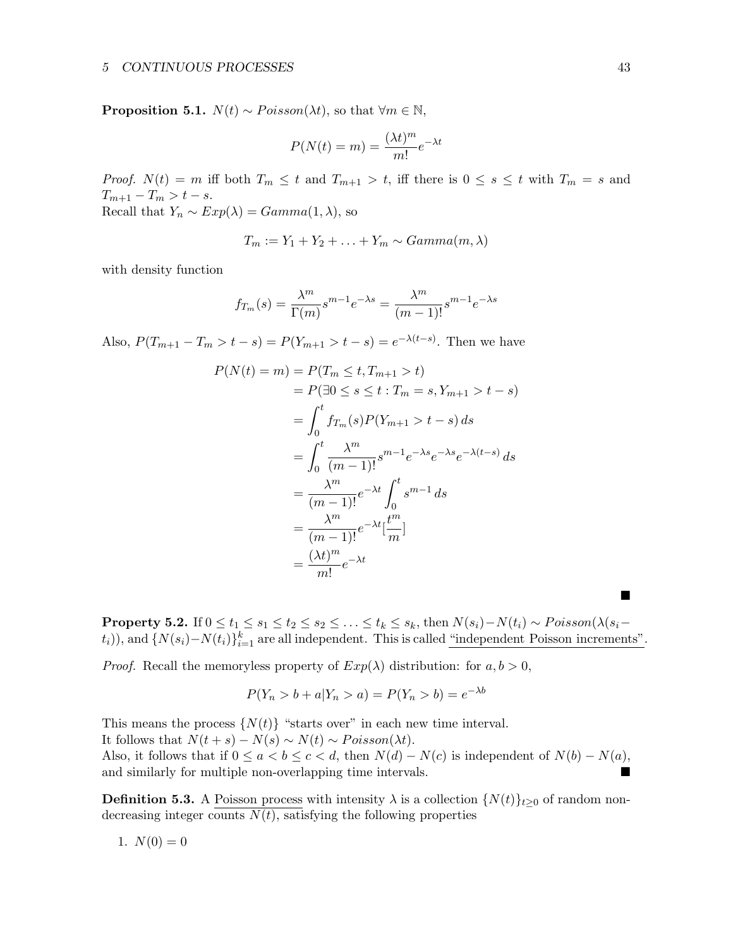**Proposition 5.1.**  $N(t) \sim Poisson(\lambda t)$ , so that  $\forall m \in \mathbb{N}$ ,

$$
P(N(t) = m) = \frac{(\lambda t)^m}{m!} e^{-\lambda t}
$$

*Proof.*  $N(t) = m$  iff both  $T_m \leq t$  and  $T_{m+1} > t$ , iff there is  $0 \leq s \leq t$  with  $T_m = s$  and  $T_{m+1} - T_m > t - s.$ Recall that  $Y_n \sim Exp(\lambda) = Gamma(1, \lambda)$ , so

$$
T_m := Y_1 + Y_2 + \ldots + Y_m \sim Gamma(m, \lambda)
$$

with density function

$$
f_{T_m}(s) = \frac{\lambda^m}{\Gamma(m)} s^{m-1} e^{-\lambda s} = \frac{\lambda^m}{(m-1)!} s^{m-1} e^{-\lambda s}
$$

Also,  $P(T_{m+1} - T_m > t - s) = P(Y_{m+1} > t - s) = e^{-\lambda(t-s)}$ . Then we have

$$
P(N(t) = m) = P(T_m \le t, T_{m+1} > t)
$$
  
=  $P(\exists 0 \le s \le t : T_m = s, Y_{m+1} > t - s)$   
=  $\int_0^t f_{T_m}(s) P(Y_{m+1} > t - s) ds$   
=  $\int_0^t \frac{\lambda^m}{(m-1)!} s^{m-1} e^{-\lambda s} e^{-\lambda (t-s)} ds$   
=  $\frac{\lambda^m}{(m-1)!} e^{-\lambda t} \int_0^t s^{m-1} ds$   
=  $\frac{\lambda^m}{(m-1)!} e^{-\lambda t} [\frac{t^m}{m}]$   
=  $\frac{(\lambda t)^m}{m!} e^{-\lambda t}$ 

**Property 5.2.** If  $0 \le t_1 \le s_1 \le t_2 \le s_2 \le \ldots \le t_k \le s_k$ , then  $N(s_i) - N(t_i) \sim Poisson(\lambda(s_i-\lambda(s_i))$  $(t_i)$ , and  $\{N(s_i) - N(t_i)\}_{i=1}^k$  are all independent. This is called "independent Poisson increments".

*Proof.* Recall the memoryless property of  $Exp(\lambda)$  distribution: for  $a, b > 0$ ,

$$
P(Y_n > b + a | Y_n > a) = P(Y_n > b) = e^{-\lambda b}
$$

This means the process  $\{N(t)\}\,$  "starts over" in each new time interval.

It follows that  $N(t + s) - N(s) \sim N(t) \sim Poisson(\lambda t)$ .

Also, it follows that if  $0 \le a < b \le c < d$ , then  $N(d) - N(c)$  is independent of  $N(b) - N(a)$ , and similarly for multiple non-overlapping time intervals.

**Definition 5.3.** A Poisson process with intensity  $\lambda$  is a collection  $\{N(t)\}_{t\geq0}$  of random nondecreasing integer counts  $N(t)$ , satisfying the following properties

1. 
$$
N(0) = 0
$$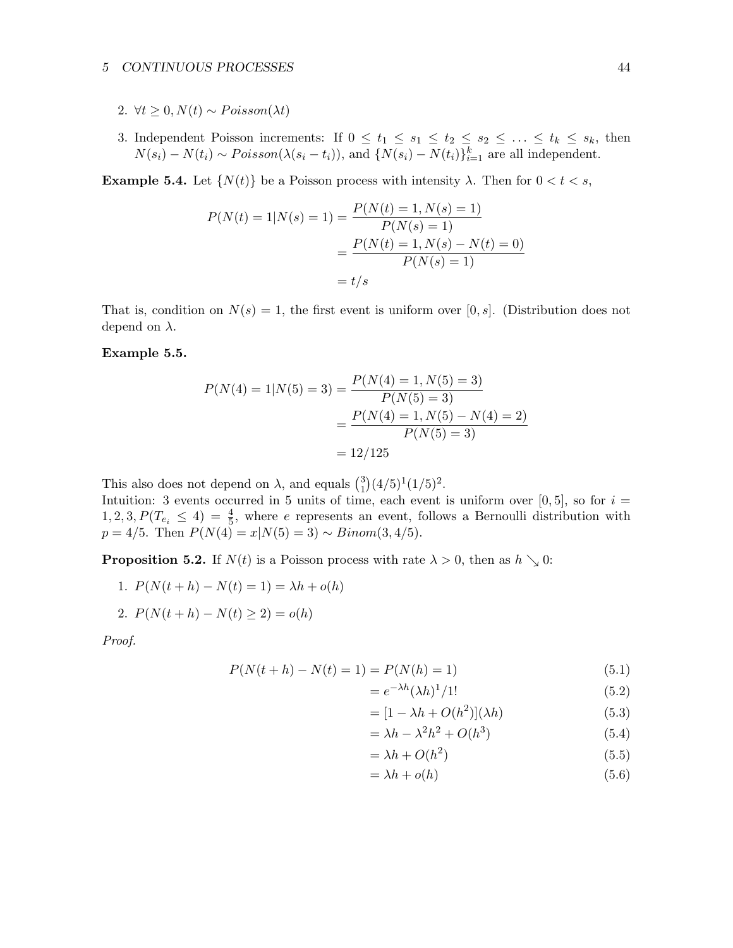#### 5 CONTINUOUS PROCESSES 44

- 2.  $\forall t \geq 0, N(t) \sim Poisson(\lambda t)$
- 3. Independent Poisson increments: If  $0 \le t_1 \le s_1 \le t_2 \le s_2 \le \ldots \le t_k \le s_k$ , then  $N(s_i) - N(t_i) \sim Poisson(\lambda(s_i - t_i))$ , and  $\{N(s_i) - N(t_i)\}_{i=1}^k$  are all independent.

**Example 5.4.** Let  $\{N(t)\}\$ be a Poisson process with intensity  $\lambda$ . Then for  $0 < t < s$ ,

$$
P(N(t) = 1|N(s) = 1) = \frac{P(N(t) = 1, N(s) = 1)}{P(N(s) = 1)}
$$

$$
= \frac{P(N(t) = 1, N(s) - N(t) = 0)}{P(N(s) = 1)}
$$

$$
= t/s
$$

That is, condition on  $N(s) = 1$ , the first event is uniform over [0, s]. (Distribution does not depend on  $\lambda$ .

#### Example 5.5.

$$
P(N(4) = 1|N(5) = 3) = \frac{P(N(4) = 1, N(5) = 3)}{P(N(5) = 3)}
$$

$$
= \frac{P(N(4) = 1, N(5) - N(4) = 2)}{P(N(5) = 3)}
$$

$$
= 12/125
$$

This also does not depend on  $\lambda$ , and equals  $\binom{3}{1}$  $\binom{3}{1}(4/5)^1(1/5)^2$ . Intuition: 3 events occurred in 5 units of time, each event is uniform over  $[0,5]$ , so for  $i =$  $1, 2, 3, P(T_{e_i} \leq 4) = \frac{4}{5}$ , where e represents an event, follows a Bernoulli distribution with  $p = 4/5$ . Then  $P(N(4) = x|N(5) = 3) \sim Binom(3, 4/5)$ .

**Proposition 5.2.** If  $N(t)$  is a Poisson process with rate  $\lambda > 0$ , then as  $h \searrow 0$ :

1. 
$$
P(N(t+h) - N(t) = 1) = \lambda h + o(h)
$$
  
2.  $P(N(t+h) - N(t) \ge 2) = o(h)$ 

Proof.

$$
P(N(t+h) - N(t) = 1) = P(N(h) = 1)
$$
\n(5.1)

$$
=e^{-\lambda h}(\lambda h)^{1}/1!\tag{5.2}
$$

$$
= [1 - \lambda h + O(h^2)](\lambda h) \tag{5.3}
$$

$$
= \lambda h - \lambda^2 h^2 + O(h^3)
$$
\n<sup>(5.4)</sup>

$$
= \lambda h + O(h^2) \tag{5.5}
$$

$$
= \lambda h + o(h) \tag{5.6}
$$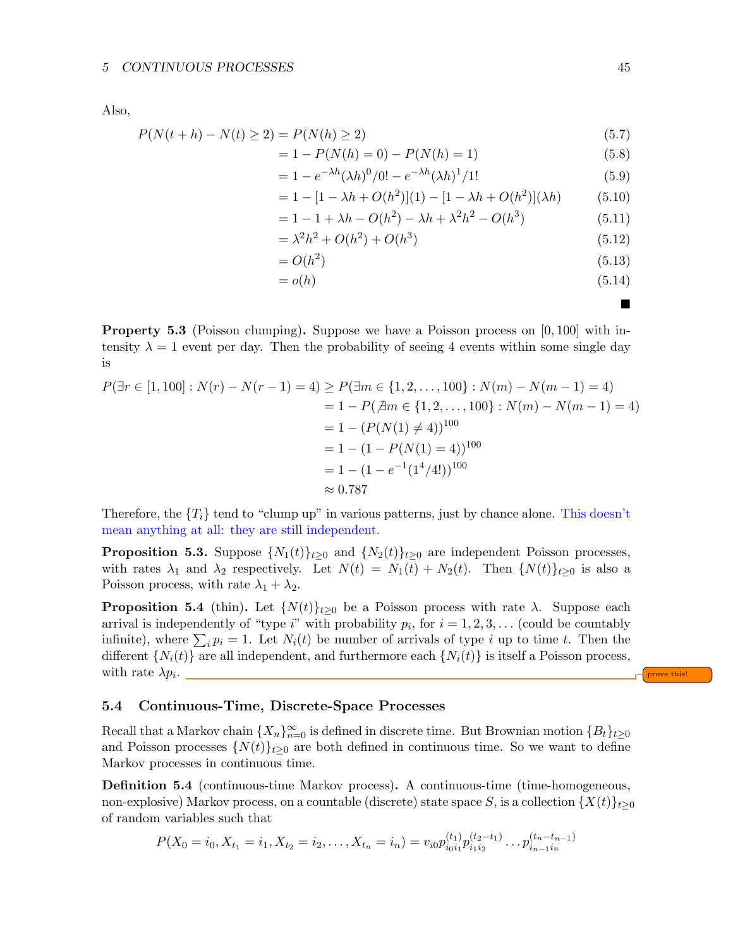Also,

$$
P(N(t+h) - N(t) \ge 2) = P(N(h) \ge 2)
$$
\n(5.7)

$$
= 1 - P(N(h) = 0) - P(N(h) = 1)
$$
\n(5.8)

$$
= 1 - e^{-\lambda h} (\lambda h)^0 / 0! - e^{-\lambda h} (\lambda h)^1 / 1! \tag{5.9}
$$

$$
= 1 - [1 - \lambda h + O(h^{2})](1) - [1 - \lambda h + O(h^{2})](\lambda h)
$$
 (5.10)

$$
= 1 - 1 + \lambda h - O(h^2) - \lambda h + \lambda^2 h^2 - O(h^3)
$$
\n(5.11)

$$
= \lambda^2 h^2 + O(h^2) + O(h^3)
$$
\n(5.12)

$$
=O(h^2) \tag{5.13}
$$

$$
=o(h)\tag{5.14}
$$

**Property 5.3** (Poisson clumping). Suppose we have a Poisson process on  $[0, 100]$  with intensity  $\lambda = 1$  event per day. Then the probability of seeing 4 events within some single day is

$$
P(\exists r \in [1, 100]: N(r) - N(r - 1) = 4) \ge P(\exists m \in \{1, 2, ..., 100\}: N(m) - N(m - 1) = 4)
$$
  
= 1 - P( $\not\exists m \in \{1, 2, ..., 100\}: N(m) - N(m - 1) = 4$ )  
= 1 - (P(N(1) \ne 4))<sup>100</sup>  
= 1 - (1 - P(N(1) = 4))<sup>100</sup>  
= 1 - (1 - e<sup>-1</sup>(1<sup>4</sup>/4!))<sup>100</sup>  
 $\approx 0.787$ 

Therefore, the  ${T_i}$  tend to "clump up" in various patterns, just by chance alone. This doesn't mean anything at all: they are still independent.

**Proposition 5.3.** Suppose  $\{N_1(t)\}_{t\geq 0}$  and  $\{N_2(t)\}_{t\geq 0}$  are independent Poisson processes, with rates  $\lambda_1$  and  $\lambda_2$  respectively. Let  $N(t) = N_1(t) + N_2(t)$ . Then  $\{N(t)\}_{t>0}$  is also a Poisson process, with rate  $\lambda_1 + \lambda_2$ .

**Proposition 5.4** (thin). Let  $\{N(t)\}_{t>0}$  be a Poisson process with rate  $\lambda$ . Suppose each arrival is independently of "type  $i$ " with probability  $p_i$ , for  $i = 1, 2, 3, \ldots$  (could be countably infinite), where  $\sum_i p_i = 1$ . Let  $N_i(t)$  be number of arrivals of type i up to time t. Then the different  $\{N_i(t)\}\$ are all independent, and furthermore each  $\{N_i(t)\}\$ is itself a Poisson process, with rate  $\lambda p_i$ . . <u>Prove this!</u>

## <span id="page-44-0"></span>5.4 Continuous-Time, Discrete-Space Processes

Recall that a Markov chain  $\{X_n\}_{n=0}^{\infty}$  is defined in discrete time. But Brownian motion  $\{B_t\}_{t\geq 0}$ and Poisson processes  $\{N(t)\}_{t\geq0}$  are both defined in continuous time. So we want to define Markov processes in continuous time.

Definition 5.4 (continuous-time Markov process). A continuous-time (time-homogeneous, non-explosive) Markov process, on a countable (discrete) state space S, is a collection  $\{X(t)\}_{t\geq 0}$ of random variables such that

$$
P(X_0 = i_0, X_{t_1} = i_1, X_{t_2} = i_2, \dots, X_{t_n} = i_n) = v_{i0} p_{i_0 i_1}^{(t_1)} p_{i_1 i_2}^{(t_2 - t_1)} \dots p_{i_{n-1} i_n}^{(t_n - t_{n-1})}
$$

■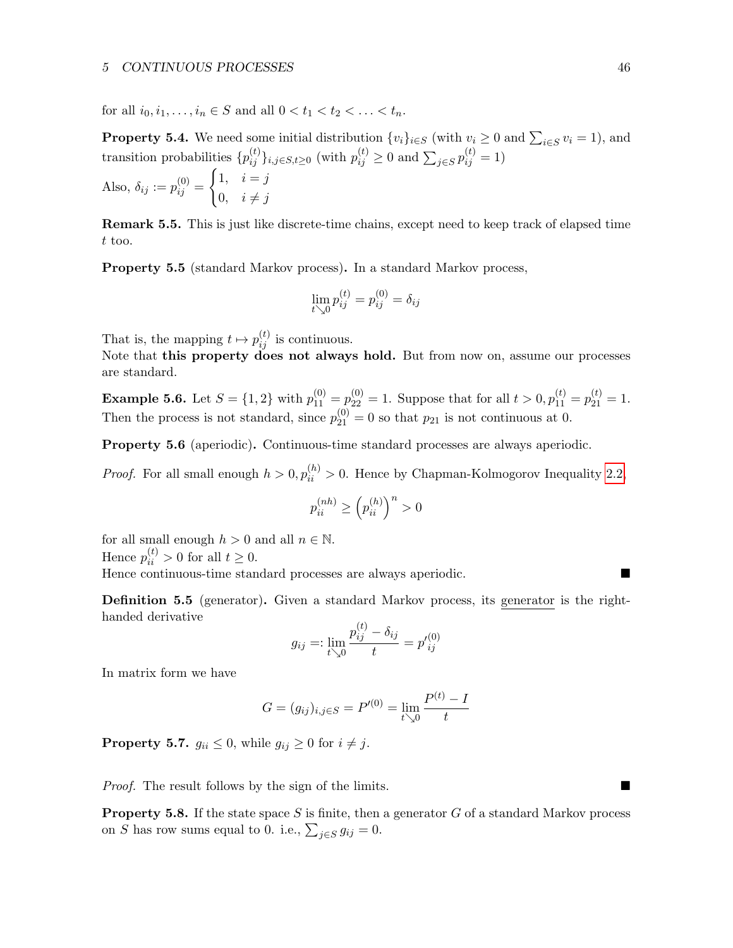#### 5 CONTINUOUS PROCESSES 46

for all  $i_0, i_1, \ldots, i_n \in S$  and all  $0 < t_1 < t_2 < \ldots < t_n$ .

**Property 5.4.** We need some initial distribution  $\{v_i\}_{i \in S}$  (with  $v_i \geq 0$  and  $\sum_{i \in S} v_i = 1$ ), and transition probabilities  $\{p_{ij}^{(t)}\}_{i,j\in S,t\geq 0}$  (with  $p_{ij}^{(t)} \geq 0$  and  $\sum_{j\in S} p_{ij}^{(t)} = 1$ )

Also, 
$$
\delta_{ij} := p_{ij}^{(0)} = \begin{cases} 1, & i = j \\ 0, & i \neq j \end{cases}
$$

Remark 5.5. This is just like discrete-time chains, except need to keep track of elapsed time t too.

Property 5.5 (standard Markov process). In a standard Markov process,

$$
\lim_{t \searrow 0} p_{ij}^{(t)} = p_{ij}^{(0)} = \delta_{ij}
$$

That is, the mapping  $t \mapsto p_{ij}^{(t)}$  is continuous.

Note that this property does not always hold. But from now on, assume our processes are standard.

**Example 5.6.** Let  $S = \{1, 2\}$  with  $p_{11}^{(0)} = p_{22}^{(0)} = 1$ . Suppose that for all  $t > 0$ ,  $p_{11}^{(t)} = p_{21}^{(t)} = 1$ . Then the process is not standard, since  $p_{21}^{(0)} = 0$  so that  $p_{21}$  is not continuous at 0.

Property 5.6 (aperiodic). Continuous-time standard processes are always aperiodic.

*Proof.* For all small enough  $h > 0$ ,  $p_{ii}^{(h)} > 0$ . Hence by Chapman-Kolmogorov Inequality [2.2,](#page-7-1)

$$
p_{ii}^{(nh)} \geq \left(p_{ii}^{(h)}\right)^n > 0
$$

for all small enough  $h>0$  and all  $n\in\mathbb{N}.$ Hence  $p_{ii}^{(t)} > 0$  for all  $t \geq 0$ .

Hence continuous-time standard processes are always aperiodic.

Definition 5.5 (generator). Given a standard Markov process, its generator is the righthanded derivative

$$
g_{ij} =: \lim_{t \searrow 0} \frac{p_{ij}^{(t)} - \delta_{ij}}{t} = p'_{ij}^{(0)}
$$

In matrix form we have

$$
G = (g_{ij})_{i,j \in S} = P'^{(0)} = \lim_{t \searrow 0} \frac{P^{(t)} - I}{t}
$$

**Property 5.7.**  $g_{ii} \leq 0$ , while  $g_{ij} \geq 0$  for  $i \neq j$ .

Proof. The result follows by the sign of the limits.

**Property 5.8.** If the state space S is finite, then a generator  $G$  of a standard Markov process on S has row sums equal to 0. i.e.,  $\sum_{j \in S} g_{ij} = 0$ .